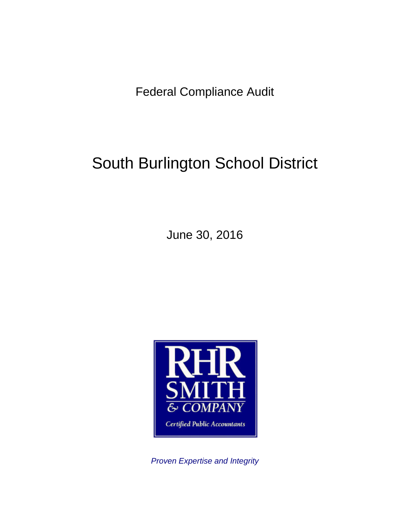Federal Compliance Audit

# South Burlington School District

June 30, 2016



*Proven Expertise and Integrity*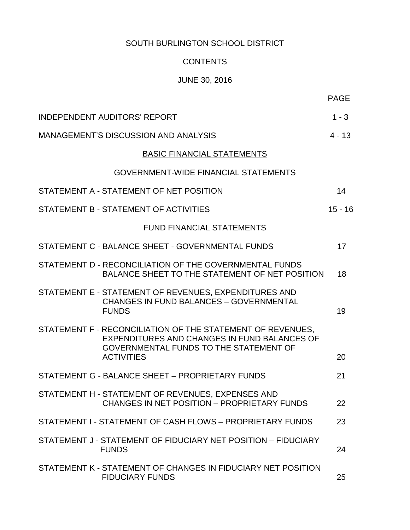# **CONTENTS**

# JUNE 30, 2016

|                                                                                                                                                                           | <b>PAGE</b> |
|---------------------------------------------------------------------------------------------------------------------------------------------------------------------------|-------------|
| <b>INDEPENDENT AUDITORS' REPORT</b>                                                                                                                                       | $1 - 3$     |
| <b>MANAGEMENT'S DISCUSSION AND ANALYSIS</b>                                                                                                                               | $4 - 13$    |
| <b>BASIC FINANCIAL STATEMENTS</b>                                                                                                                                         |             |
| <b>GOVERNMENT-WIDE FINANCIAL STATEMENTS</b>                                                                                                                               |             |
| STATEMENT A - STATEMENT OF NET POSITION                                                                                                                                   | 14          |
| STATEMENT B - STATEMENT OF ACTIVITIES                                                                                                                                     | $15 - 16$   |
| <b>FUND FINANCIAL STATEMENTS</b>                                                                                                                                          |             |
| STATEMENT C - BALANCE SHEET - GOVERNMENTAL FUNDS                                                                                                                          | 17          |
| STATEMENT D - RECONCILIATION OF THE GOVERNMENTAL FUNDS<br>BALANCE SHEET TO THE STATEMENT OF NET POSITION                                                                  | 18          |
| STATEMENT E - STATEMENT OF REVENUES, EXPENDITURES AND<br><b>CHANGES IN FUND BALANCES - GOVERNMENTAL</b><br><b>FUNDS</b>                                                   | 19          |
| STATEMENT F - RECONCILIATION OF THE STATEMENT OF REVENUES,<br>EXPENDITURES AND CHANGES IN FUND BALANCES OF<br>GOVERNMENTAL FUNDS TO THE STATEMENT OF<br><b>ACTIVITIES</b> | 20          |
| STATEMENT G - BALANCE SHEET - PROPRIETARY FUNDS                                                                                                                           | 21          |
| STATEMENT H - STATEMENT OF REVENUES, EXPENSES AND<br>CHANGES IN NET POSITION - PROPRIETARY FUNDS                                                                          | 22          |
| STATEMENT I - STATEMENT OF CASH FLOWS - PROPRIETARY FUNDS                                                                                                                 | 23          |
| STATEMENT J - STATEMENT OF FIDUCIARY NET POSITION - FIDUCIARY<br><b>FUNDS</b>                                                                                             | 24          |
| STATEMENT K - STATEMENT OF CHANGES IN FIDUCIARY NET POSITION<br><b>FIDUCIARY FUNDS</b>                                                                                    | 25          |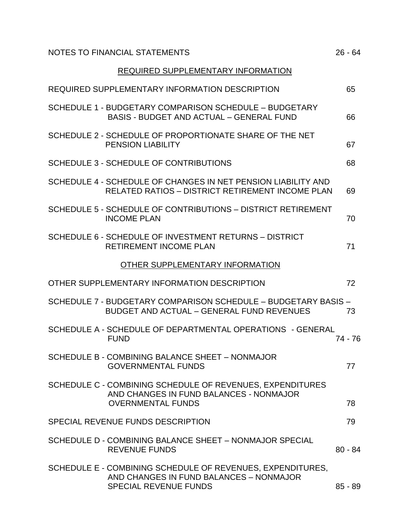## REQUIRED SUPPLEMENTARY INFORMATION

| REQUIRED SUPPLEMENTARY INFORMATION DESCRIPTION                                                                                        | 65        |
|---------------------------------------------------------------------------------------------------------------------------------------|-----------|
| SCHEDULE 1 - BUDGETARY COMPARISON SCHEDULE – BUDGETARY<br><b>BASIS - BUDGET AND ACTUAL - GENERAL FUND</b>                             | 66        |
| SCHEDULE 2 - SCHEDULE OF PROPORTIONATE SHARE OF THE NET<br><b>PENSION LIABILITY</b>                                                   | 67        |
| SCHEDULE 3 - SCHEDULE OF CONTRIBUTIONS                                                                                                | 68        |
| SCHEDULE 4 - SCHEDULE OF CHANGES IN NET PENSION LIABILITY AND<br>RELATED RATIOS - DISTRICT RETIREMENT INCOME PLAN                     | 69        |
| SCHEDULE 5 - SCHEDULE OF CONTRIBUTIONS - DISTRICT RETIREMENT<br><b>INCOME PLAN</b>                                                    | 70        |
| SCHEDULE 6 - SCHEDULE OF INVESTMENT RETURNS – DISTRICT<br><b>RETIREMENT INCOME PLAN</b>                                               | 71        |
| OTHER SUPPLEMENTARY INFORMATION                                                                                                       |           |
| OTHER SUPPLEMENTARY INFORMATION DESCRIPTION                                                                                           | 72        |
| SCHEDULE 7 - BUDGETARY COMPARISON SCHEDULE – BUDGETARY BASIS –<br><b>BUDGET AND ACTUAL - GENERAL FUND REVENUES</b>                    | 73        |
| SCHEDULE A - SCHEDULE OF DEPARTMENTAL OPERATIONS - GENERAL<br><b>FUND</b>                                                             | 74 - 76   |
| SCHEDULE B - COMBINING BALANCE SHEET - NONMAJOR<br><b>GOVERNMENTAL FUNDS</b>                                                          | 77        |
| SCHEDULE C - COMBINING SCHEDULE OF REVENUES, EXPENDITURES<br>AND CHANGES IN FUND BALANCES - NONMAJOR<br><b>OVERNMENTAL FUNDS</b>      | 78        |
| SPECIAL REVENUE FUNDS DESCRIPTION                                                                                                     | 79        |
| SCHEDULE D - COMBINING BALANCE SHEET - NONMAJOR SPECIAL<br><b>REVENUE FUNDS</b>                                                       | $80 - 84$ |
| SCHEDULE E - COMBINING SCHEDULE OF REVENUES, EXPENDITURES,<br>AND CHANGES IN FUND BALANCES - NONMAJOR<br><b>SPECIAL REVENUE FUNDS</b> | $85 - 89$ |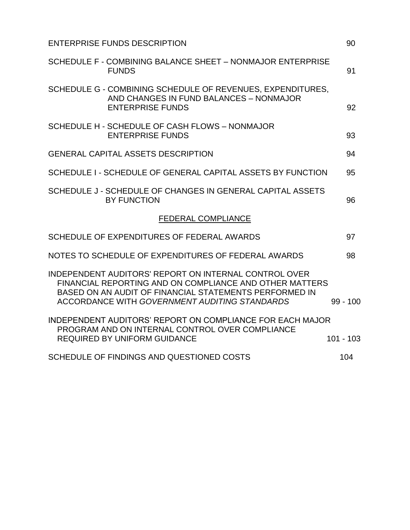| <b>ENTERPRISE FUNDS DESCRIPTION</b>                                                                                                                                                                                                       | 90          |
|-------------------------------------------------------------------------------------------------------------------------------------------------------------------------------------------------------------------------------------------|-------------|
| SCHEDULE F - COMBINING BALANCE SHEET - NONMAJOR ENTERPRISE<br><b>FUNDS</b>                                                                                                                                                                | 91          |
| SCHEDULE G - COMBINING SCHEDULE OF REVENUES, EXPENDITURES,<br>AND CHANGES IN FUND BALANCES - NONMAJOR<br><b>ENTERPRISE FUNDS</b>                                                                                                          | 92          |
| SCHEDULE H - SCHEDULE OF CASH FLOWS - NONMAJOR<br><b>ENTERPRISE FUNDS</b>                                                                                                                                                                 | 93          |
| <b>GENERAL CAPITAL ASSETS DESCRIPTION</b>                                                                                                                                                                                                 | 94          |
| SCHEDULE I - SCHEDULE OF GENERAL CAPITAL ASSETS BY FUNCTION                                                                                                                                                                               | 95          |
| SCHEDULE J - SCHEDULE OF CHANGES IN GENERAL CAPITAL ASSETS<br><b>BY FUNCTION</b>                                                                                                                                                          | 96          |
| <b>FEDERAL COMPLIANCE</b>                                                                                                                                                                                                                 |             |
| SCHEDULE OF EXPENDITURES OF FEDERAL AWARDS                                                                                                                                                                                                | 97          |
| NOTES TO SCHEDULE OF EXPENDITURES OF FEDERAL AWARDS                                                                                                                                                                                       | 98          |
| <b>INDEPENDENT AUDITORS' REPORT ON INTERNAL CONTROL OVER</b><br>FINANCIAL REPORTING AND ON COMPLIANCE AND OTHER MATTERS<br>BASED ON AN AUDIT OF FINANCIAL STATEMENTS PERFORMED IN<br><b>ACCORDANCE WITH GOVERNMENT AUDITING STANDARDS</b> | $99 - 100$  |
| INDEPENDENT AUDITORS' REPORT ON COMPLIANCE FOR EACH MAJOR<br>PROGRAM AND ON INTERNAL CONTROL OVER COMPLIANCE<br><b>REQUIRED BY UNIFORM GUIDANCE</b>                                                                                       | $101 - 103$ |
| SCHEDULE OF FINDINGS AND QUESTIONED COSTS                                                                                                                                                                                                 | 104         |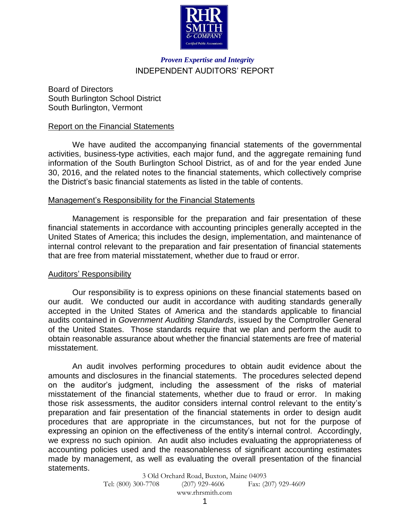

## INDEPENDENT AUDITORS' REPORT *Proven Expertise and Integrity*

Board of Directors South Burlington School District South Burlington, Vermont

## Report on the Financial Statements

We have audited the accompanying financial statements of the governmental activities, business-type activities, each major fund, and the aggregate remaining fund information of the South Burlington School District, as of and for the year ended June 30, 2016, and the related notes to the financial statements, which collectively comprise the District's basic financial statements as listed in the table of contents.

## Management's Responsibility for the Financial Statements

Management is responsible for the preparation and fair presentation of these financial statements in accordance with accounting principles generally accepted in the United States of America; this includes the design, implementation, and maintenance of internal control relevant to the preparation and fair presentation of financial statements that are free from material misstatement, whether due to fraud or error.

#### Auditors' Responsibility

Our responsibility is to express opinions on these financial statements based on our audit. We conducted our audit in accordance with auditing standards generally accepted in the United States of America and the standards applicable to financial audits contained in *Government Auditing Standards*, issued by the Comptroller General of the United States. Those standards require that we plan and perform the audit to obtain reasonable assurance about whether the financial statements are free of material misstatement.

An audit involves performing procedures to obtain audit evidence about the amounts and disclosures in the financial statements. The procedures selected depend on the auditor's judgment, including the assessment of the risks of material misstatement of the financial statements, whether due to fraud or error. In making those risk assessments, the auditor considers internal control relevant to the entity's preparation and fair presentation of the financial statements in order to design audit procedures that are appropriate in the circumstances, but not for the purpose of expressing an opinion on the effectiveness of the entity's internal control. Accordingly, we express no such opinion. An audit also includes evaluating the appropriateness of accounting policies used and the reasonableness of significant accounting estimates made by management, as well as evaluating the overall presentation of the financial statements.

> 3 Old Orchard Road, Buxton, Maine 04093 Tel: (800) 300-7708 (207) 929-4606 Fax: (207) 929-4609 www.rhrsmith.com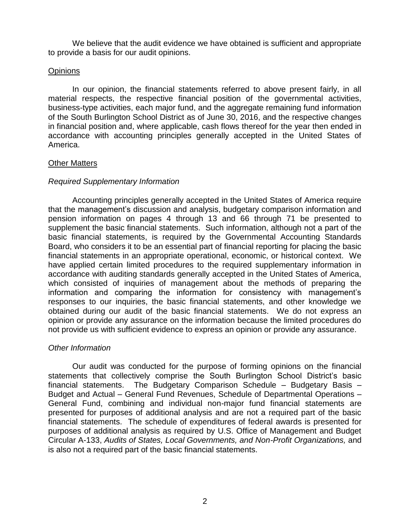We believe that the audit evidence we have obtained is sufficient and appropriate to provide a basis for our audit opinions.

## **Opinions**

In our opinion, the financial statements referred to above present fairly, in all material respects, the respective financial position of the governmental activities, business-type activities, each major fund, and the aggregate remaining fund information of the South Burlington School District as of June 30, 2016, and the respective changes in financial position and, where applicable, cash flows thereof for the year then ended in accordance with accounting principles generally accepted in the United States of America.

## Other Matters

## *Required Supplementary Information*

Accounting principles generally accepted in the United States of America require that the management's discussion and analysis, budgetary comparison information and pension information on pages 4 through 13 and 66 through 71 be presented to supplement the basic financial statements. Such information, although not a part of the basic financial statements, is required by the Governmental Accounting Standards Board, who considers it to be an essential part of financial reporting for placing the basic financial statements in an appropriate operational, economic, or historical context. We have applied certain limited procedures to the required supplementary information in accordance with auditing standards generally accepted in the United States of America, which consisted of inquiries of management about the methods of preparing the information and comparing the information for consistency with management's responses to our inquiries, the basic financial statements, and other knowledge we obtained during our audit of the basic financial statements. We do not express an opinion or provide any assurance on the information because the limited procedures do not provide us with sufficient evidence to express an opinion or provide any assurance.

#### *Other Information*

Our audit was conducted for the purpose of forming opinions on the financial statements that collectively comprise the South Burlington School District's basic financial statements. The Budgetary Comparison Schedule – Budgetary Basis – Budget and Actual – General Fund Revenues, Schedule of Departmental Operations – General Fund, combining and individual non-major fund financial statements are presented for purposes of additional analysis and are not a required part of the basic financial statements. The schedule of expenditures of federal awards is presented for purposes of additional analysis as required by U.S. Office of Management and Budget Circular A-133, *Audits of States, Local Governments, and Non-Profit Organizations,* and is also not a required part of the basic financial statements.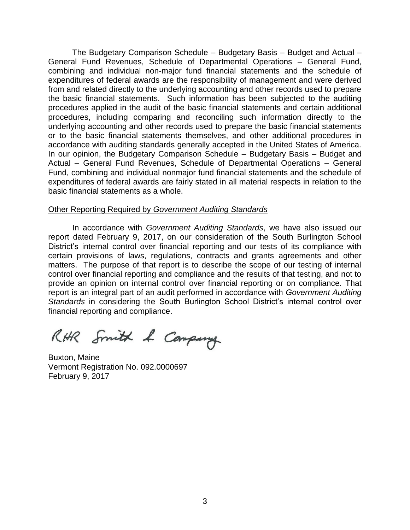The Budgetary Comparison Schedule – Budgetary Basis – Budget and Actual – General Fund Revenues, Schedule of Departmental Operations – General Fund, combining and individual non-major fund financial statements and the schedule of expenditures of federal awards are the responsibility of management and were derived from and related directly to the underlying accounting and other records used to prepare the basic financial statements. Such information has been subjected to the auditing procedures applied in the audit of the basic financial statements and certain additional procedures, including comparing and reconciling such information directly to the underlying accounting and other records used to prepare the basic financial statements or to the basic financial statements themselves, and other additional procedures in accordance with auditing standards generally accepted in the United States of America. In our opinion, the Budgetary Comparison Schedule – Budgetary Basis – Budget and Actual – General Fund Revenues, Schedule of Departmental Operations – General Fund, combining and individual nonmajor fund financial statements and the schedule of expenditures of federal awards are fairly stated in all material respects in relation to the basic financial statements as a whole.

## Other Reporting Required by *Government Auditing Standards*

In accordance with *Government Auditing Standards*, we have also issued our report dated February 9, 2017, on our consideration of the South Burlington School District's internal control over financial reporting and our tests of its compliance with certain provisions of laws, regulations, contracts and grants agreements and other matters. The purpose of that report is to describe the scope of our testing of internal control over financial reporting and compliance and the results of that testing, and not to provide an opinion on internal control over financial reporting or on compliance. That report is an integral part of an audit performed in accordance with *Government Auditing Standards* in considering the South Burlington School District's internal control over financial reporting and compliance.

RHR Smith & Company

Buxton, Maine Vermont Registration No. 092.0000697 February 9, 2017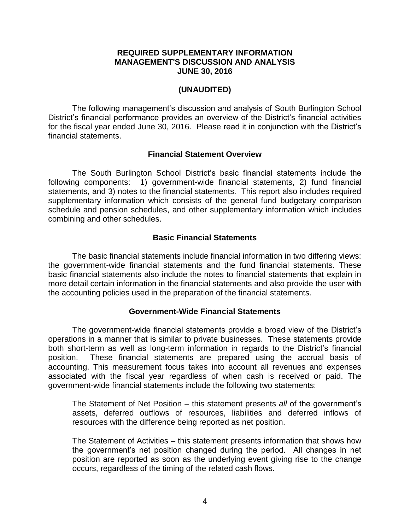## **REQUIRED SUPPLEMENTARY INFORMATION MANAGEMENT'S DISCUSSION AND ANALYSIS JUNE 30, 2016**

#### **(UNAUDITED)**

The following management's discussion and analysis of South Burlington School District's financial performance provides an overview of the District's financial activities for the fiscal year ended June 30, 2016. Please read it in conjunction with the District's financial statements.

## **Financial Statement Overview**

The South Burlington School District's basic financial statements include the following components: 1) government-wide financial statements, 2) fund financial statements, and 3) notes to the financial statements. This report also includes required supplementary information which consists of the general fund budgetary comparison schedule and pension schedules, and other supplementary information which includes combining and other schedules.

## **Basic Financial Statements**

The basic financial statements include financial information in two differing views: the government-wide financial statements and the fund financial statements. These basic financial statements also include the notes to financial statements that explain in more detail certain information in the financial statements and also provide the user with the accounting policies used in the preparation of the financial statements.

#### **Government-Wide Financial Statements**

The government-wide financial statements provide a broad view of the District's operations in a manner that is similar to private businesses. These statements provide both short-term as well as long-term information in regards to the District's financial position. These financial statements are prepared using the accrual basis of accounting. This measurement focus takes into account all revenues and expenses associated with the fiscal year regardless of when cash is received or paid. The government-wide financial statements include the following two statements:

The Statement of Net Position – this statement presents *all* of the government's assets, deferred outflows of resources, liabilities and deferred inflows of resources with the difference being reported as net position.

The Statement of Activities – this statement presents information that shows how the government's net position changed during the period. All changes in net position are reported as soon as the underlying event giving rise to the change occurs, regardless of the timing of the related cash flows.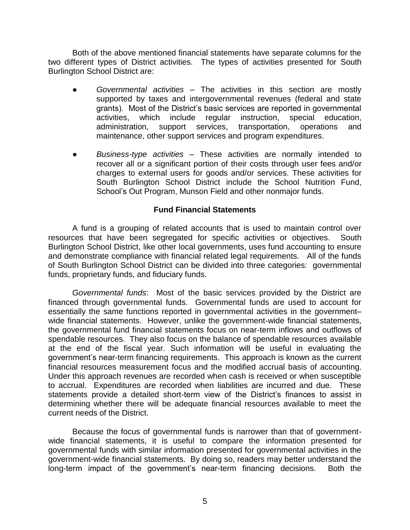Both of the above mentioned financial statements have separate columns for the two different types of District activities. The types of activities presented for South Burlington School District are:

- *Governmental activities* The activities in this section are mostly supported by taxes and intergovernmental revenues (federal and state grants). Most of the District's basic services are reported in governmental activities, which include regular instruction, special education, administration, support services, transportation, operations and maintenance, other support services and program expenditures.
- *Business-type activities* These activities are normally intended to recover all or a significant portion of their costs through user fees and/or charges to external users for goods and/or services. These activities for South Burlington School District include the School Nutrition Fund, School's Out Program, Munson Field and other nonmajor funds.

## **Fund Financial Statements**

A fund is a grouping of related accounts that is used to maintain control over resources that have been segregated for specific activities or objectives. South Burlington School District, like other local governments, uses fund accounting to ensure and demonstrate compliance with financial related legal requirements. All of the funds of South Burlington School District can be divided into three categories: governmental funds, proprietary funds, and fiduciary funds.

*Governmental funds*: Most of the basic services provided by the District are financed through governmental funds. Governmental funds are used to account for essentially the same functions reported in governmental activities in the government– wide financial statements. However, unlike the government-wide financial statements, the governmental fund financial statements focus on near-term inflows and outflows of spendable resources. They also focus on the balance of spendable resources available at the end of the fiscal year. Such information will be useful in evaluating the government's near-term financing requirements. This approach is known as the current financial resources measurement focus and the modified accrual basis of accounting. Under this approach revenues are recorded when cash is received or when susceptible to accrual. Expenditures are recorded when liabilities are incurred and due. These statements provide a detailed short-term view of the District's finances to assist in determining whether there will be adequate financial resources available to meet the current needs of the District.

Because the focus of governmental funds is narrower than that of governmentwide financial statements, it is useful to compare the information presented for governmental funds with similar information presented for governmental activities in the government-wide financial statements. By doing so, readers may better understand the long-term impact of the government's near-term financing decisions. Both the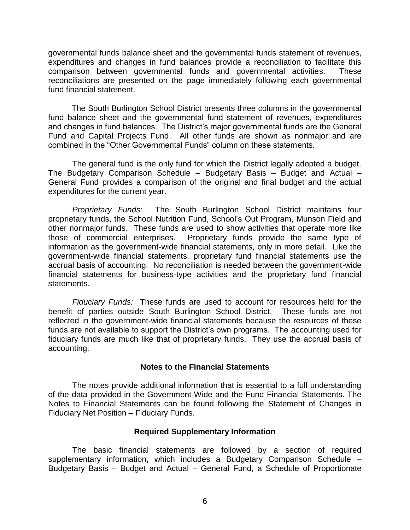governmental funds balance sheet and the governmental funds statement of revenues, expenditures and changes in fund balances provide a reconciliation to facilitate this comparison between governmental funds and governmental activities. These reconciliations are presented on the page immediately following each governmental fund financial statement.

The South Burlington School District presents three columns in the governmental fund balance sheet and the governmental fund statement of revenues, expenditures and changes in fund balances. The District's major governmental funds are the General Fund and Capital Projects Fund. All other funds are shown as nonmajor and are combined in the "Other Governmental Funds" column on these statements.

The general fund is the only fund for which the District legally adopted a budget. The Budgetary Comparison Schedule – Budgetary Basis – Budget and Actual – General Fund provides a comparison of the original and final budget and the actual expenditures for the current year.

*Proprietary Funds:* The South Burlington School District maintains four proprietary funds, the School Nutrition Fund, School's Out Program, Munson Field and other nonmajor funds. These funds are used to show activities that operate more like those of commercial enterprises. Proprietary funds provide the same type of information as the government-wide financial statements, only in more detail. Like the government-wide financial statements, proprietary fund financial statements use the accrual basis of accounting. No reconciliation is needed between the government-wide financial statements for business-type activities and the proprietary fund financial statements.

*Fiduciary Funds:* These funds are used to account for resources held for the benefit of parties outside South Burlington School District. These funds are not reflected in the government-wide financial statements because the resources of these funds are not available to support the District's own programs. The accounting used for fiduciary funds are much like that of proprietary funds. They use the accrual basis of accounting.

## **Notes to the Financial Statements**

The notes provide additional information that is essential to a full understanding of the data provided in the Government-Wide and the Fund Financial Statements. The Notes to Financial Statements can be found following the Statement of Changes in Fiduciary Net Position – Fiduciary Funds.

#### **Required Supplementary Information**

The basic financial statements are followed by a section of required supplementary information, which includes a Budgetary Comparison Schedule – Budgetary Basis – Budget and Actual – General Fund, a Schedule of Proportionate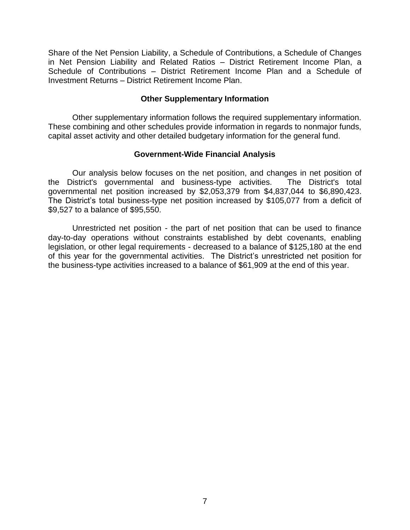Share of the Net Pension Liability, a Schedule of Contributions, a Schedule of Changes in Net Pension Liability and Related Ratios – District Retirement Income Plan, a Schedule of Contributions – District Retirement Income Plan and a Schedule of Investment Returns – District Retirement Income Plan.

## **Other Supplementary Information**

Other supplementary information follows the required supplementary information. These combining and other schedules provide information in regards to nonmajor funds, capital asset activity and other detailed budgetary information for the general fund.

## **Government-Wide Financial Analysis**

Our analysis below focuses on the net position, and changes in net position of the District's governmental and business-type activities. The District's total governmental net position increased by \$2,053,379 from \$4,837,044 to \$6,890,423. The District's total business-type net position increased by \$105,077 from a deficit of \$9,527 to a balance of \$95,550.

Unrestricted net position - the part of net position that can be used to finance day-to-day operations without constraints established by debt covenants, enabling legislation, or other legal requirements - decreased to a balance of \$125,180 at the end of this year for the governmental activities. The District's unrestricted net position for the business-type activities increased to a balance of \$61,909 at the end of this year.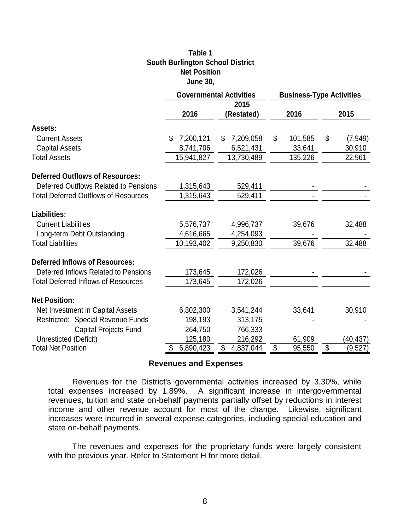## **Table 1 South Burlington School District Net Position June 30,**

|                                             |            | <b>Governmental Activities</b> | <b>Business-Type Activities</b> |                |  |  |
|---------------------------------------------|------------|--------------------------------|---------------------------------|----------------|--|--|
|                                             |            | 2015                           |                                 |                |  |  |
|                                             | 2016       | (Restated)                     | 2016                            | 2015           |  |  |
| Assets:                                     |            |                                |                                 |                |  |  |
| <b>Current Assets</b>                       | 7,200,121  | 7,209,058<br>\$.               | \$<br>101,585                   | \$<br>(7, 949) |  |  |
| <b>Capital Assets</b>                       | 8,741,706  | 6,521,431                      | 33,641                          | 30,910         |  |  |
| <b>Total Assets</b>                         | 15,941,827 | 13,730,489                     | 135,226                         | 22,961         |  |  |
| <b>Deferred Outflows of Resources:</b>      |            |                                |                                 |                |  |  |
| Deferred Outflows Related to Pensions       | 1,315,643  | 529,411                        |                                 |                |  |  |
| <b>Total Deferred Outflows of Resources</b> | 1,315,643  | 529,411                        |                                 |                |  |  |
| <b>Liabilities:</b>                         |            |                                |                                 |                |  |  |
| <b>Current Liabilities</b>                  | 5,576,737  | 4,996,737                      | 39,676                          | 32,488         |  |  |
| Long-term Debt Outstanding                  | 4,616,665  | 4,254,093                      |                                 |                |  |  |
| <b>Total Liabilities</b>                    | 10,193,402 | 9,250,830                      | 39,676                          | 32,488         |  |  |
| <b>Deferred Inflows of Resources:</b>       |            |                                |                                 |                |  |  |
| Deferred Inflows Related to Pensions        | 173,645    | 172,026                        |                                 |                |  |  |
| <b>Total Deferred Inflows of Resources</b>  | 173,645    | 172,026                        |                                 |                |  |  |
| <b>Net Position:</b>                        |            |                                |                                 |                |  |  |
| Net Investment in Capital Assets            | 6,302,300  | 3,541,244                      | 33,641                          | 30,910         |  |  |
| Restricted: Special Revenue Funds           | 198,193    | 313,175                        |                                 |                |  |  |
| <b>Capital Projects Fund</b>                | 264,750    | 766,333                        |                                 |                |  |  |
| Unresticted (Deficit)                       | 125,180    | 216,292                        | 61,909                          | (40,437)       |  |  |
| <b>Total Net Position</b>                   | 6,890,423  | \$<br>4,837,044                | \$<br>95,550                    | \$<br>(9,527)  |  |  |

#### **Revenues and Expenses**

Revenues for the District's governmental activities increased by 3.30%, while total expenses increased by 1.89%. A significant increase in intergovernmental revenues, tuition and state on-behalf payments partially offset by reductions in interest income and other revenue account for most of the change. Likewise, significant increases were incurred in several expense categories, including special education and state on-behalf payments.

The revenues and expenses for the proprietary funds were largely consistent with the previous year. Refer to Statement H for more detail.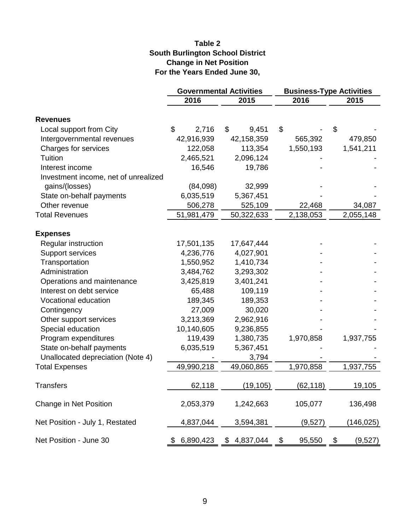## **Table 2 South Burlington School District Change in Net Position For the Years Ended June 30,**

|                                      |             | <b>Governmental Activities</b> | <b>Business-Type Activities</b> |                  |  |  |
|--------------------------------------|-------------|--------------------------------|---------------------------------|------------------|--|--|
|                                      | 2016        | 2015                           | 2016                            | 2015             |  |  |
| <b>Revenues</b>                      |             |                                |                                 |                  |  |  |
| Local support from City              | \$<br>2,716 | 9,451<br>\$                    | \$                              | \$               |  |  |
| Intergovernmental revenues           | 42,916,939  | 42,158,359                     | 565,392                         | 479,850          |  |  |
| Charges for services                 | 122,058     | 113,354                        | 1,550,193                       | 1,541,211        |  |  |
| Tuition                              | 2,465,521   | 2,096,124                      |                                 |                  |  |  |
| Interest income                      | 16,546      | 19,786                         |                                 |                  |  |  |
| Investment income, net of unrealized |             |                                |                                 |                  |  |  |
| gains/(losses)                       | (84,098)    | 32,999                         |                                 |                  |  |  |
| State on-behalf payments             | 6,035,519   | 5,367,451                      |                                 |                  |  |  |
| Other revenue                        | 506,278     | 525,109                        | 22,468                          | 34,087           |  |  |
| <b>Total Revenues</b>                | 51,981,479  | 50,322,633                     | 2,138,053                       | 2,055,148        |  |  |
| <b>Expenses</b>                      |             |                                |                                 |                  |  |  |
| Regular instruction                  | 17,501,135  | 17,647,444                     |                                 |                  |  |  |
| Support services                     | 4,236,776   | 4,027,901                      |                                 |                  |  |  |
| Transportation                       | 1,550,952   | 1,410,734                      |                                 |                  |  |  |
| Administration                       | 3,484,762   | 3,293,302                      |                                 |                  |  |  |
| Operations and maintenance           | 3,425,819   | 3,401,241                      |                                 |                  |  |  |
| Interest on debt service             | 65,488      | 109,119                        |                                 |                  |  |  |
| Vocational education                 | 189,345     | 189,353                        |                                 |                  |  |  |
| Contingency                          | 27,009      | 30,020                         |                                 |                  |  |  |
| Other support services               | 3,213,369   | 2,962,916                      |                                 |                  |  |  |
| Special education                    | 10,140,605  | 9,236,855                      |                                 |                  |  |  |
| Program expenditures                 | 119,439     | 1,380,735                      | 1,970,858                       | 1,937,755        |  |  |
| State on-behalf payments             | 6,035,519   | 5,367,451                      |                                 |                  |  |  |
| Unallocated depreciation (Note 4)    |             | 3,794                          |                                 |                  |  |  |
| <b>Total Expenses</b>                | 49,990,218  | 49,060,865                     | 1,970,858                       | 1,937,755        |  |  |
|                                      |             |                                |                                 |                  |  |  |
| Transfers                            | 62,118      | (19, 105)                      | (62, 118)                       | 19,105           |  |  |
| Change in Net Position               | 2,053,379   | 1,242,663                      | 105,077                         | 136,498          |  |  |
| Net Position - July 1, Restated      | 4,837,044   | 3,594,381                      | (9,527)                         | <u>(146,025)</u> |  |  |
| Net Position - June 30               | \$6,890,423 | 4,837,044<br>\$                | \$<br>95,550                    | \$<br>(9,527)    |  |  |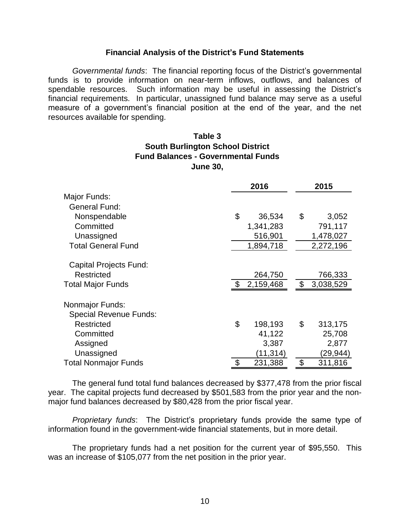## **Financial Analysis of the District's Fund Statements**

*Governmental funds*: The financial reporting focus of the District's governmental funds is to provide information on near-term inflows, outflows, and balances of spendable resources. Such information may be useful in assessing the District's financial requirements. In particular, unassigned fund balance may serve as a useful measure of a government's financial position at the end of the year, and the net resources available for spending.

## **Table 3 South Burlington School District Fund Balances - Governmental Funds June 30,**

|                               | 2016          | 2015            |
|-------------------------------|---------------|-----------------|
| Major Funds:                  |               |                 |
| <b>General Fund:</b>          |               |                 |
| Nonspendable                  | \$<br>36,534  | \$<br>3,052     |
| Committed                     | 1,341,283     | 791,117         |
| Unassigned                    | 516,901       | 1,478,027       |
| <b>Total General Fund</b>     | 1,894,718     | 2,272,196       |
| <b>Capital Projects Fund:</b> |               |                 |
| Restricted                    | 264,750       | 766,333         |
| <b>Total Major Funds</b>      | 2,159,468     | \$<br>3,038,529 |
| Nonmajor Funds:               |               |                 |
| <b>Special Revenue Funds:</b> |               |                 |
| Restricted                    | \$<br>198,193 | \$<br>313,175   |
| Committed                     | 41,122        | 25,708          |
| Assigned                      | 3,387         | 2,877           |
| Unassigned                    | (11, 314)     | (29,944)        |
| <b>Total Nonmajor Funds</b>   | 231,388       | \$<br>311,816   |

The general fund total fund balances decreased by \$377,478 from the prior fiscal year. The capital projects fund decreased by \$501,583 from the prior year and the nonmajor fund balances decreased by \$80,428 from the prior fiscal year.

*Proprietary funds*: The District's proprietary funds provide the same type of information found in the government-wide financial statements, but in more detail.

The proprietary funds had a net position for the current year of \$95,550. This was an increase of \$105,077 from the net position in the prior year.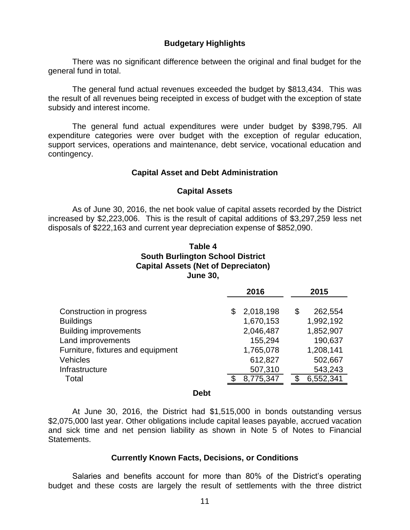## **Budgetary Highlights**

There was no significant difference between the original and final budget for the general fund in total.

The general fund actual revenues exceeded the budget by \$813,434. This was the result of all revenues being receipted in excess of budget with the exception of state subsidy and interest income.

The general fund actual expenditures were under budget by \$398,795. All expenditure categories were over budget with the exception of regular education, support services, operations and maintenance, debt service, vocational education and contingency.

## **Capital Asset and Debt Administration**

## **Capital Assets**

As of June 30, 2016, the net book value of capital assets recorded by the District increased by \$2,223,006. This is the result of capital additions of \$3,297,259 less net disposals of \$222,163 and current year depreciation expense of \$852,090.

## **Table 4 South Burlington School District Capital Assets (Net of Depreciaton) June 30,**

|                                   | 2016            | 2015          |
|-----------------------------------|-----------------|---------------|
| Construction in progress          | \$<br>2,018,198 | \$<br>262,554 |
| <b>Buildings</b>                  | 1,670,153       | 1,992,192     |
| <b>Building improvements</b>      | 2,046,487       | 1,852,907     |
| Land improvements                 | 155,294         | 190,637       |
| Furniture, fixtures and equipment | 1,765,078       | 1,208,141     |
| <b>Vehicles</b>                   | 612,827         | 502,667       |
| Infrastructure                    | 507,310         | 543,243       |
| Total                             | 8,775,347       | 6,552,341     |

#### **Debt**

At June 30, 2016, the District had \$1,515,000 in bonds outstanding versus \$2,075,000 last year. Other obligations include capital leases payable, accrued vacation and sick time and net pension liability as shown in Note 5 of Notes to Financial Statements.

## **Currently Known Facts, Decisions, or Conditions**

Salaries and benefits account for more than 80% of the District's operating budget and these costs are largely the result of settlements with the three district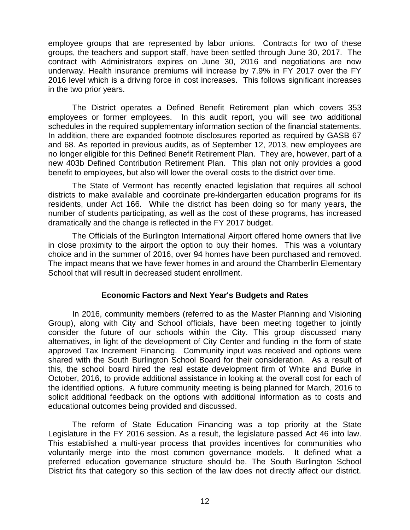employee groups that are represented by labor unions. Contracts for two of these groups, the teachers and support staff, have been settled through June 30, 2017. The contract with Administrators expires on June 30, 2016 and negotiations are now underway. Health insurance premiums will increase by 7.9% in FY 2017 over the FY 2016 level which is a driving force in cost increases. This follows significant increases in the two prior years.

The District operates a Defined Benefit Retirement plan which covers 353 employees or former employees. In this audit report, you will see two additional schedules in the required supplementary information section of the financial statements. In addition, there are expanded footnote disclosures reported as required by GASB 67 and 68. As reported in previous audits, as of September 12, 2013, new employees are no longer eligible for this Defined Benefit Retirement Plan. They are, however, part of a new 403b Defined Contribution Retirement Plan. This plan not only provides a good benefit to employees, but also will lower the overall costs to the district over time.

The State of Vermont has recently enacted legislation that requires all school districts to make available and coordinate pre-kindergarten education programs for its residents, under Act 166. While the district has been doing so for many years, the number of students participating, as well as the cost of these programs, has increased dramatically and the change is reflected in the FY 2017 budget.

The Officials of the Burlington International Airport offered home owners that live in close proximity to the airport the option to buy their homes. This was a voluntary choice and in the summer of 2016, over 94 homes have been purchased and removed. The impact means that we have fewer homes in and around the Chamberlin Elementary School that will result in decreased student enrollment.

## **Economic Factors and Next Year's Budgets and Rates**

In 2016, community members (referred to as the Master Planning and Visioning Group), along with City and School officials, have been meeting together to jointly consider the future of our schools within the City. This group discussed many alternatives, in light of the development of City Center and funding in the form of state approved Tax Increment Financing. Community input was received and options were shared with the South Burlington School Board for their consideration. As a result of this, the school board hired the real estate development firm of White and Burke in October, 2016, to provide additional assistance in looking at the overall cost for each of the identified options. A future community meeting is being planned for March, 2016 to solicit additional feedback on the options with additional information as to costs and educational outcomes being provided and discussed.

The reform of State Education Financing was a top priority at the State Legislature in the FY 2016 session. As a result, the legislature passed Act 46 into law. This established a multi-year process that provides incentives for communities who voluntarily merge into the most common governance models. It defined what a preferred education governance structure should be. The South Burlington School District fits that category so this section of the law does not directly affect our district.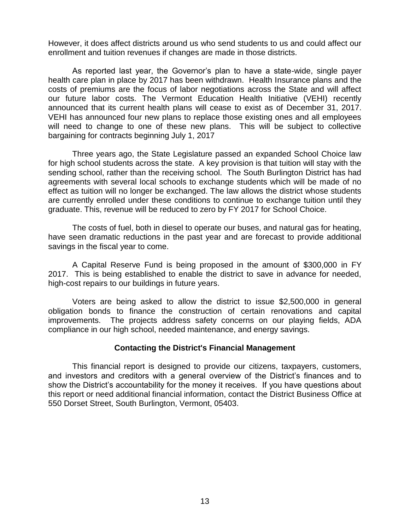However, it does affect districts around us who send students to us and could affect our enrollment and tuition revenues if changes are made in those districts.

As reported last year, the Governor's plan to have a state-wide, single payer health care plan in place by 2017 has been withdrawn. Health Insurance plans and the costs of premiums are the focus of labor negotiations across the State and will affect our future labor costs. The Vermont Education Health Initiative (VEHI) recently announced that its current health plans will cease to exist as of December 31, 2017. VEHI has announced four new plans to replace those existing ones and all employees will need to change to one of these new plans. This will be subject to collective bargaining for contracts beginning July 1, 2017

Three years ago, the State Legislature passed an expanded School Choice law for high school students across the state. A key provision is that tuition will stay with the sending school, rather than the receiving school. The South Burlington District has had agreements with several local schools to exchange students which will be made of no effect as tuition will no longer be exchanged. The law allows the district whose students are currently enrolled under these conditions to continue to exchange tuition until they graduate. This, revenue will be reduced to zero by FY 2017 for School Choice.

The costs of fuel, both in diesel to operate our buses, and natural gas for heating, have seen dramatic reductions in the past year and are forecast to provide additional savings in the fiscal year to come.

A Capital Reserve Fund is being proposed in the amount of \$300,000 in FY 2017. This is being established to enable the district to save in advance for needed, high-cost repairs to our buildings in future years.

Voters are being asked to allow the district to issue \$2,500,000 in general obligation bonds to finance the construction of certain renovations and capital improvements. The projects address safety concerns on our playing fields, ADA compliance in our high school, needed maintenance, and energy savings.

## **Contacting the District's Financial Management**

This financial report is designed to provide our citizens, taxpayers, customers, and investors and creditors with a general overview of the District's finances and to show the District's accountability for the money it receives. If you have questions about this report or need additional financial information, contact the District Business Office at 550 Dorset Street, South Burlington, Vermont, 05403.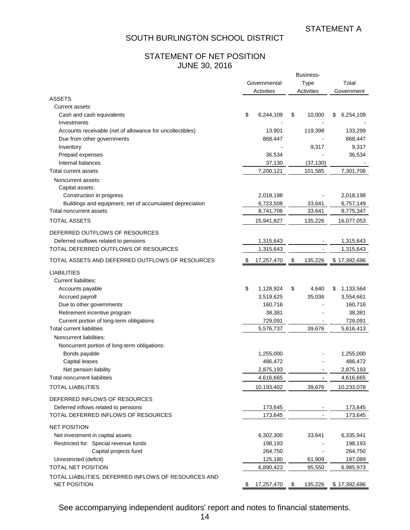## STATEMENT OF NET POSITION JUNE 30, 2016

|                                                           | Business-    |            |    |             |                 |
|-----------------------------------------------------------|--------------|------------|----|-------------|-----------------|
|                                                           | Governmental |            |    | <b>Type</b> | Total           |
|                                                           |              | Activities |    | Activities  | Government      |
| <b>ASSETS</b>                                             |              |            |    |             |                 |
| Current assets:                                           |              |            |    |             |                 |
| Cash and cash equivalents                                 | \$           | 6,244,109  | \$ | 10,000      | \$<br>6,254,109 |
| Investments                                               |              |            |    |             |                 |
| Accounts receivable (net of allowance for uncollectibles) |              | 13,901     |    | 119,398     | 133,299         |
| Due from other governments                                |              | 868,447    |    |             | 868,447         |
| Inventory                                                 |              |            |    | 9,317       | 9,317           |
| Prepaid expenses                                          |              | 36,534     |    |             | 36,534          |
| Internal balances                                         |              | 37,130     |    | (37, 130)   |                 |
| Total current assets                                      |              | 7,200,121  |    | 101,585     | 7,301,706       |
| Noncurrent assets:                                        |              |            |    |             |                 |
| Capital assets:                                           |              |            |    |             |                 |
| Construction in progress                                  |              | 2,018,198  |    |             | 2,018,198       |
| Buildings and equipment, net of accumulated depreciation  |              | 6,723,508  |    | 33,641      | 6,757,149       |
| Total noncurrent assets                                   |              | 8,741,706  |    | 33,641      | 8,775,347       |
| <b>TOTAL ASSETS</b>                                       |              | 15,941,827 |    | 135,226     | 16,077,053      |
| DEFERRED OUTFLOWS OF RESOURCES                            |              |            |    |             |                 |
|                                                           |              |            |    |             |                 |
| Deferred outflows related to pensions                     |              | 1,315,643  |    |             | 1,315,643       |
| TOTAL DEFERRED OUTFLOWS OF RESOURCES                      |              | 1,315,643  |    |             | 1,315,643       |
| TOTAL ASSETS AND DEFERRED OUTFLOWS OF RESOURCES           |              | 17,257,470 | \$ | 135,226     | \$17,392,696    |
| <b>LIABILITIES</b>                                        |              |            |    |             |                 |
| <b>Current liabilities:</b>                               |              |            |    |             |                 |
| Accounts payable                                          | \$           | 1,128,924  | \$ | 4,640       | \$<br>1,133,564 |
| Accrued payroll                                           |              | 3,519,625  |    | 35,036      | 3,554,661       |
| Due to other governments                                  |              | 160,716    |    |             | 160,716         |
| Retirement incentive program                              |              | 38,381     |    |             | 38,381          |
| Current portion of long-term obligations                  |              | 729,091    |    |             | 729,091         |
| <b>Total current liabilities</b>                          |              | 5,576,737  |    | 39,676      | 5,616,413       |
| Noncurrent liabilities:                                   |              |            |    |             |                 |
| Noncurrent portion of long-term obligations:              |              |            |    |             |                 |
|                                                           |              | 1,255,000  |    |             | 1,255,000       |
| Bonds payable<br>Capital leases                           |              | 486,472    |    |             | 486,472         |
| Net pension liability                                     |              | 2,875,193  |    |             | 2,875,193       |
| Total noncurrent liabilities                              |              | 4,616,665  |    |             | 4,616,665       |
|                                                           |              |            |    |             |                 |
| <b>TOTAL LIABILITIES</b>                                  |              | 10,193,402 |    | 39,676      | 10,233,078      |
| DEFERRED INFLOWS OF RESOURCES                             |              |            |    |             |                 |
| Deferred inflows related to pensions                      |              | 173,645    |    |             | 173,645         |
| TOTAL DEFERRED INFLOWS OF RESOURCES                       |              | 173,645    |    |             | 173,645         |
|                                                           |              |            |    |             |                 |
| <b>NET POSITION</b>                                       |              |            |    |             |                 |
| Net investment in capital assets                          |              | 6,302,300  |    | 33,641      | 6,335,941       |
| Restricted for: Special revenue funds                     |              | 198,193    |    |             | 198,193         |
| Capital projects fund                                     |              | 264,750    |    |             | 264,750         |
| Unrestricted (deficit)                                    |              | 125,180    |    | 61,909      | 187,089         |
| TOTAL NET POSITION                                        |              | 6,890,423  |    | 95,550      | 6,985,973       |
| TOTAL LIABILITIES, DEFERRED INFLOWS OF RESOURCES AND      |              |            |    |             |                 |
| <b>NET POSITION</b>                                       | \$           | 17,257,470 | \$ | 135,226     | \$17,392,696    |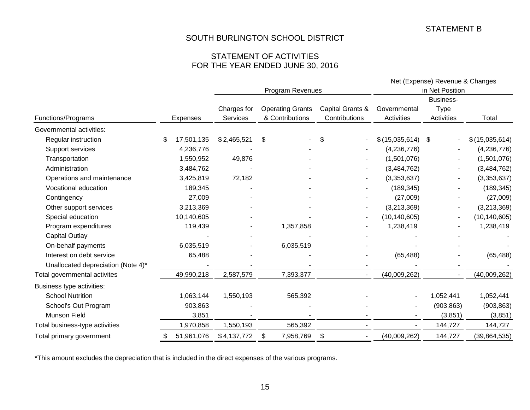## STATEMENT OF ACTIVITIES FOR THE YEAR ENDED JUNE 30, 2016

|                                    |    |                  |             |    |                         |                  |                    | Net (Expense) Revenue & Changes |                |  |
|------------------------------------|----|------------------|-------------|----|-------------------------|------------------|--------------------|---------------------------------|----------------|--|
|                                    |    | Program Revenues |             |    |                         |                  | in Net Position    |                                 |                |  |
|                                    |    |                  | Charges for |    | <b>Operating Grants</b> | Capital Grants & | Governmental       | <b>Business-</b><br><b>Type</b> |                |  |
| Functions/Programs                 |    | Expenses         | Services    |    | & Contributions         | Contributions    | <b>Activities</b>  | Activities                      | Total          |  |
| Governmental activities:           |    |                  |             |    |                         |                  |                    |                                 |                |  |
| Regular instruction                | \$ | 17,501,135       | \$2,465,521 | \$ |                         | \$               | $$(15,035,614)$ \$ |                                 | \$(15,035,614) |  |
| Support services                   |    | 4,236,776        |             |    |                         |                  | (4, 236, 776)      |                                 | (4, 236, 776)  |  |
| Transportation                     |    | 1,550,952        | 49,876      |    |                         |                  | (1,501,076)        |                                 | (1,501,076)    |  |
| Administration                     |    | 3,484,762        |             |    |                         |                  | (3,484,762)        |                                 | (3,484,762)    |  |
| Operations and maintenance         |    | 3,425,819        | 72,182      |    |                         |                  | (3,353,637)        |                                 | (3,353,637)    |  |
| Vocational education               |    | 189,345          |             |    |                         |                  | (189, 345)         |                                 | (189, 345)     |  |
| Contingency                        |    | 27,009           |             |    |                         |                  | (27,009)           |                                 | (27,009)       |  |
| Other support services             |    | 3,213,369        |             |    |                         |                  | (3,213,369)        |                                 | (3,213,369)    |  |
| Special education                  |    | 10,140,605       |             |    |                         |                  | (10, 140, 605)     |                                 | (10, 140, 605) |  |
| Program expenditures               |    | 119,439          |             |    | 1,357,858               |                  | 1,238,419          |                                 | 1,238,419      |  |
| <b>Capital Outlay</b>              |    |                  |             |    |                         |                  |                    |                                 |                |  |
| On-behalf payments                 |    | 6,035,519        |             |    | 6,035,519               |                  |                    |                                 |                |  |
| Interest on debt service           |    | 65,488           |             |    |                         |                  | (65, 488)          |                                 | (65, 488)      |  |
| Unallocated depreciation (Note 4)* |    |                  |             |    |                         |                  |                    |                                 |                |  |
| Total governmental activites       |    | 49,990,218       | 2,587,579   |    | 7,393,377               |                  | (40,009,262)       | $\mathbf{r}$                    | (40,009,262)   |  |
| Business type activities:          |    |                  |             |    |                         |                  |                    |                                 |                |  |
| <b>School Nutrition</b>            |    | 1,063,144        | 1,550,193   |    | 565,392                 |                  |                    | 1,052,441                       | 1,052,441      |  |
| School's Out Program               |    | 903,863          |             |    |                         |                  |                    | (903, 863)                      | (903, 863)     |  |
| Munson Field                       |    | 3,851            |             |    |                         |                  |                    | (3,851)                         | (3,851)        |  |
| Total business-type activities     |    | 1,970,858        | 1,550,193   |    | 565,392                 |                  |                    | 144,727                         | 144,727        |  |
| Total primary government           | \$ | 51,961,076       | \$4,137,772 | \$ | 7,958,769               | \$               | (40,009,262)       | 144,727                         | (39, 864, 535) |  |

\*This amount excludes the depreciation that is included in the direct expenses of the various programs.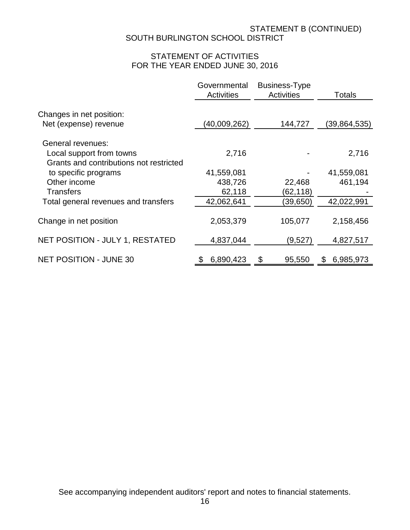## STATEMENT B (CONTINUED) SOUTH BURLINGTON SCHOOL DISTRICT

## STATEMENT OF ACTIVITIES FOR THE YEAR ENDED JUNE 30, 2016

|                                         | Governmental<br><b>Activities</b> | <b>Business-Type</b><br><b>Activities</b> | Totals          |
|-----------------------------------------|-----------------------------------|-------------------------------------------|-----------------|
|                                         |                                   |                                           |                 |
| Changes in net position:                |                                   |                                           |                 |
| Net (expense) revenue                   | (40,009,262)                      | 144,727                                   | (39,864,535)    |
| General revenues:                       |                                   |                                           |                 |
| Local support from towns                | 2,716                             |                                           | 2,716           |
| Grants and contributions not restricted |                                   |                                           |                 |
| to specific programs                    | 41,559,081                        |                                           | 41,559,081      |
| Other income                            | 438,726                           | 22,468                                    | 461,194         |
| <b>Transfers</b>                        | 62,118                            | (62,118)                                  |                 |
| Total general revenues and transfers    | 42,062,641                        | (39, 650)                                 | 42,022,991      |
| Change in net position                  | 2,053,379                         | 105,077                                   | 2,158,456       |
| NET POSITION - JULY 1, RESTATED         | 4,837,044                         | (9,527)                                   | 4,827,517       |
| <b>NET POSITION - JUNE 30</b>           | 6,890,423                         | 95,550                                    | 6,985,973<br>\$ |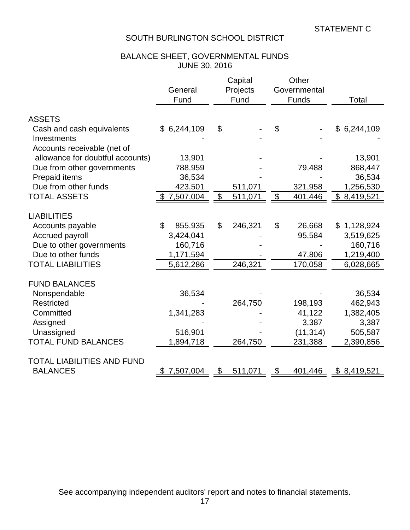## BALANCE SHEET, GOVERNMENTAL FUNDS JUNE 30, 2016

|                                          | General<br>Fund | Capital<br>Projects<br>Fund |         | Other<br>Governmental<br>Funds |           | Total       |
|------------------------------------------|-----------------|-----------------------------|---------|--------------------------------|-----------|-------------|
| <b>ASSETS</b>                            |                 |                             |         |                                |           |             |
| Cash and cash equivalents<br>Investments | \$6,244,109     | \$                          |         | \$                             |           | \$6,244,109 |
| Accounts receivable (net of              |                 |                             |         |                                |           |             |
| allowance for doubtful accounts)         | 13,901          |                             |         |                                |           | 13,901      |
| Due from other governments               | 788,959         |                             |         |                                | 79,488    | 868,447     |
| Prepaid items                            | 36,534          |                             |         |                                |           | 36,534      |
| Due from other funds                     | 423,501         |                             | 511,071 |                                | 321,958   | 1,256,530   |
| <b>TOTAL ASSETS</b>                      | \$7,507,004     | $\$\$                       | 511,071 | $\boldsymbol{\mathsf{\$}}$     | 401,446   | \$8,419,521 |
|                                          |                 |                             |         |                                |           |             |
| <b>LIABILITIES</b>                       |                 |                             |         |                                |           |             |
| Accounts payable                         | 855,935<br>\$   | \$                          | 246,321 | \$                             | 26,668    | \$1,128,924 |
| Accrued payroll                          | 3,424,041       |                             |         |                                | 95,584    | 3,519,625   |
| Due to other governments                 | 160,716         |                             |         |                                |           | 160,716     |
| Due to other funds                       | 1,171,594       |                             |         |                                | 47,806    | 1,219,400   |
| <b>TOTAL LIABILITIES</b>                 | 5,612,286       |                             | 246,321 |                                | 170,058   | 6,028,665   |
|                                          |                 |                             |         |                                |           |             |
| <b>FUND BALANCES</b>                     |                 |                             |         |                                |           |             |
| Nonspendable                             | 36,534          |                             |         |                                |           | 36,534      |
| Restricted                               |                 |                             | 264,750 |                                | 198,193   | 462,943     |
| Committed                                | 1,341,283       |                             |         |                                | 41,122    | 1,382,405   |
| Assigned                                 |                 |                             |         |                                | 3,387     | 3,387       |
| Unassigned                               | 516,901         |                             |         |                                | (11, 314) | 505,587     |
| <b>TOTAL FUND BALANCES</b>               | 1,894,718       |                             | 264,750 |                                | 231,388   | 2,390,856   |
|                                          |                 |                             |         |                                |           |             |
| <b>TOTAL LIABILITIES AND FUND</b>        |                 |                             |         |                                |           |             |
| <b>BALANCES</b>                          | 7,507,004       | \$                          | 511,071 | \$                             | 401,446   | \$8,419,521 |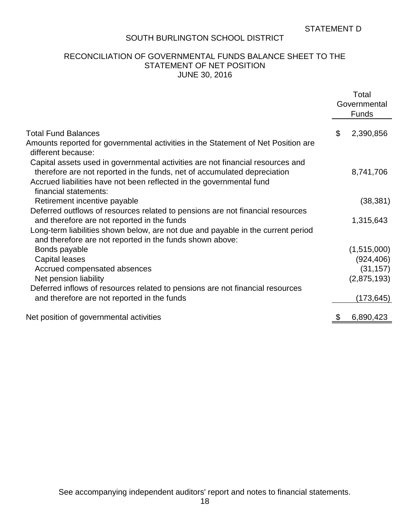## RECONCILIATION OF GOVERNMENTAL FUNDS BALANCE SHEET TO THE STATEMENT OF NET POSITION JUNE 30, 2016

|                                                                                                         | Total           |
|---------------------------------------------------------------------------------------------------------|-----------------|
|                                                                                                         | Governmental    |
|                                                                                                         | <b>Funds</b>    |
| <b>Total Fund Balances</b>                                                                              |                 |
|                                                                                                         | \$<br>2,390,856 |
| Amounts reported for governmental activities in the Statement of Net Position are<br>different because: |                 |
| Capital assets used in governmental activities are not financial resources and                          |                 |
| therefore are not reported in the funds, net of accumulated depreciation                                | 8,741,706       |
| Accrued liabilities have not been reflected in the governmental fund                                    |                 |
| financial statements:                                                                                   |                 |
| Retirement incentive payable                                                                            | (38, 381)       |
| Deferred outflows of resources related to pensions are not financial resources                          |                 |
| and therefore are not reported in the funds                                                             | 1,315,643       |
| Long-term liabilities shown below, are not due and payable in the current period                        |                 |
| and therefore are not reported in the funds shown above:                                                |                 |
| Bonds payable                                                                                           | (1,515,000)     |
| Capital leases                                                                                          | (924, 406)      |
| Accrued compensated absences                                                                            | (31, 157)       |
| Net pension liability                                                                                   | (2,875,193)     |
| Deferred inflows of resources related to pensions are not financial resources                           |                 |
| and therefore are not reported in the funds                                                             | (173, 645)      |
| Net position of governmental activities                                                                 | \$<br>6,890,423 |
|                                                                                                         |                 |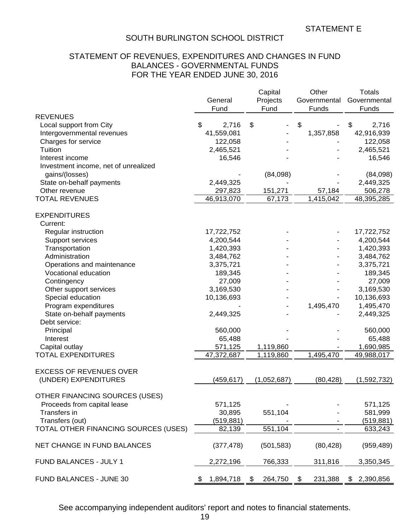## STATEMENT OF REVENUES, EXPENDITURES AND CHANGES IN FUND BALANCES - GOVERNMENTAL FUNDS FOR THE YEAR ENDED JUNE 30, 2016

|                                      |                 | Capital       | Other         | <b>Totals</b>   |  |
|--------------------------------------|-----------------|---------------|---------------|-----------------|--|
|                                      | General         | Projects      | Governmental  | Governmental    |  |
|                                      | Fund            | Fund          | Funds         | Funds           |  |
| <b>REVENUES</b>                      |                 |               |               |                 |  |
| Local support from City              | \$<br>2,716     | \$            | \$            | \$<br>2,716     |  |
| Intergovernmental revenues           | 41,559,081      |               | 1,357,858     | 42,916,939      |  |
| Charges for service                  | 122,058         |               |               | 122,058         |  |
| Tuition                              | 2,465,521       |               |               | 2,465,521       |  |
| Interest income                      | 16,546          |               |               | 16,546          |  |
| Investment income, net of unrealized |                 |               |               |                 |  |
| gains/(losses)                       |                 | (84,098)      |               | (84,098)        |  |
| State on-behalf payments             | 2,449,325       |               |               | 2,449,325       |  |
| Other revenue                        | 297,823         | 151,271       | 57,184        | 506,278         |  |
| <b>TOTAL REVENUES</b>                | 46,913,070      | 67,173        | 1,415,042     | 48,395,285      |  |
| <b>EXPENDITURES</b>                  |                 |               |               |                 |  |
| Current:                             |                 |               |               |                 |  |
| Regular instruction                  | 17,722,752      |               |               | 17,722,752      |  |
| Support services                     | 4,200,544       |               |               | 4,200,544       |  |
| Transportation                       | 1,420,393       |               |               | 1,420,393       |  |
| Administration                       | 3,484,762       |               |               | 3,484,762       |  |
| Operations and maintenance           | 3,375,721       |               |               | 3,375,721       |  |
| Vocational education                 | 189,345         |               |               | 189,345         |  |
| Contingency                          | 27,009          |               |               | 27,009          |  |
| Other support services               | 3,169,530       |               |               | 3,169,530       |  |
| Special education                    | 10,136,693      |               |               | 10,136,693      |  |
| Program expenditures                 |                 |               | 1,495,470     | 1,495,470       |  |
| State on-behalf payments             | 2,449,325       |               |               | 2,449,325       |  |
| Debt service:                        |                 |               |               |                 |  |
| Principal                            | 560,000         |               |               | 560,000         |  |
| Interest                             | 65,488          |               |               | 65,488          |  |
| Capital outlay                       | 571,125         | 1,119,860     |               | 1,690,985       |  |
| <b>TOTAL EXPENDITURES</b>            | 47,372,687      | 1,119,860     | 1,495,470     | 49,988,017      |  |
| <b>EXCESS OF REVENUES OVER</b>       |                 |               |               |                 |  |
| (UNDER) EXPENDITURES                 |                 | (1,052,687)   | (80, 428)     | (1,592,732)     |  |
|                                      | (459, 617)      |               |               |                 |  |
| OTHER FINANCING SOURCES (USES)       |                 |               |               |                 |  |
| Proceeds from capital lease          | 571,125         |               |               | 571,125         |  |
| Transfers in                         | 30,895          | 551,104       |               | 581,999         |  |
| Transfers (out)                      | (519, 881)      |               |               | (519, 881)      |  |
| TOTAL OTHER FINANCING SOURCES (USES) | 82,139          | 551,104       |               | 633,243         |  |
|                                      |                 |               |               |                 |  |
| <b>NET CHANGE IN FUND BALANCES</b>   | (377, 478)      | (501, 583)    | (80, 428)     | (959, 489)      |  |
| FUND BALANCES - JULY 1               | 2,272,196       | 766,333       | 311,816       | 3,350,345       |  |
|                                      |                 |               |               |                 |  |
| FUND BALANCES - JUNE 30              | 1,894,718<br>\$ | 264,750<br>\$ | 231,388<br>\$ | 2,390,856<br>\$ |  |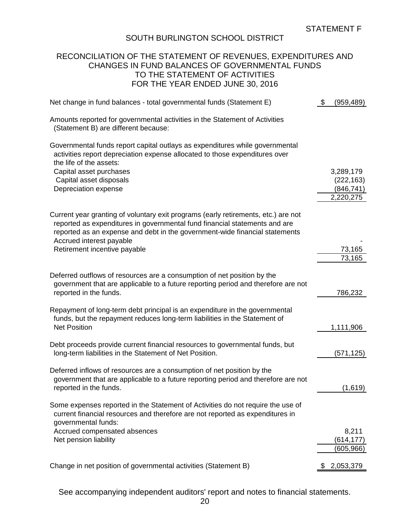## RECONCILIATION OF THE STATEMENT OF REVENUES, EXPENDITURES AND CHANGES IN FUND BALANCES OF GOVERNMENTAL FUNDS TO THE STATEMENT OF ACTIVITIES FOR THE YEAR ENDED JUNE 30, 2016

| Net change in fund balances - total governmental funds (Statement E)                                                                                                                                                                                                        | \$  | (959, 489)               |
|-----------------------------------------------------------------------------------------------------------------------------------------------------------------------------------------------------------------------------------------------------------------------------|-----|--------------------------|
| Amounts reported for governmental activities in the Statement of Activities<br>(Statement B) are different because:                                                                                                                                                         |     |                          |
| Governmental funds report capital outlays as expenditures while governmental<br>activities report depreciation expense allocated to those expenditures over<br>the life of the assets:                                                                                      |     |                          |
| Capital asset purchases                                                                                                                                                                                                                                                     |     | 3,289,179                |
| Capital asset disposals<br>Depreciation expense                                                                                                                                                                                                                             |     | (222, 163)<br>(846, 741) |
|                                                                                                                                                                                                                                                                             |     | 2,220,275                |
| Current year granting of voluntary exit programs (early retirements, etc.) are not<br>reported as expenditures in governmental fund financial statements and are<br>reported as an expense and debt in the government-wide financial statements<br>Accrued interest payable |     |                          |
| Retirement incentive payable                                                                                                                                                                                                                                                |     | 73,165                   |
|                                                                                                                                                                                                                                                                             |     | 73,165                   |
| Deferred outflows of resources are a consumption of net position by the<br>government that are applicable to a future reporting period and therefore are not<br>reported in the funds.                                                                                      |     | 786,232                  |
|                                                                                                                                                                                                                                                                             |     |                          |
| Repayment of long-term debt principal is an expenditure in the governmental<br>funds, but the repayment reduces long-term liabilities in the Statement of                                                                                                                   |     |                          |
| <b>Net Position</b>                                                                                                                                                                                                                                                         |     | 1,111,906                |
| Debt proceeds provide current financial resources to governmental funds, but                                                                                                                                                                                                |     |                          |
| long-term liabilities in the Statement of Net Position.                                                                                                                                                                                                                     |     | (571, 125)               |
| Deferred inflows of resources are a consumption of net position by the<br>government that are applicable to a future reporting period and therefore are not<br>reported in the funds.                                                                                       |     | (1,619)                  |
| Some expenses reported in the Statement of Activities do not require the use of<br>current financial resources and therefore are not reported as expenditures in<br>governmental funds:                                                                                     |     |                          |
| Accrued compensated absences                                                                                                                                                                                                                                                |     | 8,211                    |
| Net pension liability                                                                                                                                                                                                                                                       |     | (614, 177)<br>(605, 966) |
| Change in net position of governmental activities (Statement B)                                                                                                                                                                                                             | \$. | 2,053,379                |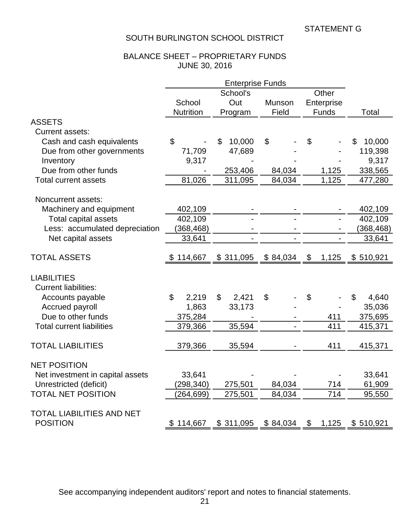## BALANCE SHEET – PROPRIETARY FUNDS JUNE 30, 2016

|                                  |                         | School's<br>Other       |                           |             |              |  |
|----------------------------------|-------------------------|-------------------------|---------------------------|-------------|--------------|--|
|                                  | School                  | Out                     | Munson<br>Enterprise      |             |              |  |
|                                  | <b>Nutrition</b>        | Program                 | Field                     | Funds       | Total        |  |
| <b>ASSETS</b>                    |                         |                         |                           |             |              |  |
| <b>Current assets:</b>           |                         |                         |                           |             |              |  |
| Cash and cash equivalents        | \$                      | 10,000<br>\$            | \$                        | \$          | 10,000<br>\$ |  |
| Due from other governments       | 71,709                  | 47,689                  |                           |             | 119,398      |  |
| Inventory                        | 9,317                   |                         |                           |             | 9,317        |  |
| Due from other funds             |                         | 253,406                 | 84,034                    | 1,125       | 338,565      |  |
| <b>Total current assets</b>      | 81,026                  | 311,095                 | 84,034                    | 1,125       | 477,280      |  |
|                                  |                         |                         |                           |             |              |  |
| Noncurrent assets:               |                         |                         |                           |             |              |  |
| Machinery and equipment          | 402,109                 |                         |                           |             | 402,109      |  |
| Total capital assets             | 402,109                 |                         |                           |             | 402,109      |  |
| Less: accumulated depreciation   | (368, 468)              |                         |                           |             | (368,468)    |  |
| Net capital assets               | 33,641                  |                         | -                         |             | 33,641       |  |
| <b>TOTAL ASSETS</b>              | \$114,667               | \$311,095               | \$84,034                  | 1,125<br>\$ | \$510,921    |  |
|                                  |                         |                         |                           |             |              |  |
| <b>LIABILITIES</b>               |                         |                         |                           |             |              |  |
| <b>Current liabilities:</b>      |                         |                         |                           |             |              |  |
| Accounts payable                 | $\mathfrak{L}$<br>2,219 | $\mathfrak{S}$<br>2,421 | $\boldsymbol{\mathsf{S}}$ | \$          | \$<br>4,640  |  |
| Accrued payroll                  | 1,863                   | 33,173                  |                           |             | 35,036       |  |
| Due to other funds               | 375,284                 |                         | 411                       |             | 375,695      |  |
| <b>Total current liabilities</b> | 379,366                 | 35,594                  | -                         | 411         | 415,371      |  |
|                                  |                         |                         |                           |             |              |  |
| <b>TOTAL LIABILITIES</b>         | 379,366                 | 35,594                  |                           | 411         | 415,371      |  |
| <b>NET POSITION</b>              |                         |                         |                           |             |              |  |
| Net investment in capital assets | 33,641                  |                         |                           |             | 33,641       |  |
| Unrestricted (deficit)           | (298, 340)              | 275,501                 | 84,034                    | 714         | 61,909       |  |
| <b>TOTAL NET POSITION</b>        | (264, 699)              | 275,501                 | 84,034                    | 714         | 95,550       |  |
|                                  |                         |                         |                           |             |              |  |
| <b>TOTAL LIABILITIES AND NET</b> |                         |                         |                           |             |              |  |
| <b>POSITION</b>                  | \$114,667               | \$311,095               | $$84,034$ \,              | 1,125       | \$510,921    |  |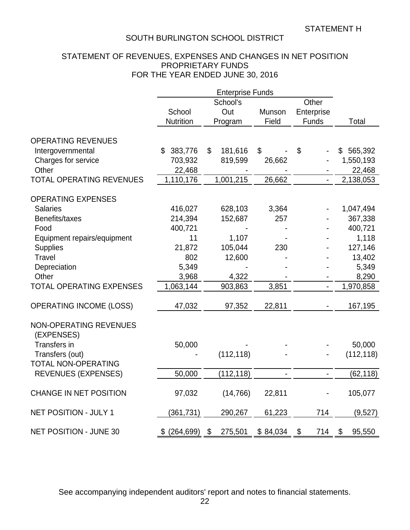## STATEMENT OF REVENUES, EXPENSES AND CHANGES IN NET POSITION PROPRIETARY FUNDS FOR THE YEAR ENDED JUNE 30, 2016

|                                             | <b>Enterprise Funds</b> |               |          |            |                |
|---------------------------------------------|-------------------------|---------------|----------|------------|----------------|
|                                             | School's                |               | Other    |            |                |
|                                             | School                  | Out           | Munson   | Enterprise |                |
|                                             | <b>Nutrition</b>        | Program       | Field    | Funds      | Total          |
|                                             |                         |               |          |            |                |
| <b>OPERATING REVENUES</b>                   |                         |               |          |            |                |
| Intergovernmental                           | \$<br>383,776           | \$<br>181,616 | \$       | \$         | 565,392        |
| Charges for service                         | 703,932                 | 819,599       | 26,662   |            | 1,550,193      |
| Other                                       | 22,468                  |               |          |            | 22,468         |
| <b>TOTAL OPERATING REVENUES</b>             | 1,110,176               | 1,001,215     | 26,662   |            | 2,138,053      |
| <b>OPERATING EXPENSES</b>                   |                         |               |          |            |                |
| <b>Salaries</b>                             | 416,027                 | 628,103       | 3,364    |            | 1,047,494      |
| Benefits/taxes                              | 214,394                 | 152,687       | 257      |            | 367,338        |
| Food                                        | 400,721                 |               |          |            | 400,721        |
| Equipment repairs/equipment                 | 11                      | 1,107         |          |            | 1,118          |
| <b>Supplies</b>                             | 21,872                  | 105,044       | 230      |            | 127,146        |
| Travel                                      | 802                     | 12,600        |          |            | 13,402         |
| Depreciation                                | 5,349                   |               |          |            | 5,349          |
| Other                                       | 3,968                   | 4,322         |          |            | 8,290          |
| <b>TOTAL OPERATING EXPENSES</b>             | 1,063,144               | 903,863       | 3,851    |            | 1,970,858      |
|                                             |                         |               |          |            |                |
| <b>OPERATING INCOME (LOSS)</b>              | 47,032                  | 97,352        | 22,811   |            | 167,195        |
| <b>NON-OPERATING REVENUES</b><br>(EXPENSES) |                         |               |          |            |                |
| Transfers in                                | 50,000                  |               |          |            | 50,000         |
| Transfers (out)                             |                         | (112, 118)    |          |            | (112, 118)     |
| TOTAL NON-OPERATING                         |                         |               |          |            |                |
| <b>REVENUES (EXPENSES)</b>                  | 50,000                  | (112, 118)    |          |            | (62, 118)      |
| <b>CHANGE IN NET POSITION</b>               | 97,032                  | (14, 766)     | 22,811   |            | 105,077        |
| NET POSITION - JULY 1                       | (361, 731)              | 290,267       | 61,223   | 714        | (9,527)        |
| NET POSITION - JUNE 30                      | \$ (264, 699) \$        | 275,501       | \$84,034 | \$<br>714  | 95,550<br>- \$ |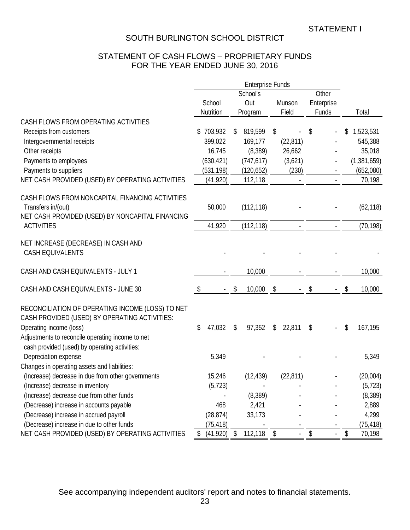## STATEMENT OF CASH FLOWS – PROPRIETARY FUNDS FOR THE YEAR ENDED JUNE 30, 2016

|                                                   | <b>Enterprise Funds</b> |               |           |                         |                                |    |             |
|---------------------------------------------------|-------------------------|---------------|-----------|-------------------------|--------------------------------|----|-------------|
|                                                   | Other<br>School's       |               |           |                         |                                |    |             |
|                                                   | School                  | Out           |           | Munson                  | Enterprise                     |    |             |
|                                                   | Nutrition               | Program       |           | Field                   | Funds                          |    | Total       |
| CASH FLOWS FROM OPERATING ACTIVITIES              |                         |               |           |                         |                                |    |             |
| Receipts from customers                           | 703,932<br>S.           | 819,599<br>\$ |           | \$                      | \$                             | S  | 1,523,531   |
| Intergovernmental receipts                        | 399,022                 | 169,177       |           | (22, 811)               |                                |    | 545,388     |
| Other receipts                                    | 16,745                  |               | (8,389)   | 26,662                  |                                |    | 35,018      |
| Payments to employees                             | (630, 421)              | (747, 617)    |           | (3,621)                 |                                |    | (1,381,659) |
| Payments to suppliers                             | (531, 198)              | (120, 652)    |           | (230)                   |                                |    | (652,080)   |
| NET CASH PROVIDED (USED) BY OPERATING ACTIVITIES  | (41, 920)               | 112,118       |           |                         |                                |    | 70,198      |
| CASH FLOWS FROM NONCAPITAL FINANCING ACTIVITIES   |                         |               |           |                         |                                |    |             |
| Transfers in/(out)                                | 50,000                  | (112, 118)    |           |                         |                                |    | (62, 118)   |
| NET CASH PROVIDED (USED) BY NONCAPITAL FINANCING  |                         |               |           |                         |                                |    |             |
| <b>ACTIVITIES</b>                                 | 41,920                  | (112, 118)    |           |                         |                                |    | (70, 198)   |
| NET INCREASE (DECREASE) IN CASH AND               |                         |               |           |                         |                                |    |             |
| <b>CASH EQUIVALENTS</b>                           |                         |               |           |                         |                                |    |             |
| CASH AND CASH EQUIVALENTS - JULY 1                |                         |               | 10,000    |                         |                                |    | 10,000      |
| CASH AND CASH EQUIVALENTS - JUNE 30               | \$                      | \$            | 10,000    | \$                      | \$                             | \$ | 10,000      |
| RECONCILIATION OF OPERATING INCOME (LOSS) TO NET  |                         |               |           |                         |                                |    |             |
| CASH PROVIDED (USED) BY OPERATING ACTIVITIES:     |                         |               |           |                         |                                |    |             |
| Operating income (loss)                           | 47,032<br>\$            | \$            | 97,352    | $\mathsf{\$}$<br>22,811 | \$                             | \$ | 167,195     |
| Adjustments to reconcile operating income to net  |                         |               |           |                         |                                |    |             |
| cash provided (used) by operating activities:     |                         |               |           |                         |                                |    |             |
| Depreciation expense                              | 5,349                   |               |           |                         |                                |    | 5,349       |
| Changes in operating assets and liabilities:      |                         |               |           |                         |                                |    |             |
| (Increase) decrease in due from other governments | 15,246                  |               | (12, 439) | (22, 811)               |                                |    | (20,004)    |
| (Increase) decrease in inventory                  | (5, 723)                |               |           |                         |                                |    | (5, 723)    |
| (Increase) decrease due from other funds          |                         |               | (8, 389)  |                         |                                |    | (8,389)     |
| (Decrease) increase in accounts payable           | 468                     |               | 2,421     |                         |                                |    | 2,889       |
| (Decrease) increase in accrued payroll            | (28, 874)               |               | 33,173    |                         |                                |    | 4,299       |
| (Decrease) increase in due to other funds         | (75, 418)               |               |           |                         |                                |    | (75, 418)   |
| NET CASH PROVIDED (USED) BY OPERATING ACTIVITIES  | (41, 920)<br>\$         | 112,118<br>\$ |           | \$                      | \$<br>$\overline{\phantom{a}}$ | \$ | 70,198      |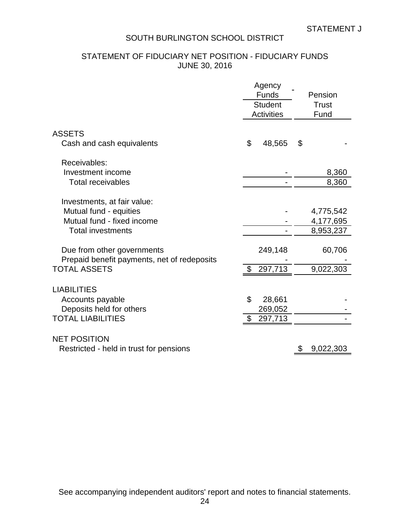## STATEMENT OF FIDUCIARY NET POSITION - FIDUCIARY FUNDS JUNE 30, 2016

| <b>Funds</b><br>Pension                              |        |  |
|------------------------------------------------------|--------|--|
|                                                      |        |  |
| <b>Student</b><br><b>Trust</b>                       |        |  |
| <b>Activities</b><br>Fund                            |        |  |
|                                                      |        |  |
| <b>ASSETS</b>                                        |        |  |
| \$<br>48,565<br>\$<br>Cash and cash equivalents      |        |  |
| Receivables:                                         |        |  |
| Investment income                                    | 8,360  |  |
| <b>Total receivables</b>                             | 8,360  |  |
|                                                      |        |  |
| Investments, at fair value:                          |        |  |
| Mutual fund - equities<br>4,775,542                  |        |  |
| Mutual fund - fixed income<br>4,177,695              |        |  |
| <b>Total investments</b><br>8,953,237                |        |  |
|                                                      |        |  |
| Due from other governments<br>249,148                | 60,706 |  |
| Prepaid benefit payments, net of redeposits          |        |  |
| <b>TOTAL ASSETS</b><br>297,713<br>9,022,303          |        |  |
|                                                      |        |  |
|                                                      |        |  |
| <b>LIABILITIES</b>                                   |        |  |
| \$<br>28,661<br>Accounts payable                     |        |  |
| Deposits held for others<br>269,052                  |        |  |
| <b>TOTAL LIABILITIES</b><br>297,713<br>\$            |        |  |
|                                                      |        |  |
| <b>NET POSITION</b>                                  |        |  |
| Restricted - held in trust for pensions<br>9,022,303 |        |  |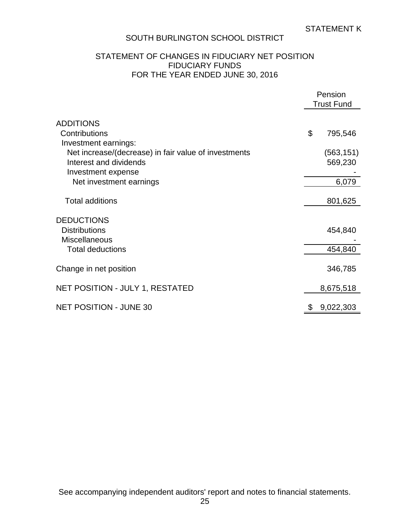## STATEMENT OF CHANGES IN FIDUCIARY NET POSITION FIDUCIARY FUNDS FOR THE YEAR ENDED JUNE 30, 2016

|                                                                                                                              | Pension<br><b>Trust Fund</b> |
|------------------------------------------------------------------------------------------------------------------------------|------------------------------|
| <b>ADDITIONS</b><br>Contributions                                                                                            | \$<br>795,546                |
| Investment earnings:<br>Net increase/(decrease) in fair value of investments<br>Interest and dividends<br>Investment expense | (563, 151)<br>569,230        |
| Net investment earnings                                                                                                      | 6,079                        |
| <b>Total additions</b>                                                                                                       | 801,625                      |
| <b>DEDUCTIONS</b><br><b>Distributions</b><br><b>Miscellaneous</b>                                                            | 454,840                      |
| <b>Total deductions</b>                                                                                                      | 454,840                      |
| Change in net position                                                                                                       | 346,785                      |
| NET POSITION - JULY 1, RESTATED                                                                                              | 8,675,518                    |
| <b>NET POSITION - JUNE 30</b>                                                                                                | 9,022,303                    |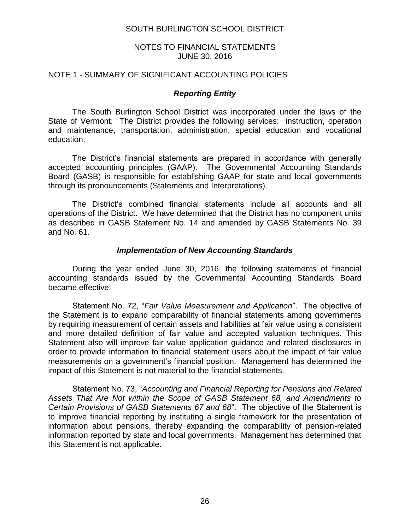## NOTES TO FINANCIAL STATEMENTS JUNE 30, 2016

#### NOTE 1 - SUMMARY OF SIGNIFICANT ACCOUNTING POLICIES

## *Reporting Entity*

The South Burlington School District was incorporated under the laws of the State of Vermont. The District provides the following services: instruction, operation and maintenance, transportation, administration, special education and vocational education.

The District's financial statements are prepared in accordance with generally accepted accounting principles (GAAP). The Governmental Accounting Standards Board (GASB) is responsible for establishing GAAP for state and local governments through its pronouncements (Statements and Interpretations).

The District's combined financial statements include all accounts and all operations of the District. We have determined that the District has no component units as described in GASB Statement No. 14 and amended by GASB Statements No. 39 and No. 61.

#### *Implementation of New Accounting Standards*

During the year ended June 30, 2016, the following statements of financial accounting standards issued by the Governmental Accounting Standards Board became effective:

Statement No. 72, "*Fair Value Measurement and Application*". The objective of the Statement is to expand comparability of financial statements among governments by requiring measurement of certain assets and liabilities at fair value using a consistent and more detailed definition of fair value and accepted valuation techniques. This Statement also will improve fair value application guidance and related disclosures in order to provide information to financial statement users about the impact of fair value measurements on a government's financial position. Management has determined the impact of this Statement is not material to the financial statements.

Statement No. 73, "*Accounting and Financial Reporting for Pensions and Related Assets That Are Not within the Scope of GASB Statement 68, and Amendments to Certain Provisions of GASB Statements 67 and 68*". The objective of the Statement is to improve financial reporting by instituting a single framework for the presentation of information about pensions, thereby expanding the comparability of pension-related information reported by state and local governments. Management has determined that this Statement is not applicable.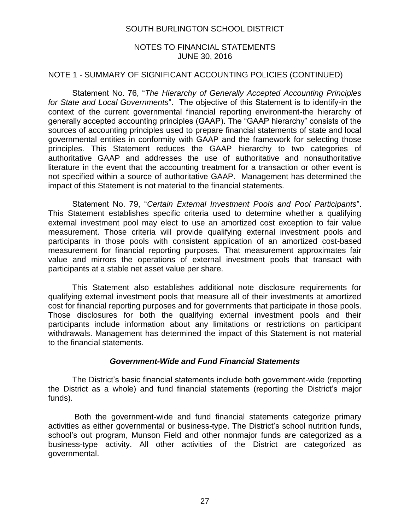## NOTES TO FINANCIAL STATEMENTS JUNE 30, 2016

## NOTE 1 - SUMMARY OF SIGNIFICANT ACCOUNTING POLICIES (CONTINUED)

Statement No. 76, "*The Hierarchy of Generally Accepted Accounting Principles for State and Local Governments*". The objective of this Statement is to identify-in the context of the current governmental financial reporting environment-the hierarchy of generally accepted accounting principles (GAAP). The "GAAP hierarchy" consists of the sources of accounting principles used to prepare financial statements of state and local governmental entities in conformity with GAAP and the framework for selecting those principles. This Statement reduces the GAAP hierarchy to two categories of authoritative GAAP and addresses the use of authoritative and nonauthoritative literature in the event that the accounting treatment for a transaction or other event is not specified within a source of authoritative GAAP. Management has determined the impact of this Statement is not material to the financial statements.

Statement No. 79, "*Certain External Investment Pools and Pool Participants*". This Statement establishes specific criteria used to determine whether a qualifying external investment pool may elect to use an amortized cost exception to fair value measurement. Those criteria will provide qualifying external investment pools and participants in those pools with consistent application of an amortized cost-based measurement for financial reporting purposes. That measurement approximates fair value and mirrors the operations of external investment pools that transact with participants at a stable net asset value per share.

This Statement also establishes additional note disclosure requirements for qualifying external investment pools that measure all of their investments at amortized cost for financial reporting purposes and for governments that participate in those pools. Those disclosures for both the qualifying external investment pools and their participants include information about any limitations or restrictions on participant withdrawals. Management has determined the impact of this Statement is not material to the financial statements.

## *Government-Wide and Fund Financial Statements*

The District's basic financial statements include both government-wide (reporting the District as a whole) and fund financial statements (reporting the District's major funds).

Both the government-wide and fund financial statements categorize primary activities as either governmental or business-type. The District's school nutrition funds, school's out program, Munson Field and other nonmajor funds are categorized as a business-type activity. All other activities of the District are categorized as governmental.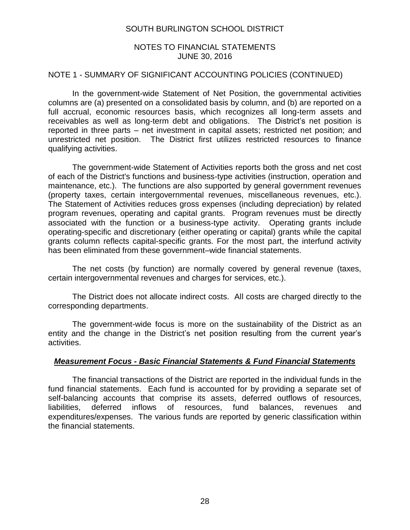## NOTES TO FINANCIAL STATEMENTS JUNE 30, 2016

#### NOTE 1 - SUMMARY OF SIGNIFICANT ACCOUNTING POLICIES (CONTINUED)

In the government-wide Statement of Net Position, the governmental activities columns are (a) presented on a consolidated basis by column, and (b) are reported on a full accrual, economic resources basis, which recognizes all long-term assets and receivables as well as long-term debt and obligations. The District's net position is reported in three parts – net investment in capital assets; restricted net position; and unrestricted net position. The District first utilizes restricted resources to finance qualifying activities.

The government-wide Statement of Activities reports both the gross and net cost of each of the District's functions and business-type activities (instruction, operation and maintenance, etc.). The functions are also supported by general government revenues (property taxes, certain intergovernmental revenues, miscellaneous revenues, etc.). The Statement of Activities reduces gross expenses (including depreciation) by related program revenues, operating and capital grants. Program revenues must be directly associated with the function or a business-type activity. Operating grants include operating-specific and discretionary (either operating or capital) grants while the capital grants column reflects capital-specific grants. For the most part, the interfund activity has been eliminated from these government–wide financial statements.

The net costs (by function) are normally covered by general revenue (taxes, certain intergovernmental revenues and charges for services, etc.).

The District does not allocate indirect costs. All costs are charged directly to the corresponding departments.

The government-wide focus is more on the sustainability of the District as an entity and the change in the District's net position resulting from the current year's activities.

#### *Measurement Focus - Basic Financial Statements & Fund Financial Statements*

The financial transactions of the District are reported in the individual funds in the fund financial statements. Each fund is accounted for by providing a separate set of self-balancing accounts that comprise its assets, deferred outflows of resources, liabilities, deferred inflows of resources, fund balances, revenues and expenditures/expenses. The various funds are reported by generic classification within the financial statements.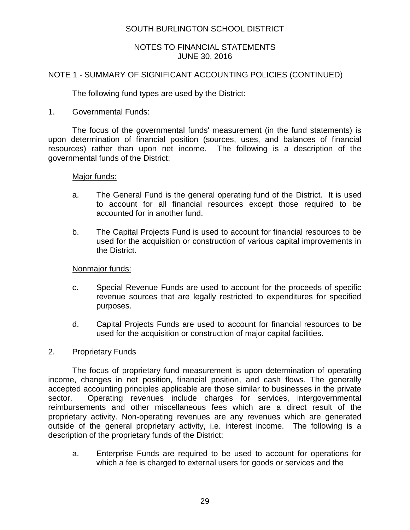## NOTES TO FINANCIAL STATEMENTS JUNE 30, 2016

## NOTE 1 - SUMMARY OF SIGNIFICANT ACCOUNTING POLICIES (CONTINUED)

The following fund types are used by the District:

1. Governmental Funds:

The focus of the governmental funds' measurement (in the fund statements) is upon determination of financial position (sources, uses, and balances of financial resources) rather than upon net income. The following is a description of the governmental funds of the District:

#### Major funds:

- a. The General Fund is the general operating fund of the District. It is used to account for all financial resources except those required to be accounted for in another fund.
- b. The Capital Projects Fund is used to account for financial resources to be used for the acquisition or construction of various capital improvements in the District.

#### Nonmajor funds:

- c. Special Revenue Funds are used to account for the proceeds of specific revenue sources that are legally restricted to expenditures for specified purposes.
- d. Capital Projects Funds are used to account for financial resources to be used for the acquisition or construction of major capital facilities.
- 2. Proprietary Funds

The focus of proprietary fund measurement is upon determination of operating income, changes in net position, financial position, and cash flows. The generally accepted accounting principles applicable are those similar to businesses in the private sector. Operating revenues include charges for services, intergovernmental reimbursements and other miscellaneous fees which are a direct result of the proprietary activity. Non-operating revenues are any revenues which are generated outside of the general proprietary activity, i.e. interest income. The following is a description of the proprietary funds of the District:

a. Enterprise Funds are required to be used to account for operations for which a fee is charged to external users for goods or services and the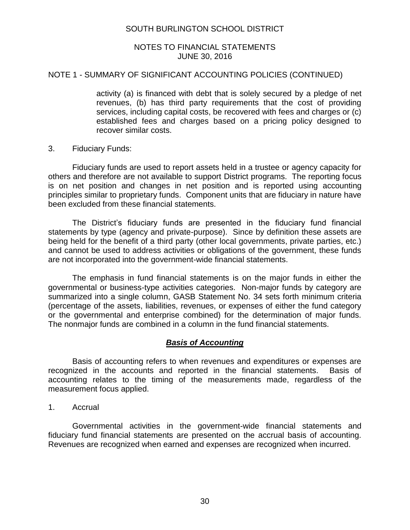## NOTES TO FINANCIAL STATEMENTS JUNE 30, 2016

## NOTE 1 - SUMMARY OF SIGNIFICANT ACCOUNTING POLICIES (CONTINUED)

activity (a) is financed with debt that is solely secured by a pledge of net revenues, (b) has third party requirements that the cost of providing services, including capital costs, be recovered with fees and charges or (c) established fees and charges based on a pricing policy designed to recover similar costs.

#### 3. Fiduciary Funds:

Fiduciary funds are used to report assets held in a trustee or agency capacity for others and therefore are not available to support District programs. The reporting focus is on net position and changes in net position and is reported using accounting principles similar to proprietary funds. Component units that are fiduciary in nature have been excluded from these financial statements.

The District's fiduciary funds are presented in the fiduciary fund financial statements by type (agency and private-purpose). Since by definition these assets are being held for the benefit of a third party (other local governments, private parties, etc.) and cannot be used to address activities or obligations of the government, these funds are not incorporated into the government-wide financial statements.

The emphasis in fund financial statements is on the major funds in either the governmental or business-type activities categories. Non-major funds by category are summarized into a single column, GASB Statement No. 34 sets forth minimum criteria (percentage of the assets, liabilities, revenues, or expenses of either the fund category or the governmental and enterprise combined) for the determination of major funds. The nonmajor funds are combined in a column in the fund financial statements.

## *Basis of Accounting*

Basis of accounting refers to when revenues and expenditures or expenses are recognized in the accounts and reported in the financial statements. Basis of accounting relates to the timing of the measurements made, regardless of the measurement focus applied.

1. Accrual

Governmental activities in the government-wide financial statements and fiduciary fund financial statements are presented on the accrual basis of accounting. Revenues are recognized when earned and expenses are recognized when incurred.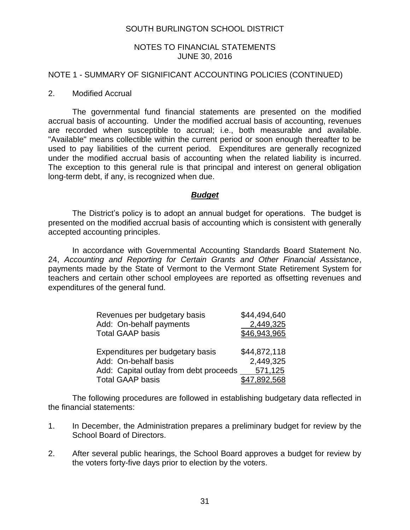## NOTES TO FINANCIAL STATEMENTS JUNE 30, 2016

#### NOTE 1 - SUMMARY OF SIGNIFICANT ACCOUNTING POLICIES (CONTINUED)

#### 2. Modified Accrual

The governmental fund financial statements are presented on the modified accrual basis of accounting. Under the modified accrual basis of accounting, revenues are recorded when susceptible to accrual; i.e., both measurable and available. "Available" means collectible within the current period or soon enough thereafter to be used to pay liabilities of the current period. Expenditures are generally recognized under the modified accrual basis of accounting when the related liability is incurred. The exception to this general rule is that principal and interest on general obligation long-term debt, if any, is recognized when due.

#### *Budget*

The District's policy is to adopt an annual budget for operations. The budget is presented on the modified accrual basis of accounting which is consistent with generally accepted accounting principles.

In accordance with Governmental Accounting Standards Board Statement No. 24, *Accounting and Reporting for Certain Grants and Other Financial Assistance*, payments made by the State of Vermont to the Vermont State Retirement System for teachers and certain other school employees are reported as offsetting revenues and expenditures of the general fund.

| Revenues per budgetary basis           | \$44,494,640 |
|----------------------------------------|--------------|
| Add: On-behalf payments                | 2,449,325    |
| <b>Total GAAP basis</b>                | \$46,943,965 |
|                                        |              |
| Expenditures per budgetary basis       | \$44,872,118 |
| Add: On-behalf basis                   | 2,449,325    |
| Add: Capital outlay from debt proceeds | 571,125      |
| <b>Total GAAP basis</b>                | \$47,892,568 |

The following procedures are followed in establishing budgetary data reflected in the financial statements:

- 1. In December, the Administration prepares a preliminary budget for review by the School Board of Directors.
- 2. After several public hearings, the School Board approves a budget for review by the voters forty-five days prior to election by the voters.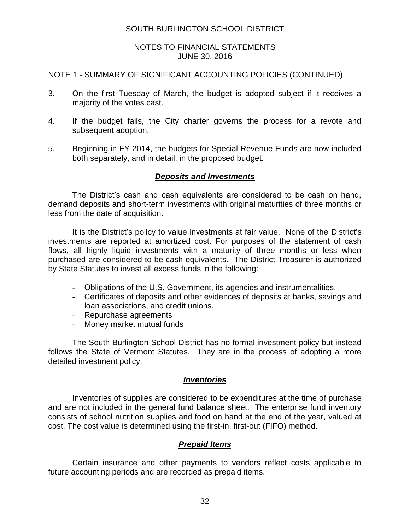## NOTES TO FINANCIAL STATEMENTS JUNE 30, 2016

## NOTE 1 - SUMMARY OF SIGNIFICANT ACCOUNTING POLICIES (CONTINUED)

- 3. On the first Tuesday of March, the budget is adopted subject if it receives a majority of the votes cast.
- 4. If the budget fails, the City charter governs the process for a revote and subsequent adoption.
- 5. Beginning in FY 2014, the budgets for Special Revenue Funds are now included both separately, and in detail, in the proposed budget.

## *Deposits and Investments*

The District's cash and cash equivalents are considered to be cash on hand, demand deposits and short-term investments with original maturities of three months or less from the date of acquisition.

It is the District's policy to value investments at fair value. None of the District's investments are reported at amortized cost. For purposes of the statement of cash flows, all highly liquid investments with a maturity of three months or less when purchased are considered to be cash equivalents. The District Treasurer is authorized by State Statutes to invest all excess funds in the following:

- Obligations of the U.S. Government, its agencies and instrumentalities.
- Certificates of deposits and other evidences of deposits at banks, savings and loan associations, and credit unions.
- Repurchase agreements
- Money market mutual funds

The South Burlington School District has no formal investment policy but instead follows the State of Vermont Statutes. They are in the process of adopting a more detailed investment policy.

## *Inventories*

Inventories of supplies are considered to be expenditures at the time of purchase and are not included in the general fund balance sheet. The enterprise fund inventory consists of school nutrition supplies and food on hand at the end of the year, valued at cost. The cost value is determined using the first-in, first-out (FIFO) method.

## *Prepaid Items*

Certain insurance and other payments to vendors reflect costs applicable to future accounting periods and are recorded as prepaid items.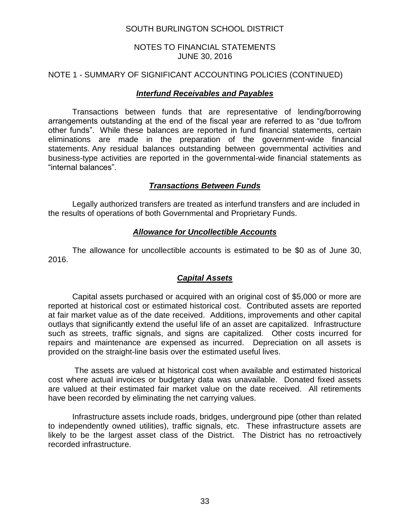## NOTES TO FINANCIAL STATEMENTS JUNE 30, 2016

## NOTE 1 - SUMMARY OF SIGNIFICANT ACCOUNTING POLICIES (CONTINUED)

## *Interfund Receivables and Payables*

Transactions between funds that are representative of lending/borrowing arrangements outstanding at the end of the fiscal year are referred to as "due to/from other funds". While these balances are reported in fund financial statements, certain eliminations are made in the preparation of the government-wide financial statements. Any residual balances outstanding between governmental activities and business-type activities are reported in the governmental-wide financial statements as "internal balances".

## *Transactions Between Funds*

Legally authorized transfers are treated as interfund transfers and are included in the results of operations of both Governmental and Proprietary Funds.

## *Allowance for Uncollectible Accounts*

The allowance for uncollectible accounts is estimated to be \$0 as of June 30, 2016.

## *Capital Assets*

Capital assets purchased or acquired with an original cost of \$5,000 or more are reported at historical cost or estimated historical cost. Contributed assets are reported at fair market value as of the date received. Additions, improvements and other capital outlays that significantly extend the useful life of an asset are capitalized. Infrastructure such as streets, traffic signals, and signs are capitalized. Other costs incurred for repairs and maintenance are expensed as incurred. Depreciation on all assets is provided on the straight-line basis over the estimated useful lives.

The assets are valued at historical cost when available and estimated historical cost where actual invoices or budgetary data was unavailable. Donated fixed assets are valued at their estimated fair market value on the date received. All retirements have been recorded by eliminating the net carrying values.

Infrastructure assets include roads, bridges, underground pipe (other than related to independently owned utilities), traffic signals, etc. These infrastructure assets are likely to be the largest asset class of the District. The District has no retroactively recorded infrastructure.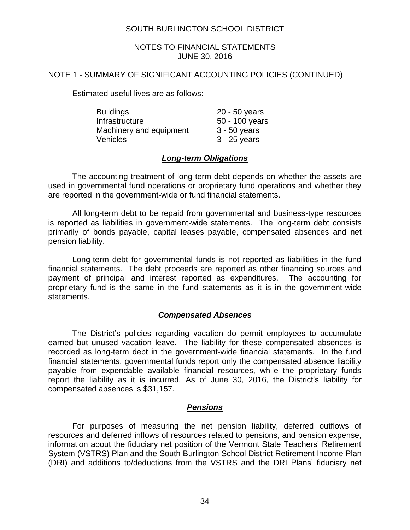### NOTES TO FINANCIAL STATEMENTS JUNE 30, 2016

#### NOTE 1 - SUMMARY OF SIGNIFICANT ACCOUNTING POLICIES (CONTINUED)

Estimated useful lives are as follows:

| <b>Buildings</b>        | $20 - 50$ years |
|-------------------------|-----------------|
| Infrastructure          | 50 - 100 years  |
| Machinery and equipment | $3 - 50$ years  |
| <b>Vehicles</b>         | $3 - 25$ years  |

## *Long-term Obligations*

The accounting treatment of long-term debt depends on whether the assets are used in governmental fund operations or proprietary fund operations and whether they are reported in the government-wide or fund financial statements.

All long-term debt to be repaid from governmental and business-type resources is reported as liabilities in government-wide statements. The long-term debt consists primarily of bonds payable, capital leases payable, compensated absences and net pension liability.

Long-term debt for governmental funds is not reported as liabilities in the fund financial statements. The debt proceeds are reported as other financing sources and payment of principal and interest reported as expenditures. The accounting for proprietary fund is the same in the fund statements as it is in the government-wide statements.

## *Compensated Absences*

The District's policies regarding vacation do permit employees to accumulate earned but unused vacation leave. The liability for these compensated absences is recorded as long-term debt in the government-wide financial statements. In the fund financial statements, governmental funds report only the compensated absence liability payable from expendable available financial resources, while the proprietary funds report the liability as it is incurred. As of June 30, 2016, the District's liability for compensated absences is \$31,157.

#### *Pensions*

For purposes of measuring the net pension liability, deferred outflows of resources and deferred inflows of resources related to pensions, and pension expense, information about the fiduciary net position of the Vermont State Teachers' Retirement System (VSTRS) Plan and the South Burlington School District Retirement Income Plan (DRI) and additions to/deductions from the VSTRS and the DRI Plans' fiduciary net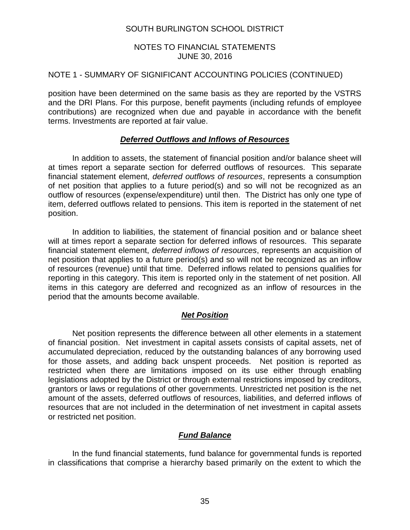## NOTES TO FINANCIAL STATEMENTS JUNE 30, 2016

## NOTE 1 - SUMMARY OF SIGNIFICANT ACCOUNTING POLICIES (CONTINUED)

position have been determined on the same basis as they are reported by the VSTRS and the DRI Plans. For this purpose, benefit payments (including refunds of employee contributions) are recognized when due and payable in accordance with the benefit terms. Investments are reported at fair value.

## *Deferred Outflows and Inflows of Resources*

In addition to assets, the statement of financial position and/or balance sheet will at times report a separate section for deferred outflows of resources. This separate financial statement element, *deferred outflows of resources*, represents a consumption of net position that applies to a future period(s) and so will not be recognized as an outflow of resources (expense/expenditure) until then. The District has only one type of item, deferred outflows related to pensions. This item is reported in the statement of net position.

In addition to liabilities, the statement of financial position and or balance sheet will at times report a separate section for deferred inflows of resources. This separate financial statement element, *deferred inflows of resources*, represents an acquisition of net position that applies to a future period(s) and so will not be recognized as an inflow of resources (revenue) until that time. Deferred inflows related to pensions qualifies for reporting in this category. This item is reported only in the statement of net position. All items in this category are deferred and recognized as an inflow of resources in the period that the amounts become available.

## *Net Position*

Net position represents the difference between all other elements in a statement of financial position. Net investment in capital assets consists of capital assets, net of accumulated depreciation, reduced by the outstanding balances of any borrowing used for those assets, and adding back unspent proceeds. Net position is reported as restricted when there are limitations imposed on its use either through enabling legislations adopted by the District or through external restrictions imposed by creditors, grantors or laws or regulations of other governments. Unrestricted net position is the net amount of the assets, deferred outflows of resources, liabilities, and deferred inflows of resources that are not included in the determination of net investment in capital assets or restricted net position.

# *Fund Balance*

In the fund financial statements, fund balance for governmental funds is reported in classifications that comprise a hierarchy based primarily on the extent to which the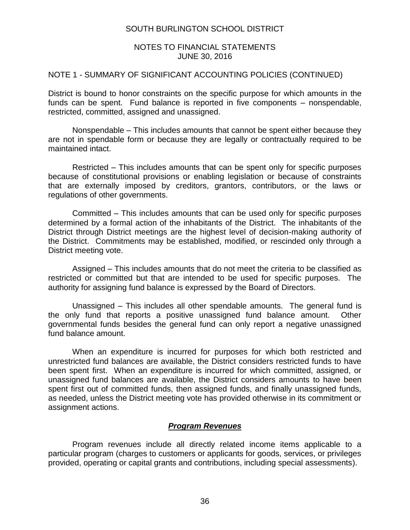#### NOTES TO FINANCIAL STATEMENTS JUNE 30, 2016

#### NOTE 1 - SUMMARY OF SIGNIFICANT ACCOUNTING POLICIES (CONTINUED)

District is bound to honor constraints on the specific purpose for which amounts in the funds can be spent. Fund balance is reported in five components – nonspendable, restricted, committed, assigned and unassigned.

Nonspendable – This includes amounts that cannot be spent either because they are not in spendable form or because they are legally or contractually required to be maintained intact.

Restricted – This includes amounts that can be spent only for specific purposes because of constitutional provisions or enabling legislation or because of constraints that are externally imposed by creditors, grantors, contributors, or the laws or regulations of other governments.

Committed – This includes amounts that can be used only for specific purposes determined by a formal action of the inhabitants of the District. The inhabitants of the District through District meetings are the highest level of decision-making authority of the District. Commitments may be established, modified, or rescinded only through a District meeting vote.

Assigned – This includes amounts that do not meet the criteria to be classified as restricted or committed but that are intended to be used for specific purposes. The authority for assigning fund balance is expressed by the Board of Directors.

Unassigned – This includes all other spendable amounts. The general fund is the only fund that reports a positive unassigned fund balance amount. Other governmental funds besides the general fund can only report a negative unassigned fund balance amount.

When an expenditure is incurred for purposes for which both restricted and unrestricted fund balances are available, the District considers restricted funds to have been spent first. When an expenditure is incurred for which committed, assigned, or unassigned fund balances are available, the District considers amounts to have been spent first out of committed funds, then assigned funds, and finally unassigned funds, as needed, unless the District meeting vote has provided otherwise in its commitment or assignment actions.

## *Program Revenues*

Program revenues include all directly related income items applicable to a particular program (charges to customers or applicants for goods, services, or privileges provided, operating or capital grants and contributions, including special assessments).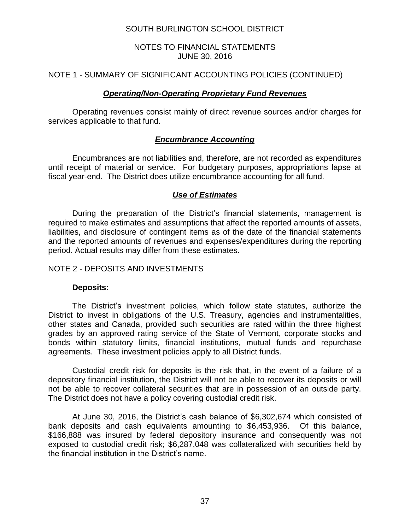## NOTES TO FINANCIAL STATEMENTS JUNE 30, 2016

### NOTE 1 - SUMMARY OF SIGNIFICANT ACCOUNTING POLICIES (CONTINUED)

### *Operating/Non-Operating Proprietary Fund Revenues*

Operating revenues consist mainly of direct revenue sources and/or charges for services applicable to that fund.

## *Encumbrance Accounting*

Encumbrances are not liabilities and, therefore, are not recorded as expenditures until receipt of material or service. For budgetary purposes, appropriations lapse at fiscal year-end. The District does utilize encumbrance accounting for all fund.

#### *Use of Estimates*

During the preparation of the District's financial statements, management is required to make estimates and assumptions that affect the reported amounts of assets, liabilities, and disclosure of contingent items as of the date of the financial statements and the reported amounts of revenues and expenses/expenditures during the reporting period. Actual results may differ from these estimates.

#### NOTE 2 - DEPOSITS AND INVESTMENTS

#### **Deposits:**

The District's investment policies, which follow state statutes, authorize the District to invest in obligations of the U.S. Treasury, agencies and instrumentalities, other states and Canada, provided such securities are rated within the three highest grades by an approved rating service of the State of Vermont, corporate stocks and bonds within statutory limits, financial institutions, mutual funds and repurchase agreements. These investment policies apply to all District funds.

Custodial credit risk for deposits is the risk that, in the event of a failure of a depository financial institution, the District will not be able to recover its deposits or will not be able to recover collateral securities that are in possession of an outside party. The District does not have a policy covering custodial credit risk.

At June 30, 2016, the District's cash balance of \$6,302,674 which consisted of bank deposits and cash equivalents amounting to \$6,453,936. Of this balance, \$166,888 was insured by federal depository insurance and consequently was not exposed to custodial credit risk; \$6,287,048 was collateralized with securities held by the financial institution in the District's name.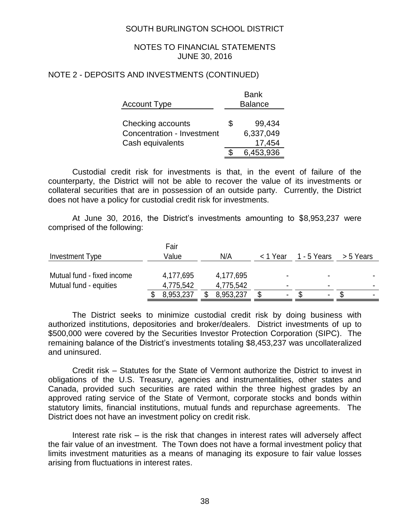#### NOTES TO FINANCIAL STATEMENTS JUNE 30, 2016

#### NOTE 2 - DEPOSITS AND INVESTMENTS (CONTINUED)

| <b>Account Type</b>                                                 | <b>Bank</b><br><b>Balance</b>       |
|---------------------------------------------------------------------|-------------------------------------|
| Checking accounts<br>Concentration - Investment<br>Cash equivalents | \$<br>99,434<br>6,337,049<br>17,454 |
|                                                                     | 6,453,936                           |

Custodial credit risk for investments is that, in the event of failure of the counterparty, the District will not be able to recover the value of its investments or collateral securities that are in possession of an outside party. Currently, the District does not have a policy for custodial credit risk for investments.

At June 30, 2016, the District's investments amounting to \$8,953,237 were comprised of the following:

| Investment Type            | Fair<br>√alue | N/A       | < 1 Year | 1 - 5 Years | > 5 Years |                |
|----------------------------|---------------|-----------|----------|-------------|-----------|----------------|
| Mutual fund - fixed income | 4,177,695     | 4,177,695 | -        |             |           |                |
| Mutual fund - equities     | 4,775,542     | 4,775,542 |          | -           |           |                |
|                            | 8,953,237     | 8,953,237 | ۰.       |             |           | $\blacksquare$ |

The District seeks to minimize custodial credit risk by doing business with authorized institutions, depositories and broker/dealers. District investments of up to \$500,000 were covered by the Securities Investor Protection Corporation (SIPC). The remaining balance of the District's investments totaling \$8,453,237 was uncollateralized and uninsured.

Credit risk – Statutes for the State of Vermont authorize the District to invest in obligations of the U.S. Treasury, agencies and instrumentalities, other states and Canada, provided such securities are rated within the three highest grades by an approved rating service of the State of Vermont, corporate stocks and bonds within statutory limits, financial institutions, mutual funds and repurchase agreements. The District does not have an investment policy on credit risk.

Interest rate risk – is the risk that changes in interest rates will adversely affect the fair value of an investment. The Town does not have a formal investment policy that limits investment maturities as a means of managing its exposure to fair value losses arising from fluctuations in interest rates.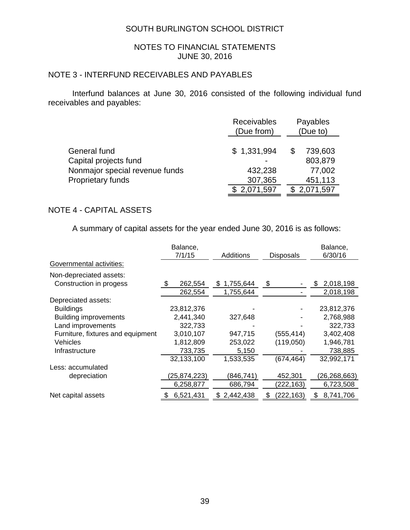#### NOTES TO FINANCIAL STATEMENTS JUNE 30, 2016

# NOTE 3 - INTERFUND RECEIVABLES AND PAYABLES

Interfund balances at June 30, 2016 consisted of the following individual fund receivables and payables:

|                                                                                              | <b>Receivables</b><br>(Due from)               | Payables<br>(Due to)                                 |
|----------------------------------------------------------------------------------------------|------------------------------------------------|------------------------------------------------------|
| General fund<br>Capital projects fund<br>Nonmajor special revenue funds<br>Proprietary funds | \$1,331,994<br>432,238<br>307,365<br>2,071,597 | 739,603<br>803,879<br>77,002<br>451,113<br>2,071,597 |

# NOTE 4 - CAPITAL ASSETS

A summary of capital assets for the year ended June 30, 2016 is as follows:

|                                   | Balance,      |                 |                  | Balance,        |
|-----------------------------------|---------------|-----------------|------------------|-----------------|
|                                   | 7/1/15        | Additions       | <b>Disposals</b> | 6/30/16         |
| Governmental activities:          |               |                 |                  |                 |
| Non-depreciated assets:           |               |                 |                  |                 |
| Construction in progess           | \$<br>262,554 | \$1,755,644     | \$               | 2,018,198<br>\$ |
|                                   | 262,554       | 1,755,644       |                  | 2,018,198       |
| Depreciated assets:               |               |                 |                  |                 |
| <b>Buildings</b>                  | 23,812,376    |                 |                  | 23,812,376      |
| Building improvements             | 2,441,340     | 327,648         |                  | 2,768,988       |
| Land improvements                 | 322,733       |                 |                  | 322,733         |
| Furniture, fixtures and equipment | 3,010,107     | 947,715         | (555, 414)       | 3,402,408       |
| Vehicles                          | 1,812,809     | 253,022         | (119,050)        | 1,946,781       |
| Infrastructure                    | 733,735       | 5,150           |                  | 738,885         |
|                                   | 32,133,100    | 1,533,535       | (674, 464)       | 32,992,171      |
| Less: accumulated                 |               |                 |                  |                 |
| depreciation                      | (25,874,223)  | (846, 741)      | 452,301          | (26,268,663)    |
|                                   | 6,258,877     | 686,794         | (222, 163)       | 6,723,508       |
| Net capital assets                | 6,521,431     | 2,442,438<br>S. | (222, 163)       | \$<br>8,741,706 |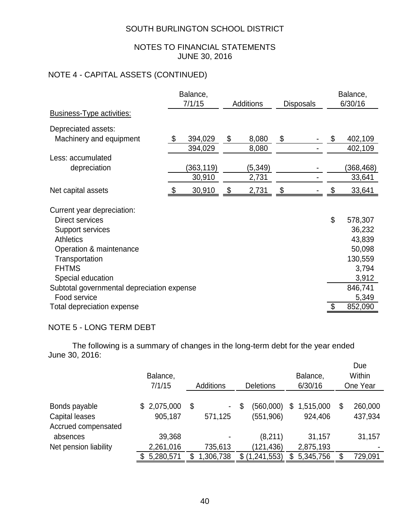# NOTES TO FINANCIAL STATEMENTS JUNE 30, 2016

# NOTE 4 - CAPITAL ASSETS (CONTINUED)

|                                            | Balance,<br>7/1/15 | <b>Additions</b> | <b>Disposals</b> | Balance,<br>6/30/16 |
|--------------------------------------------|--------------------|------------------|------------------|---------------------|
| <b>Business-Type activities:</b>           |                    |                  |                  |                     |
| Depreciated assets:                        |                    |                  |                  |                     |
| Machinery and equipment                    | \$<br>394,029      | \$<br>8,080      | \$               | \$<br>402,109       |
|                                            | 394,029            | 8,080            |                  | 402,109             |
| Less: accumulated                          |                    |                  |                  |                     |
| depreciation                               | (363,119)          | (5,349)          |                  | (368,468)           |
|                                            | 30,910             | 2,731            |                  | 33,641              |
| Net capital assets                         | 30,910             | \$<br>2,731      | \$               | 33,641              |
| Current year depreciation:                 |                    |                  |                  |                     |
| Direct services                            |                    |                  |                  | \$<br>578,307       |
| Support services                           |                    |                  |                  | 36,232              |
| <b>Athletics</b>                           |                    |                  |                  | 43,839              |
| Operation & maintenance                    |                    |                  |                  | 50,098              |
| Transportation                             |                    |                  |                  | 130,559             |
| <b>FHTMS</b>                               |                    |                  |                  | 3,794               |
| Special education                          |                    |                  |                  | 3,912               |
| Subtotal governmental depreciation expense |                    |                  |                  | 846,741             |
| Food service                               |                    |                  |                  | 5,349               |
| Total depreciation expense                 |                    |                  |                  | 852,090             |

# NOTE 5 - LONG TERM DEBT

The following is a summary of changes in the long-term debt for the year ended June 30, 2016:

|                                                          | Balance,<br>7/1/15     | <b>Additions</b>                | <b>Deletions</b>              | Balance,<br>6/30/16        | Due<br><b>Within</b><br>One Year |
|----------------------------------------------------------|------------------------|---------------------------------|-------------------------------|----------------------------|----------------------------------|
| Bonds payable<br>Capital leases                          | \$2,075,000<br>905,187 | \$<br>$\blacksquare$<br>571,125 | (560,000)<br>\$<br>(551, 906) | 1,515,000<br>\$<br>924,406 | 260,000<br>S<br>437,934          |
| Accrued compensated<br>absences<br>Net pension liability | 39,368<br>2,261,016    | 735,613                         | (8,211)<br>(121, 436)         | 31,157<br>2,875,193        | 31,157                           |
|                                                          | 5,280,571              | 1,306,738<br>S                  | \$(1,241,553)                 | 5,345,756<br>\$            | 729,091                          |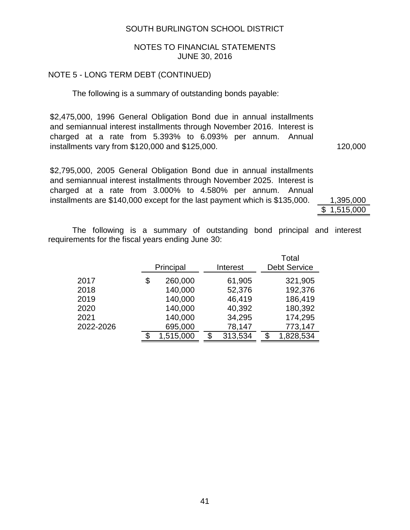#### NOTES TO FINANCIAL STATEMENTS JUNE 30, 2016

#### NOTE 5 - LONG TERM DEBT (CONTINUED)

The following is a summary of outstanding bonds payable:

\$2,475,000, 1996 General Obligation Bond due in annual installments and semiannual interest installments through November 2016. Interest is charged at a rate from 5.393% to 6.093% per annum. Annual installments vary from \$120,000 and \$125,000. 120,000 120,000

\$2,795,000, 2005 General Obligation Bond due in annual installments and semiannual interest installments through November 2025. Interest is charged at a rate from 3.000% to 4.580% per annum. Annual installments are  $$140,000$  except for the last payment which is  $$135,000$ . 1,395,000

\$ 1,515,000

The following is a summary of outstanding bond principal and interest requirements for the fiscal years ending June 30:

|           |                 |               | Total               |
|-----------|-----------------|---------------|---------------------|
|           | Principal       | Interest      | <b>Debt Service</b> |
| 2017      | \$<br>260,000   | 61,905        | 321,905             |
| 2018      | 140,000         | 52,376        | 192,376             |
| 2019      | 140,000         | 46,419        | 186,419             |
| 2020      | 140,000         | 40,392        | 180,392             |
| 2021      | 140,000         | 34,295        | 174,295             |
| 2022-2026 | 695,000         | 78,147        | 773,147             |
|           | \$<br>1,515,000 | \$<br>313,534 | \$<br>1,828,534     |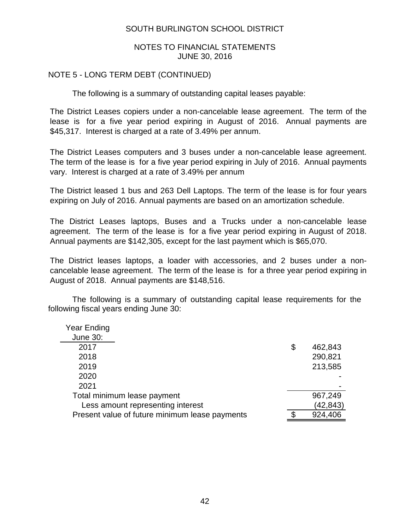#### NOTES TO FINANCIAL STATEMENTS JUNE 30, 2016

## NOTE 5 - LONG TERM DEBT (CONTINUED)

The following is a summary of outstanding capital leases payable:

The District Leases copiers under a non-cancelable lease agreement. The term of the lease is for a five year period expiring in August of 2016. Annual payments are \$45,317. Interest is charged at a rate of 3.49% per annum.

The District Leases computers and 3 buses under a non-cancelable lease agreement. The term of the lease is for a five year period expiring in July of 2016. Annual payments vary. Interest is charged at a rate of 3.49% per annum

The District leased 1 bus and 263 Dell Laptops. The term of the lease is for four years expiring on July of 2016. Annual payments are based on an amortization schedule.

The District Leases laptops, Buses and a Trucks under a non-cancelable lease agreement. The term of the lease is for a five year period expiring in August of 2018. Annual payments are \$142,305, except for the last payment which is \$65,070.

The District leases laptops, a loader with accessories, and 2 buses under a noncancelable lease agreement. The term of the lease is for a three year period expiring in August of 2018. Annual payments are \$148,516.

The following is a summary of outstanding capital lease requirements for the following fiscal years ending June 30:

| Year Ending                                    |               |
|------------------------------------------------|---------------|
| June 30:                                       |               |
| 2017                                           | \$<br>462,843 |
| 2018                                           | 290,821       |
| 2019                                           | 213,585       |
| 2020                                           |               |
| 2021                                           |               |
| Total minimum lease payment                    | 967,249       |
| Less amount representing interest              | (42, 843)     |
| Present value of future minimum lease payments | 924,406       |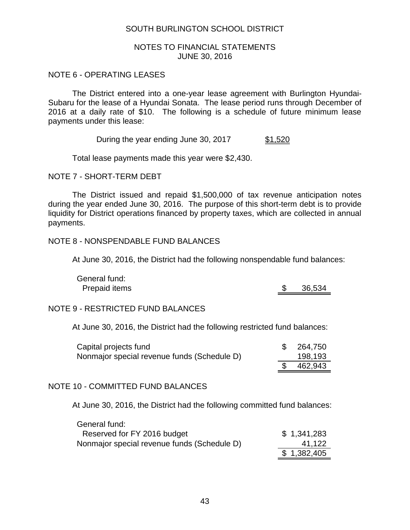#### NOTES TO FINANCIAL STATEMENTS JUNE 30, 2016

#### NOTE 6 - OPERATING LEASES

The District entered into a one-year lease agreement with Burlington Hyundai-Subaru for the lease of a Hyundai Sonata. The lease period runs through December of 2016 at a daily rate of \$10. The following is a schedule of future minimum lease payments under this lease:

During the year ending June 30, 2017 \$1,520

Total lease payments made this year were \$2,430.

NOTE 7 - SHORT-TERM DEBT

The District issued and repaid \$1,500,000 of tax revenue anticipation notes during the year ended June 30, 2016. The purpose of this short-term debt is to provide liquidity for District operations financed by property taxes, which are collected in annual payments.

#### NOTE 8 - NONSPENDABLE FUND BALANCES

At June 30, 2016, the District had the following nonspendable fund balances:

General fund: Prepaid items \$ 36,534

## NOTE 9 - RESTRICTED FUND BALANCES

At June 30, 2016, the District had the following restricted fund balances:

| Capital projects fund                       | \$264,750 |
|---------------------------------------------|-----------|
| Nonmajor special revenue funds (Schedule D) | 198,193   |
|                                             | 462,943   |

## NOTE 10 - COMMITTED FUND BALANCES

At June 30, 2016, the District had the following committed fund balances:

| General fund:                               |             |
|---------------------------------------------|-------------|
| Reserved for FY 2016 budget                 | \$1,341,283 |
| Nonmajor special revenue funds (Schedule D) | 41,122      |
|                                             | \$1,382,405 |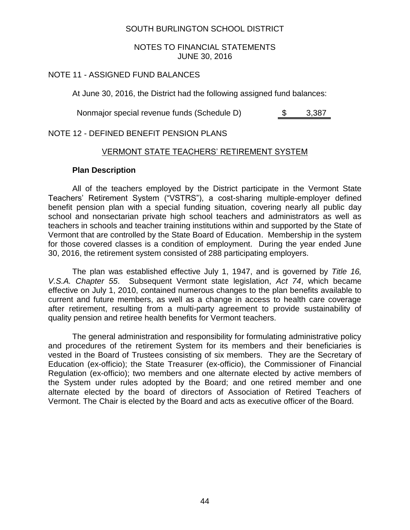#### NOTES TO FINANCIAL STATEMENTS JUNE 30, 2016

### NOTE 11 - ASSIGNED FUND BALANCES

At June 30, 2016, the District had the following assigned fund balances:

Nonmajor special revenue funds (Schedule D)  $$3,387$ 

#### NOTE 12 - DEFINED BENEFIT PENSION PLANS

## VERMONT STATE TEACHERS' RETIREMENT SYSTEM

#### **Plan Description**

All of the teachers employed by the District participate in the Vermont State Teachers' Retirement System ("VSTRS"), a cost-sharing multiple-employer defined benefit pension plan with a special funding situation, covering nearly all public day school and nonsectarian private high school teachers and administrators as well as teachers in schools and teacher training institutions within and supported by the State of Vermont that are controlled by the State Board of Education. Membership in the system for those covered classes is a condition of employment. During the year ended June 30, 2016, the retirement system consisted of 288 participating employers.

The plan was established effective July 1, 1947, and is governed by *Title 16, V.S.A. Chapter 55*. Subsequent Vermont state legislation, *Act 74*, which became effective on July 1, 2010, contained numerous changes to the plan benefits available to current and future members, as well as a change in access to health care coverage after retirement, resulting from a multi-party agreement to provide sustainability of quality pension and retiree health benefits for Vermont teachers.

The general administration and responsibility for formulating administrative policy and procedures of the retirement System for its members and their beneficiaries is vested in the Board of Trustees consisting of six members. They are the Secretary of Education (ex-officio); the State Treasurer (ex-officio), the Commissioner of Financial Regulation (ex-officio); two members and one alternate elected by active members of the System under rules adopted by the Board; and one retired member and one alternate elected by the board of directors of Association of Retired Teachers of Vermont. The Chair is elected by the Board and acts as executive officer of the Board.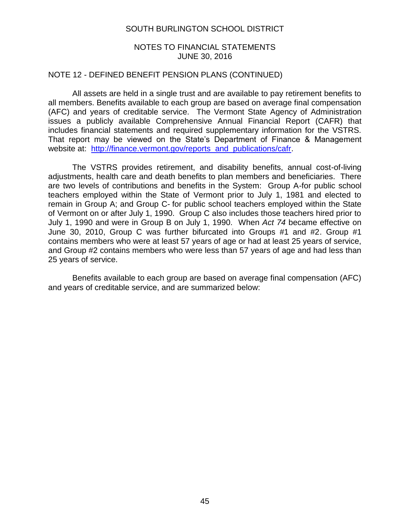#### NOTES TO FINANCIAL STATEMENTS JUNE 30, 2016

#### NOTE 12 - DEFINED BENEFIT PENSION PLANS (CONTINUED)

All assets are held in a single trust and are available to pay retirement benefits to all members. Benefits available to each group are based on average final compensation (AFC) and years of creditable service. The Vermont State Agency of Administration issues a publicly available Comprehensive Annual Financial Report (CAFR) that includes financial statements and required supplementary information for the VSTRS. That report may be viewed on the State's Department of Finance & Management website at: [http://finance.vermont.gov/reports\\_and\\_publications/cafr.](http://finance.vermont.gov/reports_and_publications/cafr)

The VSTRS provides retirement, and disability benefits, annual cost-of-living adjustments, health care and death benefits to plan members and beneficiaries. There are two levels of contributions and benefits in the System: Group A-for public school teachers employed within the State of Vermont prior to July 1, 1981 and elected to remain in Group A; and Group C- for public school teachers employed within the State of Vermont on or after July 1, 1990. Group C also includes those teachers hired prior to July 1, 1990 and were in Group B on July 1, 1990. When *Act 74* became effective on June 30, 2010, Group C was further bifurcated into Groups #1 and #2. Group #1 contains members who were at least 57 years of age or had at least 25 years of service, and Group #2 contains members who were less than 57 years of age and had less than 25 years of service.

Benefits available to each group are based on average final compensation (AFC) and years of creditable service, and are summarized below: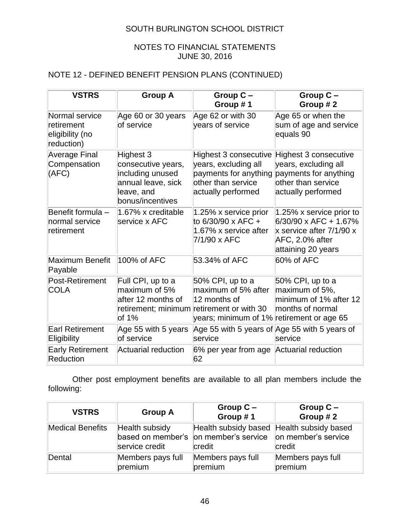## NOTES TO FINANCIAL STATEMENTS JUNE 30, 2016

# NOTE 12 - DEFINED BENEFIT PENSION PLANS (CONTINUED)

| <b>VSTRS</b>                                                  | <b>Group A</b>                                                                                              | Group C-<br>Group #1                                                                                                                              | Group C-<br>Group #2                                                                                                          |
|---------------------------------------------------------------|-------------------------------------------------------------------------------------------------------------|---------------------------------------------------------------------------------------------------------------------------------------------------|-------------------------------------------------------------------------------------------------------------------------------|
| Normal service<br>retirement<br>eligibility (no<br>reduction) | Age 60 or 30 years<br>of service                                                                            | Age 62 or with 30<br>years of service                                                                                                             | Age 65 or when the<br>sum of age and service<br>equals 90                                                                     |
| Average Final<br>Compensation<br>(AFC)                        | Highest 3<br>consecutive years,<br>including unused<br>annual leave, sick<br>leave, and<br>bonus/incentives | Highest 3 consecutive<br>years, excluding all<br>payments for anything<br>other than service<br>actually performed                                | Highest 3 consecutive<br>years, excluding all<br>payments for anything<br>other than service<br>actually performed            |
| Benefit formula -<br>normal service<br>retirement             | 1.67% x creditable<br>service x AFC                                                                         | 1.25% x service prior<br>to 6/30/90 x AFC +<br>1.67% x service after<br>7/1/90 x AFC                                                              | 1.25% x service prior to<br>$6/30/90 \times$ AFC + 1.67%<br>x service after 7/1/90 x<br>AFC, 2.0% after<br>attaining 20 years |
| Maximum Benefit<br>Payable                                    | 100% of AFC                                                                                                 | 53.34% of AFC                                                                                                                                     | 60% of AFC                                                                                                                    |
| Post-Retirement<br><b>COLA</b>                                | Full CPI, up to a<br>maximum of 5%<br>after 12 months of<br>of 1%                                           | 50% CPI, up to a<br>maximum of 5% after<br>12 months of<br>retirement; minimum retirement or with 30<br>years; minimum of 1% retirement or age 65 | 50% CPI, up to a<br>maximum of 5%,<br>minimum of 1% after 12<br>months of normal                                              |
| Earl Retirement<br>Eligibility                                | Age 55 with 5 years<br>of service                                                                           | service                                                                                                                                           | Age 55 with 5 years of Age 55 with 5 years of<br>service                                                                      |
| <b>Early Retirement</b><br>Reduction                          | Actuarial reduction                                                                                         | 6% per year from age<br>62                                                                                                                        | Actuarial reduction                                                                                                           |

Other post employment benefits are available to all plan members include the following:

| <b>VSTRS</b>            | <b>Group A</b>                   | Group $C -$<br>Group #1                                                                                          | Group $C -$<br>Group #2      |
|-------------------------|----------------------------------|------------------------------------------------------------------------------------------------------------------|------------------------------|
| <b>Medical Benefits</b> | Health subsidy<br>service credit | Health subsidy based Health subsidy based<br>based on member's on member's service on member's service<br>credit | credit                       |
| Dental                  | Members pays full<br>premium     | Members pays full<br>premium                                                                                     | Members pays full<br>premium |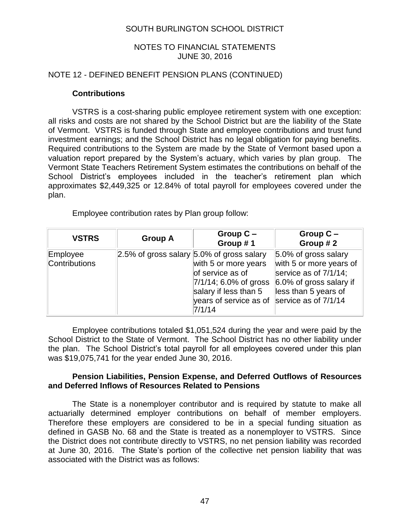## NOTES TO FINANCIAL STATEMENTS JUNE 30, 2016

#### NOTE 12 - DEFINED BENEFIT PENSION PLANS (CONTINUED)

### **Contributions**

VSTRS is a cost-sharing public employee retirement system with one exception: all risks and costs are not shared by the School District but are the liability of the State of Vermont. VSTRS is funded through State and employee contributions and trust fund investment earnings; and the School District has no legal obligation for paying benefits. Required contributions to the System are made by the State of Vermont based upon a valuation report prepared by the System's actuary, which varies by plan group. The Vermont State Teachers Retirement System estimates the contributions on behalf of the School District's employees included in the teacher's retirement plan which approximates \$2,449,325 or 12.84% of total payroll for employees covered under the plan.

Employee contribution rates by Plan group follow:

| <b>VSTRS</b>              | <b>Group A</b>                            | Group $C -$<br>Group #1                                                                                                                                  | Group $C -$<br>Group #2                                                                                                           |
|---------------------------|-------------------------------------------|----------------------------------------------------------------------------------------------------------------------------------------------------------|-----------------------------------------------------------------------------------------------------------------------------------|
| Employee<br>Contributions | 2.5% of gross salary 5.0% of gross salary | with 5 or more years<br>of service as of<br>$7/1/14$ ; 6.0% of gross<br>salary if less than 5<br>years of service as of service as of $7/1/14$<br>7/1/14 | $5.0\%$ of gross salary<br>with 5 or more years of<br>service as of $7/1/14$ ;<br>6.0% of gross salary if<br>less than 5 years of |

Employee contributions totaled \$1,051,524 during the year and were paid by the School District to the State of Vermont. The School District has no other liability under the plan. The School District's total payroll for all employees covered under this plan was \$19,075,741 for the year ended June 30, 2016.

## **Pension Liabilities, Pension Expense, and Deferred Outflows of Resources and Deferred Inflows of Resources Related to Pensions**

The State is a nonemployer contributor and is required by statute to make all actuarially determined employer contributions on behalf of member employers. Therefore these employers are considered to be in a special funding situation as defined in GASB No. 68 and the State is treated as a nonemployer to VSTRS. Since the District does not contribute directly to VSTRS, no net pension liability was recorded at June 30, 2016. The State's portion of the collective net pension liability that was associated with the District was as follows: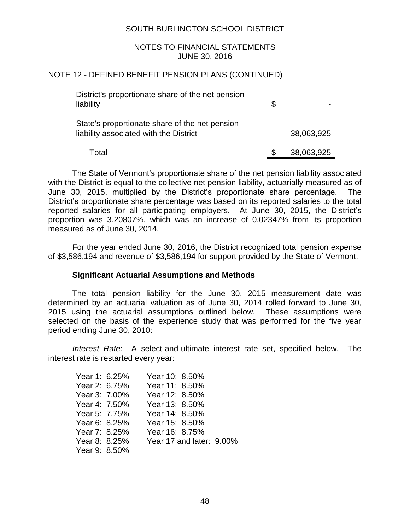#### NOTES TO FINANCIAL STATEMENTS JUNE 30, 2016

#### NOTE 12 - DEFINED BENEFIT PENSION PLANS (CONTINUED)

| District's proportionate share of the net pension<br>liability                           | \$               |
|------------------------------------------------------------------------------------------|------------------|
| State's proportionate share of the net pension<br>liability associated with the District | 38,063,925       |
| Total                                                                                    | \$<br>38,063,925 |

The State of Vermont's proportionate share of the net pension liability associated with the District is equal to the collective net pension liability, actuarially measured as of June 30, 2015, multiplied by the District's proportionate share percentage. The District's proportionate share percentage was based on its reported salaries to the total reported salaries for all participating employers. At June 30, 2015, the District's proportion was 3.20807%, which was an increase of 0.02347% from its proportion measured as of June 30, 2014.

For the year ended June 30, 2016, the District recognized total pension expense of \$3,586,194 and revenue of \$3,586,194 for support provided by the State of Vermont.

#### **Significant Actuarial Assumptions and Methods**

The total pension liability for the June 30, 2015 measurement date was determined by an actuarial valuation as of June 30, 2014 rolled forward to June 30, 2015 using the actuarial assumptions outlined below. These assumptions were selected on the basis of the experience study that was performed for the five year period ending June 30, 2010:

*Interest Rate*: A select-and-ultimate interest rate set, specified below. The interest rate is restarted every year:

| Year 1: 6.25% | Year 10: 8.50%           |
|---------------|--------------------------|
| Year 2: 6.75% | Year 11: 8.50%           |
| Year 3: 7.00% | Year 12: 8.50%           |
| Year 4: 7.50% | Year 13: 8.50%           |
| Year 5: 7.75% | Year 14: 8.50%           |
| Year 6: 8.25% | Year 15: 8.50%           |
| Year 7: 8.25% | Year 16: 8.75%           |
| Year 8: 8.25% | Year 17 and later: 9.00% |
| Year 9: 8.50% |                          |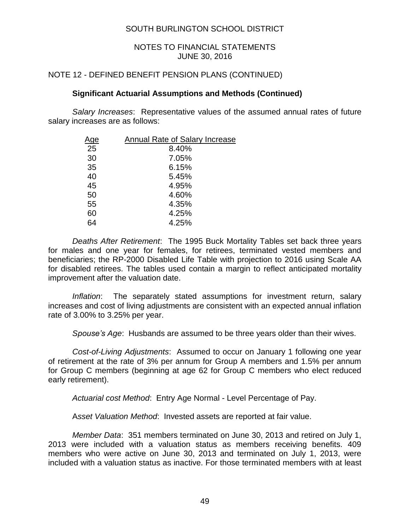### NOTES TO FINANCIAL STATEMENTS JUNE 30, 2016

### NOTE 12 - DEFINED BENEFIT PENSION PLANS (CONTINUED)

#### **Significant Actuarial Assumptions and Methods (Continued)**

*Salary Increases*: Representative values of the assumed annual rates of future salary increases are as follows:

| Annual Rate of Salary Increase |
|--------------------------------|
| 8.40%                          |
| 7.05%                          |
| 6.15%                          |
| 5.45%                          |
| 4.95%                          |
| 4.60%                          |
| 4.35%                          |
| 4.25%                          |
| 4.25%                          |
|                                |

*Deaths After Retirement*: The 1995 Buck Mortality Tables set back three years for males and one year for females, for retirees, terminated vested members and beneficiaries; the RP-2000 Disabled Life Table with projection to 2016 using Scale AA for disabled retirees. The tables used contain a margin to reflect anticipated mortality improvement after the valuation date.

*Inflation*: The separately stated assumptions for investment return, salary increases and cost of living adjustments are consistent with an expected annual inflation rate of 3.00% to 3.25% per year.

*Spouse's Age*: Husbands are assumed to be three years older than their wives.

*Cost-of-Living Adjustments*: Assumed to occur on January 1 following one year of retirement at the rate of 3% per annum for Group A members and 1.5% per annum for Group C members (beginning at age 62 for Group C members who elect reduced early retirement).

*Actuarial cost Method*: Entry Age Normal - Level Percentage of Pay.

A*sset Valuation Method*: Invested assets are reported at fair value.

*Member Data*: 351 members terminated on June 30, 2013 and retired on July 1, 2013 were included with a valuation status as members receiving benefits. 409 members who were active on June 30, 2013 and terminated on July 1, 2013, were included with a valuation status as inactive. For those terminated members with at least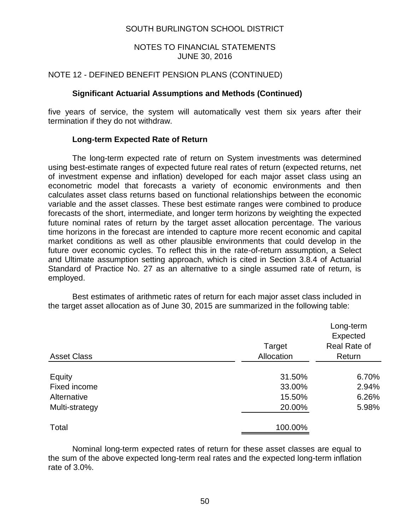### NOTES TO FINANCIAL STATEMENTS JUNE 30, 2016

### NOTE 12 - DEFINED BENEFIT PENSION PLANS (CONTINUED)

#### **Significant Actuarial Assumptions and Methods (Continued)**

five years of service, the system will automatically vest them six years after their termination if they do not withdraw.

## **Long-term Expected Rate of Return**

The long-term expected rate of return on System investments was determined using best-estimate ranges of expected future real rates of return (expected returns, net of investment expense and inflation) developed for each major asset class using an econometric model that forecasts a variety of economic environments and then calculates asset class returns based on functional relationships between the economic variable and the asset classes. These best estimate ranges were combined to produce forecasts of the short, intermediate, and longer term horizons by weighting the expected future nominal rates of return by the target asset allocation percentage. The various time horizons in the forecast are intended to capture more recent economic and capital market conditions as well as other plausible environments that could develop in the future over economic cycles. To reflect this in the rate-of-return assumption, a Select and Ultimate assumption setting approach, which is cited in Section 3.8.4 of Actuarial Standard of Practice No. 27 as an alternative to a single assumed rate of return, is employed.

Best estimates of arithmetic rates of return for each major asset class included in the target asset allocation as of June 30, 2015 are summarized in the following table:

| <b>Asset Class</b> | Target<br>Allocation | Long-term<br>Expected<br>Real Rate of<br>Return |
|--------------------|----------------------|-------------------------------------------------|
| Equity             | 31.50%               | 6.70%                                           |
| Fixed income       | 33.00%               | 2.94%                                           |
| Alternative        | 15.50%               | 6.26%                                           |
| Multi-strategy     | 20.00%               | 5.98%                                           |
| Total              | 100.00%              |                                                 |

Nominal long-term expected rates of return for these asset classes are equal to the sum of the above expected long-term real rates and the expected long-term inflation rate of 3.0%.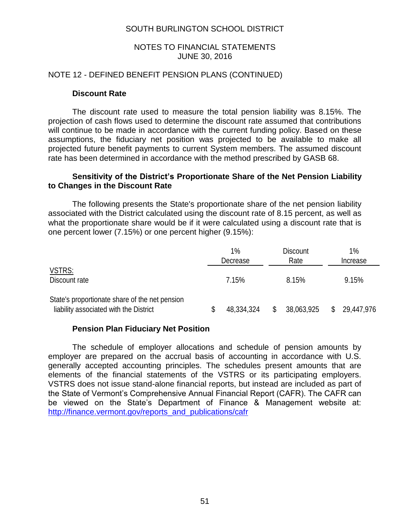## NOTES TO FINANCIAL STATEMENTS JUNE 30, 2016

#### NOTE 12 - DEFINED BENEFIT PENSION PLANS (CONTINUED)

#### **Discount Rate**

The discount rate used to measure the total pension liability was 8.15%. The projection of cash flows used to determine the discount rate assumed that contributions will continue to be made in accordance with the current funding policy. Based on these assumptions, the fiduciary net position was projected to be available to make all projected future benefit payments to current System members. The assumed discount rate has been determined in accordance with the method prescribed by GASB 68.

## **Sensitivity of the District's Proportionate Share of the Net Pension Liability to Changes in the Discount Rate**

The following presents the State's proportionate share of the net pension liability associated with the District calculated using the discount rate of 8.15 percent, as well as what the proportionate share would be if it were calculated using a discount rate that is one percent lower (7.15%) or one percent higher (9.15%):

|                                                                                          | 1%<br>Decrease | <b>Discount</b><br>Rate | 1%<br>Increase   |
|------------------------------------------------------------------------------------------|----------------|-------------------------|------------------|
| VSTRS:<br>Discount rate                                                                  | 7.15%          | 8.15%                   | 9.15%            |
| State's proportionate share of the net pension<br>liability associated with the District | 48,334,324     | 38,063,925              | \$<br>29,447,976 |

## **Pension Plan Fiduciary Net Position**

The schedule of employer allocations and schedule of pension amounts by employer are prepared on the accrual basis of accounting in accordance with U.S. generally accepted accounting principles. The schedules present amounts that are elements of the financial statements of the VSTRS or its participating employers. VSTRS does not issue stand-alone financial reports, but instead are included as part of the State of Vermont's Comprehensive Annual Financial Report (CAFR). The CAFR can be viewed on the State's Department of Finance & Management website at: [http://finance.vermont.gov/reports\\_and\\_publications/cafr](http://finance.vermont.gov/reports_and_publications/cafr)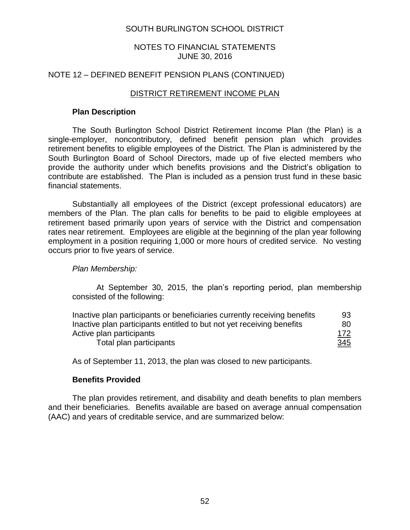### NOTES TO FINANCIAL STATEMENTS JUNE 30, 2016

## NOTE 12 – DEFINED BENEFIT PENSION PLANS (CONTINUED)

## DISTRICT RETIREMENT INCOME PLAN

#### **Plan Description**

The South Burlington School District Retirement Income Plan (the Plan) is a single-employer, noncontributory, defined benefit pension plan which provides retirement benefits to eligible employees of the District. The Plan is administered by the South Burlington Board of School Directors, made up of five elected members who provide the authority under which benefits provisions and the District's obligation to contribute are established. The Plan is included as a pension trust fund in these basic financial statements.

Substantially all employees of the District (except professional educators) are members of the Plan. The plan calls for benefits to be paid to eligible employees at retirement based primarily upon years of service with the District and compensation rates near retirement. Employees are eligible at the beginning of the plan year following employment in a position requiring 1,000 or more hours of credited service. No vesting occurs prior to five years of service.

#### *Plan Membership:*

At September 30, 2015, the plan's reporting period, plan membership consisted of the following:

| Inactive plan participants or beneficiaries currently receiving benefits | 93         |
|--------------------------------------------------------------------------|------------|
| Inactive plan participants entitled to but not yet receiving benefits    | 80         |
| Active plan participants                                                 | 172        |
| Total plan participants                                                  | <u>345</u> |

As of September 11, 2013, the plan was closed to new participants.

## **Benefits Provided**

The plan provides retirement, and disability and death benefits to plan members and their beneficiaries. Benefits available are based on average annual compensation (AAC) and years of creditable service, and are summarized below: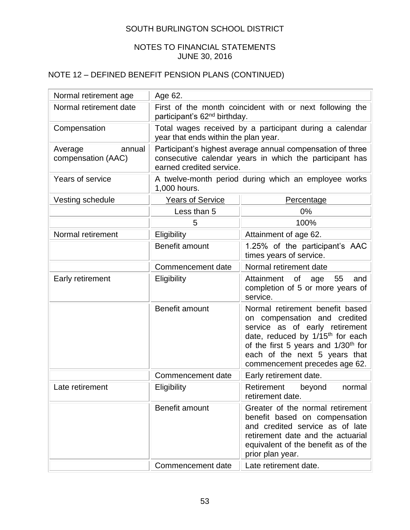# NOTES TO FINANCIAL STATEMENTS JUNE 30, 2016

# NOTE 12 – DEFINED BENEFIT PENSION PLANS (CONTINUED)

| Normal retirement age                   | Age 62.                                                                                                                                           |                                                                                                                                                                                                                                                                        |  |  |
|-----------------------------------------|---------------------------------------------------------------------------------------------------------------------------------------------------|------------------------------------------------------------------------------------------------------------------------------------------------------------------------------------------------------------------------------------------------------------------------|--|--|
| Normal retirement date                  | First of the month coincident with or next following the<br>participant's 62 <sup>nd</sup> birthday.                                              |                                                                                                                                                                                                                                                                        |  |  |
| Compensation                            | year that ends within the plan year.                                                                                                              | Total wages received by a participant during a calendar                                                                                                                                                                                                                |  |  |
| Average<br>annual<br>compensation (AAC) | Participant's highest average annual compensation of three<br>consecutive calendar years in which the participant has<br>earned credited service. |                                                                                                                                                                                                                                                                        |  |  |
| Years of service                        | 1,000 hours.                                                                                                                                      | A twelve-month period during which an employee works                                                                                                                                                                                                                   |  |  |
| Vesting schedule                        | <b>Years of Service</b>                                                                                                                           | <b>Percentage</b>                                                                                                                                                                                                                                                      |  |  |
|                                         | Less than 5                                                                                                                                       | 0%                                                                                                                                                                                                                                                                     |  |  |
|                                         | 5                                                                                                                                                 | 100%                                                                                                                                                                                                                                                                   |  |  |
| Normal retirement                       | Eligibility                                                                                                                                       | Attainment of age 62.                                                                                                                                                                                                                                                  |  |  |
|                                         | Benefit amount                                                                                                                                    | 1.25% of the participant's AAC<br>times years of service.                                                                                                                                                                                                              |  |  |
|                                         | Commencement date                                                                                                                                 | Normal retirement date                                                                                                                                                                                                                                                 |  |  |
| Early retirement                        | Eligibility                                                                                                                                       | of<br>Attainment<br>age<br>55<br>and<br>completion of 5 or more years of<br>service.                                                                                                                                                                                   |  |  |
|                                         | Benefit amount                                                                                                                                    | Normal retirement benefit based<br>on compensation and credited<br>service as of early retirement<br>date, reduced by 1/15 <sup>th</sup> for each<br>of the first 5 years and 1/30 <sup>th</sup> for<br>each of the next 5 years that<br>commencement precedes age 62. |  |  |
|                                         | Commencement date                                                                                                                                 | Early retirement date.                                                                                                                                                                                                                                                 |  |  |
| Late retirement                         | Eligibility                                                                                                                                       | Retirement<br>beyond<br>normal<br>retirement date.                                                                                                                                                                                                                     |  |  |
|                                         | Benefit amount                                                                                                                                    | Greater of the normal retirement<br>benefit based on compensation<br>and credited service as of late<br>retirement date and the actuarial<br>equivalent of the benefit as of the<br>prior plan year.                                                                   |  |  |
|                                         | Commencement date                                                                                                                                 | Late retirement date.                                                                                                                                                                                                                                                  |  |  |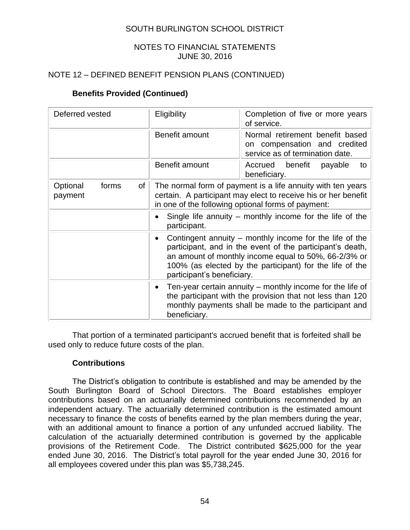## NOTES TO FINANCIAL STATEMENTS JUNE 30, 2016

# NOTE 12 – DEFINED BENEFIT PENSION PLANS (CONTINUED)

# **Benefits Provided (Continued)**

| Deferred vested                    | Eligibility                                                                                                                                                                         | Completion of five or more years<br>of service.                                                                                                                                                                                          |  |
|------------------------------------|-------------------------------------------------------------------------------------------------------------------------------------------------------------------------------------|------------------------------------------------------------------------------------------------------------------------------------------------------------------------------------------------------------------------------------------|--|
|                                    | Benefit amount                                                                                                                                                                      | Normal retirement benefit based<br>on compensation and credited<br>service as of termination date.                                                                                                                                       |  |
|                                    | Benefit amount                                                                                                                                                                      | Accrued benefit<br>payable<br>to<br>beneficiary.                                                                                                                                                                                         |  |
| Optional<br>of<br>forms<br>payment | The normal form of payment is a life annuity with ten years<br>certain. A participant may elect to receive his or her benefit<br>in one of the following optional forms of payment: |                                                                                                                                                                                                                                          |  |
|                                    | participant.                                                                                                                                                                        | Single life annuity $-$ monthly income for the life of the                                                                                                                                                                               |  |
|                                    | participant's beneficiary.                                                                                                                                                          | Contingent annuity – monthly income for the life of the<br>participant, and in the event of the participant's death,<br>an amount of monthly income equal to 50%, 66-2/3% or<br>100% (as elected by the participant) for the life of the |  |
|                                    | beneficiary.                                                                                                                                                                        | Ten-year certain annuity – monthly income for the life of<br>the participant with the provision that not less than 120<br>monthly payments shall be made to the participant and                                                          |  |

That portion of a terminated participant's accrued benefit that is forfeited shall be used only to reduce future costs of the plan.

## **Contributions**

The District's obligation to contribute is established and may be amended by the South Burlington Board of School Directors. The Board establishes employer contributions based on an actuarially determined contributions recommended by an independent actuary. The actuarially determined contribution is the estimated amount necessary to finance the costs of benefits earned by the plan members during the year, with an additional amount to finance a portion of any unfunded accrued liability. The calculation of the actuarially determined contribution is governed by the applicable provisions of the Retirement Code. The District contributed \$625,000 for the year ended June 30, 2016. The District's total payroll for the year ended June 30, 2016 for all employees covered under this plan was \$5,738,245.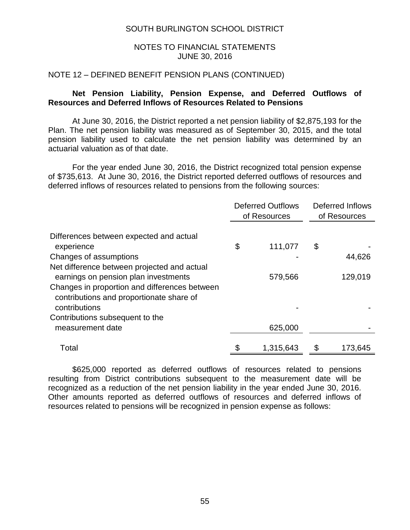#### NOTES TO FINANCIAL STATEMENTS JUNE 30, 2016

#### NOTE 12 – DEFINED BENEFIT PENSION PLANS (CONTINUED)

#### **Net Pension Liability, Pension Expense, and Deferred Outflows of Resources and Deferred Inflows of Resources Related to Pensions**

At June 30, 2016, the District reported a net pension liability of \$2,875,193 for the Plan. The net pension liability was measured as of September 30, 2015, and the total pension liability used to calculate the net pension liability was determined by an actuarial valuation as of that date.

For the year ended June 30, 2016, the District recognized total pension expense of \$735,613. At June 30, 2016, the District reported deferred outflows of resources and deferred inflows of resources related to pensions from the following sources:

|                                                                                           | <b>Deferred Outflows</b><br>of Resources |           | <b>Deferred Inflows</b><br>of Resources |         |
|-------------------------------------------------------------------------------------------|------------------------------------------|-----------|-----------------------------------------|---------|
| Differences between expected and actual                                                   |                                          |           |                                         |         |
| experience                                                                                | \$                                       | 111,077   | \$                                      |         |
| Changes of assumptions                                                                    |                                          |           |                                         | 44,626  |
| Net difference between projected and actual                                               |                                          |           |                                         |         |
| earnings on pension plan investments                                                      |                                          | 579,566   |                                         | 129,019 |
| Changes in proportion and differences between<br>contributions and proportionate share of |                                          |           |                                         |         |
| contributions                                                                             |                                          |           |                                         |         |
| Contributions subsequent to the                                                           |                                          |           |                                         |         |
| measurement date                                                                          |                                          | 625,000   |                                         |         |
| Total                                                                                     |                                          | 1,315,643 |                                         | 173,645 |

\$625,000 reported as deferred outflows of resources related to pensions resulting from District contributions subsequent to the measurement date will be recognized as a reduction of the net pension liability in the year ended June 30, 2016. Other amounts reported as deferred outflows of resources and deferred inflows of resources related to pensions will be recognized in pension expense as follows: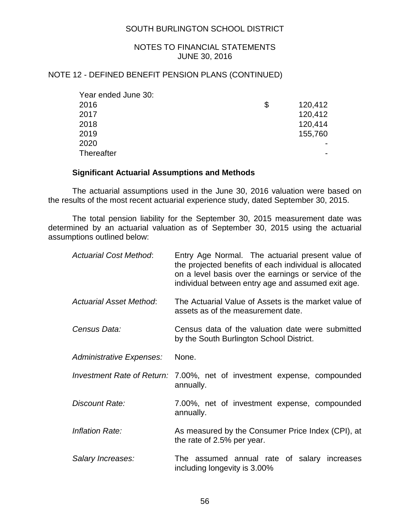### NOTES TO FINANCIAL STATEMENTS JUNE 30, 2016

# NOTE 12 - DEFINED BENEFIT PENSION PLANS (CONTINUED)

| Year ended June 30: |               |
|---------------------|---------------|
| 2016                | \$<br>120,412 |
| 2017                | 120,412       |
| 2018                | 120,414       |
| 2019                | 155,760       |
| 2020                |               |
| <b>Thereafter</b>   |               |

### **Significant Actuarial Assumptions and Methods**

The actuarial assumptions used in the June 30, 2016 valuation were based on the results of the most recent actuarial experience study, dated September 30, 2015.

The total pension liability for the September 30, 2015 measurement date was determined by an actuarial valuation as of September 30, 2015 using the actuarial assumptions outlined below:

| <b>Actuarial Cost Method:</b> | Entry Age Normal. The actuarial present value of<br>the projected benefits of each individual is allocated<br>on a level basis over the earnings or service of the<br>individual between entry age and assumed exit age. |  |  |  |  |  |  |
|-------------------------------|--------------------------------------------------------------------------------------------------------------------------------------------------------------------------------------------------------------------------|--|--|--|--|--|--|
| Actuarial Asset Method:       | The Actuarial Value of Assets is the market value of<br>assets as of the measurement date.                                                                                                                               |  |  |  |  |  |  |
| Census Data:                  | Census data of the valuation date were submitted<br>by the South Burlington School District.                                                                                                                             |  |  |  |  |  |  |
| Administrative Expenses:      | None.                                                                                                                                                                                                                    |  |  |  |  |  |  |
|                               | <i>Investment Rate of Return:</i> 7.00%, net of investment expense, compounded<br>annually.                                                                                                                              |  |  |  |  |  |  |
| Discount Rate:                | 7.00%, net of investment expense, compounded<br>annually.                                                                                                                                                                |  |  |  |  |  |  |
| Inflation Rate:               | As measured by the Consumer Price Index (CPI), at<br>the rate of 2.5% per year.                                                                                                                                          |  |  |  |  |  |  |
| Salary Increases:             | The assumed annual rate of salary increases<br>including longevity is 3.00%                                                                                                                                              |  |  |  |  |  |  |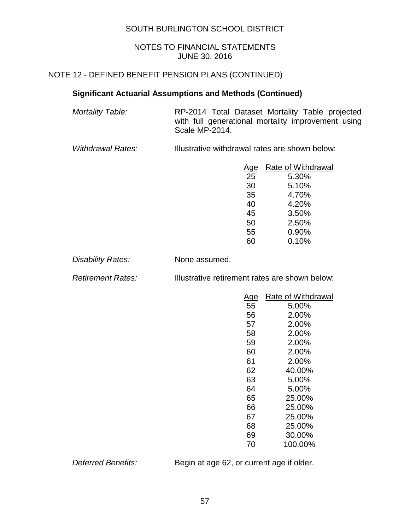### NOTES TO FINANCIAL STATEMENTS JUNE 30, 2016

## NOTE 12 - DEFINED BENEFIT PENSION PLANS (CONTINUED)

# **Significant Actuarial Assumptions and Methods (Continued)**

- *Mortality Table:* RP-2014 Total Dataset Mortality Table projected with full generational mortality improvement using Scale MP-2014.
- *Withdrawal Rates:* Illustrative withdrawal rates are shown below:

| Age | <b>Rate of Withdrawal</b> |
|-----|---------------------------|
| 25  | 5.30%                     |
| 30  | 5.10%                     |
| 35  | 4.70%                     |
| 40  | 4.20%                     |
| 45  | 3.50%                     |
| 50  | 2.50%                     |
| 55  | 0.90%                     |
| 60  | 0.10%                     |
|     |                           |

**Disability Rates:** None assumed.

*Retirement Rates:* Illustrative retirement rates are shown below:

| Age | Rate of Withdrawal |
|-----|--------------------|
| 55  | 5.00%              |
| 56  | 2.00%              |
| 57  | 2.00%              |
| 58  | 2.00%              |
| 59  | 2.00%              |
| 60  | 2.00%              |
| 61  | 2.00%              |
| 62  | 40.00%             |
| 63  | 5.00%              |
| 64  | 5.00%              |
| 65  | 25.00%             |
| 66  | 25.00%             |
| 67  | 25.00%             |
| 68  | 25.00%             |
| 69  | 30.00%             |
| 70  | 100.00%            |
|     |                    |

*Deferred Benefits:* Begin at age 62, or current age if older.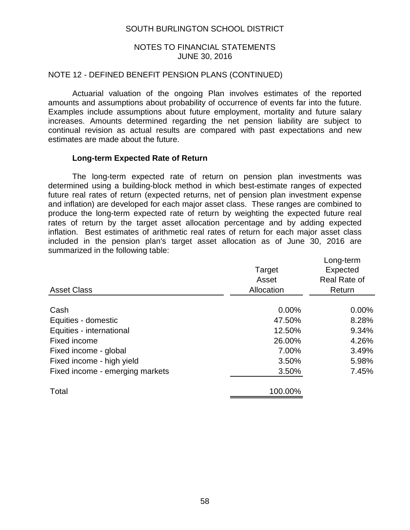#### NOTES TO FINANCIAL STATEMENTS JUNE 30, 2016

#### NOTE 12 - DEFINED BENEFIT PENSION PLANS (CONTINUED)

Actuarial valuation of the ongoing Plan involves estimates of the reported amounts and assumptions about probability of occurrence of events far into the future. Examples include assumptions about future employment, mortality and future salary increases. Amounts determined regarding the net pension liability are subject to continual revision as actual results are compared with past expectations and new estimates are made about the future.

#### **Long-term Expected Rate of Return**

The long-term expected rate of return on pension plan investments was determined using a building-block method in which best-estimate ranges of expected future real rates of return (expected returns, net of pension plan investment expense and inflation) are developed for each major asset class. These ranges are combined to produce the long-term expected rate of return by weighting the expected future real rates of return by the target asset allocation percentage and by adding expected inflation. Best estimates of arithmetic real rates of return for each major asset class included in the pension plan's target asset allocation as of June 30, 2016 are summarized in the following table:

| <b>Asset Class</b>              | Target<br>Asset<br>Allocation | LUNG-GITH<br>Expected<br>Real Rate of<br>Return |  |  |  |
|---------------------------------|-------------------------------|-------------------------------------------------|--|--|--|
| Cash                            | 0.00%                         | $0.00\%$                                        |  |  |  |
| Equities - domestic             | 47.50%                        | 8.28%                                           |  |  |  |
| Equities - international        | 12.50%                        | 9.34%                                           |  |  |  |
| Fixed income                    | 26.00%                        | 4.26%                                           |  |  |  |
| Fixed income - global           | 7.00%                         | 3.49%                                           |  |  |  |
| Fixed income - high yield       | 3.50%                         | 5.98%                                           |  |  |  |
| Fixed income - emerging markets | 3.50%                         | 7.45%                                           |  |  |  |
| Total                           | 100.00%                       |                                                 |  |  |  |

Long-term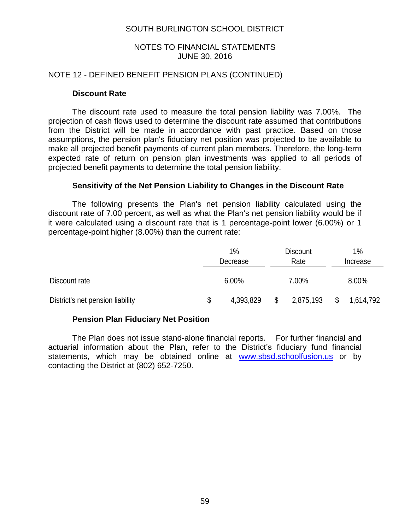### NOTES TO FINANCIAL STATEMENTS JUNE 30, 2016

#### NOTE 12 - DEFINED BENEFIT PENSION PLANS (CONTINUED)

#### **Discount Rate**

The discount rate used to measure the total pension liability was 7.00%. The projection of cash flows used to determine the discount rate assumed that contributions from the District will be made in accordance with past practice. Based on those assumptions, the pension plan's fiduciary net position was projected to be available to make all projected benefit payments of current plan members. Therefore, the long-term expected rate of return on pension plan investments was applied to all periods of projected benefit payments to determine the total pension liability.

#### **Sensitivity of the Net Pension Liability to Changes in the Discount Rate**

The following presents the Plan's net pension liability calculated using the discount rate of 7.00 percent, as well as what the Plan's net pension liability would be if it were calculated using a discount rate that is 1 percentage-point lower (6.00%) or 1 percentage-point higher (8.00%) than the current rate:

|                                  | 1%<br>Decrease |           |       | <b>Discount</b><br>Rate |       | 1%<br>Increase |  |
|----------------------------------|----------------|-----------|-------|-------------------------|-------|----------------|--|
| Discount rate                    | 6.00%          |           | 7.00% |                         | 8.00% |                |  |
| District's net pension liability | \$             | 4,393,829 | \$    | 2,875,193               | \$    | 1,614,792      |  |

## **Pension Plan Fiduciary Net Position**

The Plan does not issue stand-alone financial reports. For further financial and actuarial information about the Plan, refer to the District's fiduciary fund financial statements, which may be obtained online at [www.sbsd.schoolfusion.us](http://www.sbsd.schoolfusion.us/) or by contacting the District at (802) 652-7250.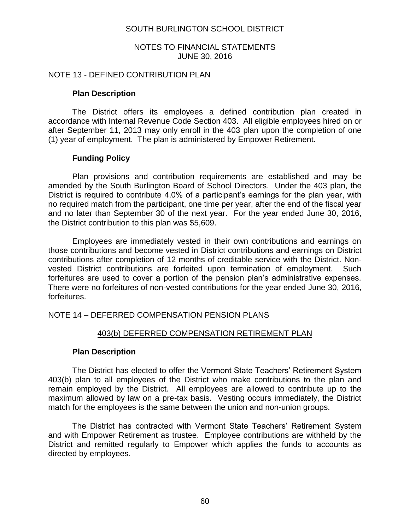#### NOTES TO FINANCIAL STATEMENTS JUNE 30, 2016

#### NOTE 13 - DEFINED CONTRIBUTION PLAN

#### **Plan Description**

The District offers its employees a defined contribution plan created in accordance with Internal Revenue Code Section 403. All eligible employees hired on or after September 11, 2013 may only enroll in the 403 plan upon the completion of one (1) year of employment. The plan is administered by Empower Retirement.

#### **Funding Policy**

Plan provisions and contribution requirements are established and may be amended by the South Burlington Board of School Directors. Under the 403 plan, the District is required to contribute 4.0% of a participant's earnings for the plan year, with no required match from the participant, one time per year, after the end of the fiscal year and no later than September 30 of the next year. For the year ended June 30, 2016, the District contribution to this plan was \$5,609.

Employees are immediately vested in their own contributions and earnings on those contributions and become vested in District contributions and earnings on District contributions after completion of 12 months of creditable service with the District. Nonvested District contributions are forfeited upon termination of employment. Such forfeitures are used to cover a portion of the pension plan's administrative expenses. There were no forfeitures of non-vested contributions for the year ended June 30, 2016, forfeitures.

## NOTE 14 – DEFERRED COMPENSATION PENSION PLANS

## 403(b) DEFERRED COMPENSATION RETIREMENT PLAN

#### **Plan Description**

The District has elected to offer the Vermont State Teachers' Retirement System 403(b) plan to all employees of the District who make contributions to the plan and remain employed by the District. All employees are allowed to contribute up to the maximum allowed by law on a pre-tax basis. Vesting occurs immediately, the District match for the employees is the same between the union and non-union groups.

The District has contracted with Vermont State Teachers' Retirement System and with Empower Retirement as trustee. Employee contributions are withheld by the District and remitted regularly to Empower which applies the funds to accounts as directed by employees.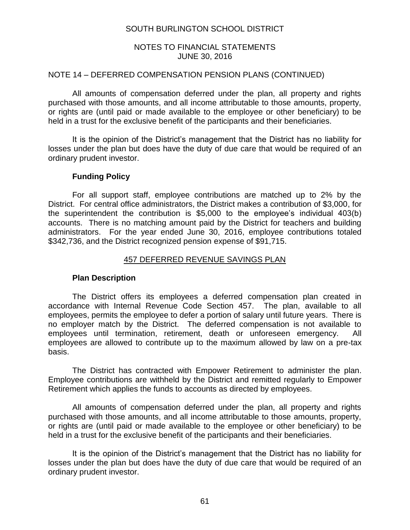## NOTES TO FINANCIAL STATEMENTS JUNE 30, 2016

### NOTE 14 – DEFERRED COMPENSATION PENSION PLANS (CONTINUED)

All amounts of compensation deferred under the plan, all property and rights purchased with those amounts, and all income attributable to those amounts, property, or rights are (until paid or made available to the employee or other beneficiary) to be held in a trust for the exclusive benefit of the participants and their beneficiaries.

It is the opinion of the District's management that the District has no liability for losses under the plan but does have the duty of due care that would be required of an ordinary prudent investor.

#### **Funding Policy**

For all support staff, employee contributions are matched up to 2% by the District. For central office administrators, the District makes a contribution of \$3,000, for the superintendent the contribution is \$5,000 to the employee's individual 403(b) accounts. There is no matching amount paid by the District for teachers and building administrators. For the year ended June 30, 2016, employee contributions totaled \$342,736, and the District recognized pension expense of \$91,715.

#### 457 DEFERRED REVENUE SAVINGS PLAN

#### **Plan Description**

The District offers its employees a deferred compensation plan created in accordance with Internal Revenue Code Section 457. The plan, available to all employees, permits the employee to defer a portion of salary until future years. There is no employer match by the District. The deferred compensation is not available to employees until termination, retirement, death or unforeseen emergency. All employees are allowed to contribute up to the maximum allowed by law on a pre-tax basis.

The District has contracted with Empower Retirement to administer the plan. Employee contributions are withheld by the District and remitted regularly to Empower Retirement which applies the funds to accounts as directed by employees.

All amounts of compensation deferred under the plan, all property and rights purchased with those amounts, and all income attributable to those amounts, property, or rights are (until paid or made available to the employee or other beneficiary) to be held in a trust for the exclusive benefit of the participants and their beneficiaries.

It is the opinion of the District's management that the District has no liability for losses under the plan but does have the duty of due care that would be required of an ordinary prudent investor.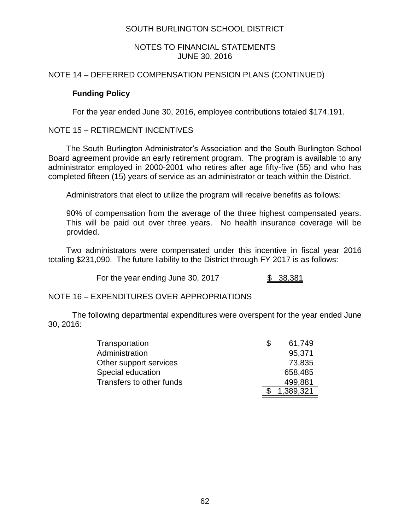## NOTES TO FINANCIAL STATEMENTS JUNE 30, 2016

## NOTE 14 – DEFERRED COMPENSATION PENSION PLANS (CONTINUED)

## **Funding Policy**

For the year ended June 30, 2016, employee contributions totaled \$174,191.

## NOTE 15 – RETIREMENT INCENTIVES

The South Burlington Administrator's Association and the South Burlington School Board agreement provide an early retirement program. The program is available to any administrator employed in 2000-2001 who retires after age fifty-five (55) and who has completed fifteen (15) years of service as an administrator or teach within the District.

Administrators that elect to utilize the program will receive benefits as follows:

90% of compensation from the average of the three highest compensated years. This will be paid out over three years. No health insurance coverage will be provided.

Two administrators were compensated under this incentive in fiscal year 2016 totaling \$231,090. The future liability to the District through FY 2017 is as follows:

For the year ending June 30, 2017 \$ 38,381

# NOTE 16 – EXPENDITURES OVER APPROPRIATIONS

The following departmental expenditures were overspent for the year ended June 30, 2016:

| Transportation           | \$<br>61,749 |
|--------------------------|--------------|
| Administration           | 95,371       |
| Other support services   | 73,835       |
| Special education        | 658,485      |
| Transfers to other funds | 499,881      |
|                          | 1,389,321    |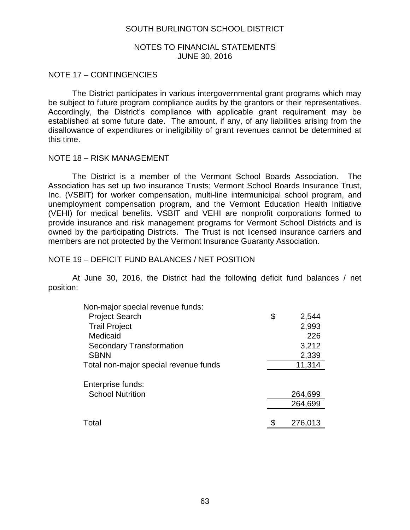#### NOTES TO FINANCIAL STATEMENTS JUNE 30, 2016

#### NOTE 17 – CONTINGENCIES

The District participates in various intergovernmental grant programs which may be subject to future program compliance audits by the grantors or their representatives. Accordingly, the District's compliance with applicable grant requirement may be established at some future date. The amount, if any, of any liabilities arising from the disallowance of expenditures or ineligibility of grant revenues cannot be determined at this time.

#### NOTE 18 – RISK MANAGEMENT

The District is a member of the Vermont School Boards Association. The Association has set up two insurance Trusts; Vermont School Boards Insurance Trust, Inc. (VSBIT) for worker compensation, multi-line intermunicipal school program, and unemployment compensation program, and the Vermont Education Health Initiative (VEHI) for medical benefits. VSBIT and VEHI are nonprofit corporations formed to provide insurance and risk management programs for Vermont School Districts and is owned by the participating Districts. The Trust is not licensed insurance carriers and members are not protected by the Vermont Insurance Guaranty Association.

#### NOTE 19 – DEFICIT FUND BALANCES / NET POSITION

At June 30, 2016, the District had the following deficit fund balances / net position:

| Non-major special revenue funds:      |             |
|---------------------------------------|-------------|
| <b>Project Search</b>                 | \$<br>2,544 |
| <b>Trail Project</b>                  | 2,993       |
| Medicaid                              | 226         |
| <b>Secondary Transformation</b>       | 3,212       |
| <b>SBNN</b>                           | 2,339       |
| Total non-major special revenue funds | 11,314      |
|                                       |             |
| Enterprise funds:                     |             |
| <b>School Nutrition</b>               | 264,699     |
|                                       | 264,699     |
|                                       |             |
| Total                                 | 276,013     |
|                                       |             |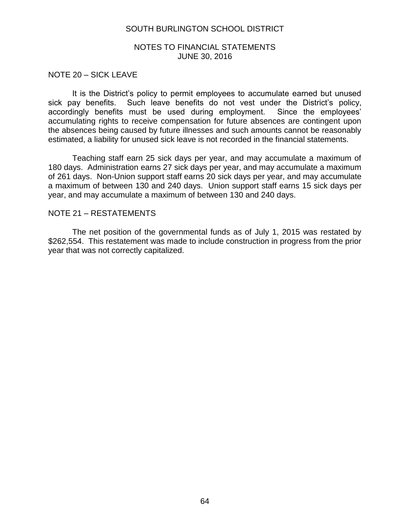#### NOTES TO FINANCIAL STATEMENTS JUNE 30, 2016

#### NOTE 20 – SICK LEAVE

It is the District's policy to permit employees to accumulate earned but unused sick pay benefits. Such leave benefits do not vest under the District's policy, accordingly benefits must be used during employment. Since the employees' accumulating rights to receive compensation for future absences are contingent upon the absences being caused by future illnesses and such amounts cannot be reasonably estimated, a liability for unused sick leave is not recorded in the financial statements.

Teaching staff earn 25 sick days per year, and may accumulate a maximum of 180 days. Administration earns 27 sick days per year, and may accumulate a maximum of 261 days. Non-Union support staff earns 20 sick days per year, and may accumulate a maximum of between 130 and 240 days. Union support staff earns 15 sick days per year, and may accumulate a maximum of between 130 and 240 days.

#### NOTE 21 – RESTATEMENTS

The net position of the governmental funds as of July 1, 2015 was restated by \$262,554. This restatement was made to include construction in progress from the prior year that was not correctly capitalized.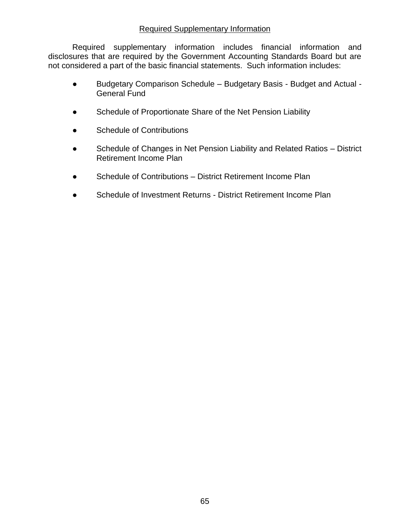## Required Supplementary Information

Required supplementary information includes financial information and disclosures that are required by the Government Accounting Standards Board but are not considered a part of the basic financial statements. Such information includes:

- Budgetary Comparison Schedule Budgetary Basis Budget and Actual General Fund
- Schedule of Proportionate Share of the Net Pension Liability
- Schedule of Contributions
- Schedule of Changes in Net Pension Liability and Related Ratios District Retirement Income Plan
- Schedule of Contributions District Retirement Income Plan
- Schedule of Investment Returns District Retirement Income Plan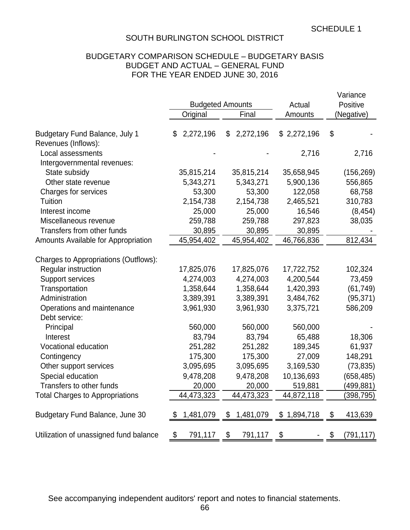## BUDGETARY COMPARISON SCHEDULE – BUDGETARY BASIS BUDGET AND ACTUAL – GENERAL FUND FOR THE YEAR ENDED JUNE 30, 2016

|                                                                         |                 |                         |             | Variance         |  |  |
|-------------------------------------------------------------------------|-----------------|-------------------------|-------------|------------------|--|--|
|                                                                         |                 | <b>Budgeted Amounts</b> | Actual      | Positive         |  |  |
|                                                                         | Original        | Final                   | Amounts     | (Negative)       |  |  |
| <b>Budgetary Fund Balance, July 1</b>                                   | 2,272,196<br>\$ | 2,272,196<br>\$         | \$2,272,196 | \$               |  |  |
| Revenues (Inflows):<br>Local assessments<br>Intergovernmental revenues: |                 |                         | 2,716       | 2,716            |  |  |
| State subsidy                                                           | 35,815,214      | 35,815,214              | 35,658,945  | (156, 269)       |  |  |
| Other state revenue                                                     | 5,343,271       | 5,343,271               | 5,900,136   | 556,865          |  |  |
| Charges for services                                                    | 53,300          | 53,300                  | 122,058     | 68,758           |  |  |
| Tuition                                                                 | 2,154,738       | 2,154,738               | 2,465,521   | 310,783          |  |  |
| Interest income                                                         | 25,000          | 25,000                  | 16,546      | (8, 454)         |  |  |
| Miscellaneous revenue                                                   | 259,788         | 259,788                 | 297,823     | 38,035           |  |  |
| Transfers from other funds                                              | 30,895          | 30,895                  | 30,895      |                  |  |  |
| Amounts Available for Appropriation                                     | 45,954,402      | 45,954,402              | 46,766,836  | 812,434          |  |  |
| <b>Charges to Appropriations (Outflows):</b>                            |                 |                         |             |                  |  |  |
| Regular instruction                                                     | 17,825,076      | 17,825,076              | 17,722,752  | 102,324          |  |  |
| <b>Support services</b>                                                 | 4,274,003       | 4,274,003               | 4,200,544   | 73,459           |  |  |
| Transportation                                                          | 1,358,644       | 1,358,644               | 1,420,393   | (61, 749)        |  |  |
| Administration                                                          | 3,389,391       | 3,389,391               | 3,484,762   | (95, 371)        |  |  |
| Operations and maintenance                                              | 3,961,930       | 3,961,930               | 3,375,721   | 586,209          |  |  |
| Debt service:                                                           |                 |                         |             |                  |  |  |
| Principal                                                               | 560,000         | 560,000                 | 560,000     |                  |  |  |
| Interest                                                                | 83,794          | 83,794                  | 65,488      | 18,306           |  |  |
| Vocational education                                                    | 251,282         | 251,282                 | 189,345     | 61,937           |  |  |
| Contingency                                                             | 175,300         | 175,300                 | 27,009      | 148,291          |  |  |
| Other support services                                                  | 3,095,695       | 3,095,695               | 3,169,530   | (73, 835)        |  |  |
| Special education                                                       | 9,478,208       | 9,478,208               | 10,136,693  | (658, 485)       |  |  |
| Transfers to other funds                                                | 20,000          | 20,000                  | 519,881     | (499,881)        |  |  |
| <b>Total Charges to Appropriations</b>                                  | 44,473,323      | 44,473,323              | 44,872,118  | (398,795)        |  |  |
| Budgetary Fund Balance, June 30                                         | 1,481,079<br>\$ | 1,481,079<br>\$         | \$1,894,718 | 413,639<br>\$    |  |  |
| Utilization of unassigned fund balance                                  | \$<br>791,117   | \$<br>791,117           | \$          | \$<br>(791, 117) |  |  |

See accompanying independent auditors' report and notes to financial statements.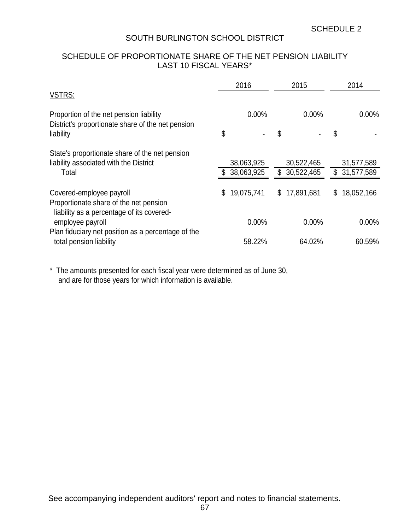# SCHEDULE OF PROPORTIONATE SHARE OF THE NET PENSION LIABILITY LAST 10 FISCAL YEARS\*

| VSTRS:                                                                                                          |    | 2016                     |    | 2015                       |    | 2014                       |  |
|-----------------------------------------------------------------------------------------------------------------|----|--------------------------|----|----------------------------|----|----------------------------|--|
| Proportion of the net pension liability<br>District's proportionate share of the net pension                    |    | $0.00\%$                 |    | $0.00\%$                   |    | $0.00\%$                   |  |
| liability                                                                                                       | \$ |                          | \$ |                            | \$ |                            |  |
| State's proportionate share of the net pension<br>liability associated with the District<br>Total               |    | 38,063,925<br>38,063,925 |    | 30,522,465<br>\$30,522,465 |    | 31,577,589<br>\$31,577,589 |  |
| Covered-employee payroll<br>Proportionate share of the net pension<br>liability as a percentage of its covered- | \$ | 19,075,741               |    | \$17,891,681               | \$ | 18,052,166                 |  |
| employee payroll                                                                                                |    | $0.00\%$                 |    | $0.00\%$                   |    | $0.00\%$                   |  |
| Plan fiduciary net position as a percentage of the<br>total pension liability                                   |    | 58.22%                   |    | 64.02%                     |    | 60.59%                     |  |

\* The amounts presented for each fiscal year were determined as of June 30, and are for those years for which information is available.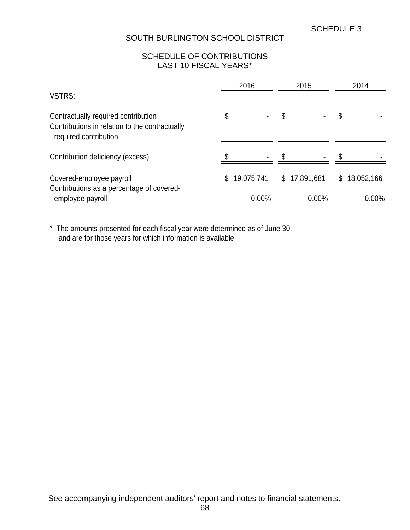# SCHEDULE OF CONTRIBUTIONS LAST 10 FISCAL YEARS\*

|                                                                                                                | 2016 |            | 2015         |       | 2014 |            |
|----------------------------------------------------------------------------------------------------------------|------|------------|--------------|-------|------|------------|
| VSTRS:                                                                                                         |      |            |              |       |      |            |
| Contractually required contribution<br>Contributions in relation to the contractually<br>required contribution | \$   |            | \$           |       | \$   |            |
| Contribution deficiency (excess)                                                                               |      |            | .S           |       | S.   |            |
| Covered-employee payroll<br>Contributions as a percentage of covered-                                          | \$   | 19,075,741 | \$17,891,681 |       | \$   | 18,052,166 |
| employee payroll                                                                                               |      | 0.00%      |              | 0.00% |      | $0.00\%$   |

\* The amounts presented for each fiscal year were determined as of June 30, and are for those years for which information is available.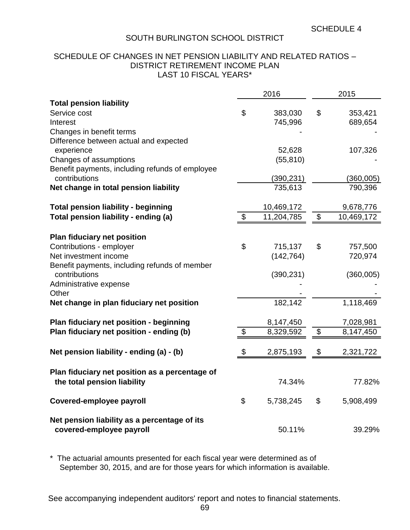#### SCHEDULE OF CHANGES IN NET PENSION LIABILITY AND RELATED RATIOS – DISTRICT RETIREMENT INCOME PLAN LAST 10 FISCAL YEARS\*

|                                                 |                          | 2016       | 2015                      |            |  |
|-------------------------------------------------|--------------------------|------------|---------------------------|------------|--|
| <b>Total pension liability</b>                  |                          |            |                           |            |  |
| Service cost                                    | \$                       | 383,030    | $\boldsymbol{\mathsf{S}}$ | 353,421    |  |
| Interest                                        |                          | 745,996    |                           | 689,654    |  |
| Changes in benefit terms                        |                          |            |                           |            |  |
| Difference between actual and expected          |                          |            |                           |            |  |
| experience                                      |                          | 52,628     |                           | 107,326    |  |
| Changes of assumptions                          |                          | (55, 810)  |                           |            |  |
| Benefit payments, including refunds of employee |                          |            |                           |            |  |
| contributions                                   |                          | (390, 231) |                           | (360, 005) |  |
| Net change in total pension liability           |                          | 735,613    |                           | 790,396    |  |
| <b>Total pension liability - beginning</b>      |                          | 10,469,172 |                           | 9,678,776  |  |
| Total pension liability - ending (a)            | $\overline{\mathcal{G}}$ | 11,204,785 | $\overline{\mathcal{S}}$  | 10,469,172 |  |
|                                                 |                          |            |                           |            |  |
| <b>Plan fiduciary net position</b>              |                          |            |                           |            |  |
| Contributions - employer                        | \$                       | 715,137    | \$                        | 757,500    |  |
| Net investment income                           |                          | (142, 764) |                           | 720,974    |  |
| Benefit payments, including refunds of member   |                          |            |                           |            |  |
| contributions                                   |                          | (390, 231) |                           | (360,005)  |  |
| Administrative expense                          |                          |            |                           |            |  |
| Other                                           |                          |            |                           | 1,118,469  |  |
| Net change in plan fiduciary net position       |                          | 182,142    |                           |            |  |
| Plan fiduciary net position - beginning         |                          | 8,147,450  |                           | 7,028,981  |  |
| Plan fiduciary net position - ending (b)        | \$                       | 8,329,592  | \$                        | 8,147,450  |  |
|                                                 |                          |            |                           |            |  |
| Net pension liability - ending (a) - (b)        | \$                       | 2,875,193  | \$                        | 2,321,722  |  |
| Plan fiduciary net position as a percentage of  |                          |            |                           |            |  |
| the total pension liability                     |                          | 74.34%     |                           | 77.82%     |  |
| <b>Covered-employee payroll</b>                 | \$                       | 5,738,245  | \$                        | 5,908,499  |  |
| Net pension liability as a percentage of its    |                          |            |                           |            |  |
| covered-employee payroll                        |                          | 50.11%     |                           | 39.29%     |  |

\* The actuarial amounts presented for each fiscal year were determined as of September 30, 2015, and are for those years for which information is available.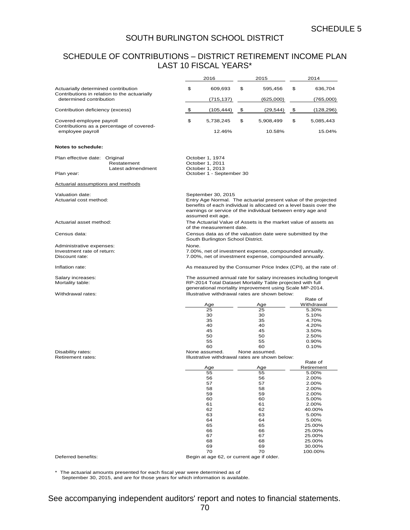### SCHEDULE OF CONTRIBUTIONS – DISTRICT RETIREMENT INCOME PLAN LAST 10 FISCAL YEARS\*

|                                                               |                                  |                          | 2016                                                           | 2015                                                                                                                                                                                                | 2014      |                       |  |
|---------------------------------------------------------------|----------------------------------|--------------------------|----------------------------------------------------------------|-----------------------------------------------------------------------------------------------------------------------------------------------------------------------------------------------------|-----------|-----------------------|--|
| Actuarially determined contribution                           |                                  | \$                       | 609,693                                                        | \$<br>595,456                                                                                                                                                                                       | \$        | 636,704               |  |
| Contributions in relation to the actuarially                  |                                  |                          |                                                                |                                                                                                                                                                                                     |           |                       |  |
| determined contribution                                       |                                  |                          | (715, 137)                                                     | (625,000)                                                                                                                                                                                           |           | (765,000)             |  |
| Contribution deficiency (excess)                              |                                  | \$                       | (105, 444)                                                     | \$<br>(29, 544)                                                                                                                                                                                     | <u>\$</u> | (128, 296)            |  |
| Covered-employee payroll                                      |                                  | \$                       | 5,738,245                                                      | \$<br>5,908,499                                                                                                                                                                                     | \$        | 5,085,443             |  |
| Contributions as a percentage of covered-<br>employee payroll |                                  |                          | 12.46%                                                         | 10.58%                                                                                                                                                                                              |           | 15.04%                |  |
| Notes to schedule:                                            |                                  |                          |                                                                |                                                                                                                                                                                                     |           |                       |  |
| Plan effective date: Original                                 |                                  |                          | October 1, 1974                                                |                                                                                                                                                                                                     |           |                       |  |
|                                                               | Restatement<br>Latest admendment |                          | October 1, 2011<br>October 1, 2013                             |                                                                                                                                                                                                     |           |                       |  |
| Plan year:                                                    |                                  |                          | October 1 - September 30                                       |                                                                                                                                                                                                     |           |                       |  |
| <b>Actuarial assumptions and methods</b>                      |                                  |                          |                                                                |                                                                                                                                                                                                     |           |                       |  |
| Valuation date:<br>Actuarial cost method:                     |                                  |                          | September 30, 2015<br>assumed exit age.                        | Entry Age Normal. The actuarial present value of the projected<br>benefits of each individual is allocated on a level basis over the<br>earnings or service of the individual between entry age and |           |                       |  |
| Actuarial asset method:                                       |                                  | of the measurement date. | The Actuarial Value of Assets is the market value of assets as |                                                                                                                                                                                                     |           |                       |  |
| Census data:                                                  |                                  |                          | South Burlington School District.                              | Census data as of the valuation date were submitted by the                                                                                                                                          |           |                       |  |
| Administrative expenses:<br>Investment rate of return:        |                                  | None.                    | 7.00%, net of investment expense, compounded annually.         | 7.00%, net of investment expense, compounded annually.                                                                                                                                              |           |                       |  |
| Discount rate:                                                |                                  |                          |                                                                |                                                                                                                                                                                                     |           |                       |  |
| Inflation rate:                                               |                                  |                          |                                                                | As measured by the Consumer Price Index (CPI), at the rate of :                                                                                                                                     |           |                       |  |
| Salary increases:<br>Mortality table:                         |                                  |                          |                                                                | The assumed annual rate for salary increases including longevit<br>RP-2014 Total Dataset Mortality Table projected with full<br>generational mortality improvement using Scale MP-2014.             |           |                       |  |
| Withdrawal rates:                                             |                                  |                          |                                                                | Illustrative withdrawal rates are shown below:                                                                                                                                                      |           |                       |  |
|                                                               |                                  |                          | Age                                                            | Age                                                                                                                                                                                                 |           | Rate of<br>Withdrawal |  |
|                                                               |                                  |                          | 25                                                             | 25                                                                                                                                                                                                  |           | 5.30%                 |  |
|                                                               |                                  |                          | 30                                                             | 30                                                                                                                                                                                                  |           | 5.10%                 |  |
|                                                               |                                  |                          | 35                                                             | 35                                                                                                                                                                                                  |           | 4.70%                 |  |
|                                                               |                                  |                          | 40                                                             | 40                                                                                                                                                                                                  |           | 4.20%                 |  |
|                                                               |                                  |                          | 45                                                             | 45                                                                                                                                                                                                  |           | 3.50%                 |  |
|                                                               |                                  |                          | 50                                                             | 50                                                                                                                                                                                                  |           | 2.50%                 |  |
|                                                               |                                  |                          | 55                                                             | 55                                                                                                                                                                                                  |           | 0.90%                 |  |
|                                                               |                                  |                          | 60                                                             | 60                                                                                                                                                                                                  |           | 0.10%                 |  |
| Disability rates:                                             |                                  |                          | None assumed.                                                  | None assumed.                                                                                                                                                                                       |           |                       |  |
| Retirement rates:                                             |                                  |                          |                                                                | Illustrative withdrawal rates are shown below:                                                                                                                                                      |           |                       |  |
|                                                               |                                  |                          |                                                                |                                                                                                                                                                                                     |           | Rate of               |  |
|                                                               |                                  |                          | Age                                                            | Age                                                                                                                                                                                                 |           | Retirement            |  |
|                                                               |                                  |                          | 55                                                             | 55                                                                                                                                                                                                  |           | 5.00%                 |  |
|                                                               |                                  |                          | 56                                                             | 56                                                                                                                                                                                                  |           | 2.00%                 |  |
|                                                               |                                  |                          | 57                                                             | 57                                                                                                                                                                                                  |           | 2.00%                 |  |
|                                                               |                                  |                          | 58                                                             | 58                                                                                                                                                                                                  |           | 2.00%                 |  |
|                                                               |                                  |                          | 59                                                             | 59                                                                                                                                                                                                  |           | 2.00%                 |  |
|                                                               |                                  |                          | 60                                                             | 60                                                                                                                                                                                                  |           | 5.00%                 |  |
|                                                               |                                  |                          | 61                                                             | 61                                                                                                                                                                                                  |           | 2.00%                 |  |
|                                                               |                                  |                          | 62                                                             | 62                                                                                                                                                                                                  |           | 40.00%                |  |
|                                                               |                                  |                          | 63                                                             | 63                                                                                                                                                                                                  |           | 5.00%                 |  |
|                                                               |                                  |                          | 64                                                             | 64                                                                                                                                                                                                  |           | 5.00%                 |  |
|                                                               |                                  |                          | 65                                                             | 65                                                                                                                                                                                                  |           | 25.00%                |  |
|                                                               |                                  |                          | 66                                                             | 66                                                                                                                                                                                                  |           | 25.00%                |  |
|                                                               |                                  |                          | 67                                                             | 67                                                                                                                                                                                                  |           | 25.00%                |  |
|                                                               |                                  |                          | 68                                                             | 68                                                                                                                                                                                                  |           | 25.00%                |  |
|                                                               |                                  |                          | 69                                                             | 69                                                                                                                                                                                                  |           | 30.00%                |  |
| Deferred benefits:                                            |                                  |                          | 70<br>Begin at age 62, or current age if older.                | 70                                                                                                                                                                                                  |           | 100.00%               |  |

\* The actuarial amounts presented for each fiscal year were determined as of September 30, 2015, and are for those years for which information is available.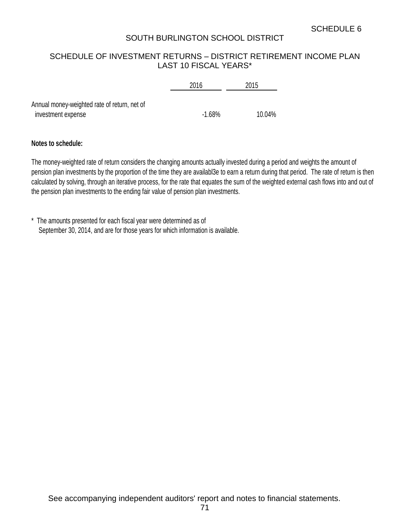### SCHEDULE OF INVESTMENT RETURNS – DISTRICT RETIREMENT INCOME PLAN LAST 10 FISCAL YEARS\*

|                                                                    | 2016     | 2015   |
|--------------------------------------------------------------------|----------|--------|
| Annual money-weighted rate of return, net of<br>investment expense | $-1.68%$ | 10.04% |

#### **Notes to schedule:**

The money-weighted rate of return considers the changing amounts actually invested during a period and weights the amount of pension plan investments by the proportion of the time they are availabl3e to earn a return during that period. The rate of return is then calculated by solving, through an iterative process, for the rate that equates the sum of the weighted external cash flows into and out of the pension plan investments to the ending fair value of pension plan investments.

\* The amounts presented for each fiscal year were determined as of September 30, 2014, and are for those years for which information is available.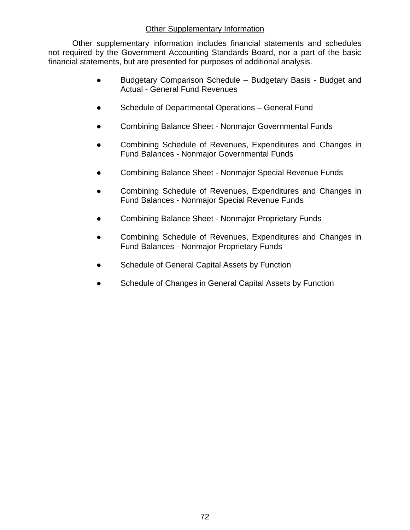### Other Supplementary Information

Other supplementary information includes financial statements and schedules not required by the Government Accounting Standards Board, nor a part of the basic financial statements, but are presented for purposes of additional analysis.

- Budgetary Comparison Schedule Budgetary Basis Budget and Actual - General Fund Revenues
- Schedule of Departmental Operations General Fund
- Combining Balance Sheet Nonmajor Governmental Funds
- Combining Schedule of Revenues, Expenditures and Changes in Fund Balances - Nonmajor Governmental Funds
- Combining Balance Sheet Nonmajor Special Revenue Funds
- Combining Schedule of Revenues, Expenditures and Changes in Fund Balances - Nonmajor Special Revenue Funds
- Combining Balance Sheet Nonmajor Proprietary Funds
- Combining Schedule of Revenues, Expenditures and Changes in Fund Balances - Nonmajor Proprietary Funds
- Schedule of General Capital Assets by Function
- Schedule of Changes in General Capital Assets by Function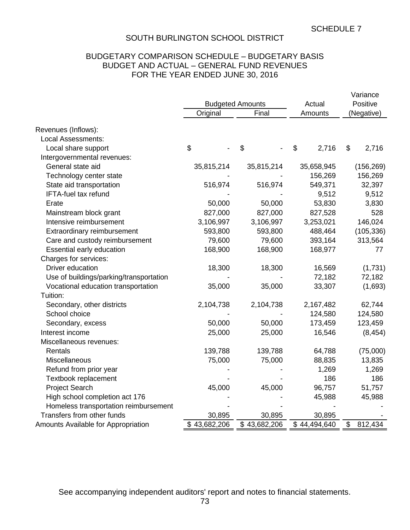### BUDGETARY COMPARISON SCHEDULE – BUDGETARY BASIS BUDGET AND ACTUAL – GENERAL FUND REVENUES FOR THE YEAR ENDED JUNE 30, 2016

|                                         |              | <b>Budgeted Amounts</b> | Actual       | Variance<br>Positive |
|-----------------------------------------|--------------|-------------------------|--------------|----------------------|
|                                         | Original     | Final                   | Amounts      | (Negative)           |
| Revenues (Inflows):                     |              |                         |              |                      |
| <b>Local Assessments:</b>               |              |                         |              |                      |
| Local share support                     | \$           | \$                      | \$<br>2,716  | \$<br>2,716          |
| Intergovernmental revenues:             |              |                         |              |                      |
| General state aid                       | 35,815,214   | 35,815,214              | 35,658,945   | (156, 269)           |
| Technology center state                 |              |                         | 156,269      | 156,269              |
| State aid transportation                | 516,974      | 516,974                 | 549,371      | 32,397               |
| IFTA-fuel tax refund                    |              |                         | 9,512        | 9,512                |
| Erate                                   | 50,000       | 50,000                  | 53,830       | 3,830                |
| Mainstream block grant                  | 827,000      | 827,000                 | 827,528      | 528                  |
| Intensive reimbursement                 | 3,106,997    | 3,106,997               | 3,253,021    | 146,024              |
| Extraordinary reimbursement             | 593,800      | 593,800                 | 488,464      | (105, 336)           |
| Care and custody reimbursement          | 79,600       | 79,600                  | 393,164      | 313,564              |
| Essential early education               | 168,900      | 168,900                 | 168,977      | 77                   |
| Charges for services:                   |              |                         |              |                      |
| Driver education                        | 18,300       | 18,300                  | 16,569       | (1,731)              |
| Use of buildings/parking/transportation |              |                         | 72,182       | 72,182               |
| Vocational education transportation     | 35,000       | 35,000                  | 33,307       | (1,693)              |
| Tuition:                                |              |                         |              |                      |
| Secondary, other districts              | 2,104,738    | 2,104,738               | 2,167,482    | 62,744               |
| School choice                           |              |                         | 124,580      | 124,580              |
| Secondary, excess                       | 50,000       | 50,000                  | 173,459      | 123,459              |
| Interest income                         | 25,000       | 25,000                  | 16,546       | (8, 454)             |
| Miscellaneous revenues:                 |              |                         |              |                      |
| Rentals                                 | 139,788      | 139,788                 | 64,788       | (75,000)             |
| Miscellaneous                           | 75,000       | 75,000                  | 88,835       | 13,835               |
| Refund from prior year                  |              |                         | 1,269        | 1,269                |
| Textbook replacement                    |              |                         | 186          | 186                  |
| <b>Project Search</b>                   | 45,000       | 45,000                  | 96,757       | 51,757               |
| High school completion act 176          |              |                         | 45,988       | 45,988               |
| Homeless transportation reimbursement   |              |                         |              |                      |
| Transfers from other funds              | 30,895       | 30,895                  | 30,895       |                      |
| Amounts Available for Appropriation     | \$43,682,206 | \$43,682,206            | \$44,494,640 | \$<br>812,434        |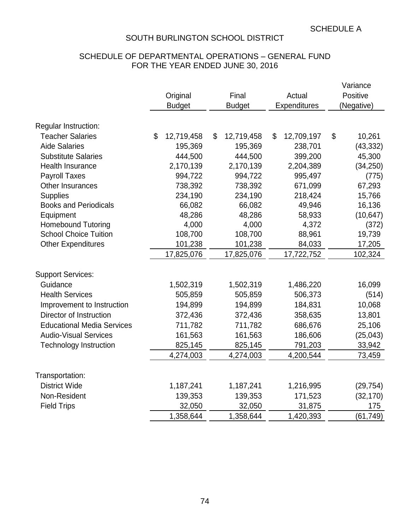## SCHEDULE OF DEPARTMENTAL OPERATIONS – GENERAL FUND FOR THE YEAR ENDED JUNE 30, 2016

| Positive<br>Original<br>Final<br>Actual<br>Expenditures<br>(Negative)<br><b>Budget</b><br><b>Budget</b><br>Regular Instruction:<br>$\boldsymbol{\mathsf{S}}$<br>\$<br><b>Teacher Salaries</b><br>12,719,458<br>\$<br>12,719,458<br>\$<br>12,709,197<br>10,261<br><b>Aide Salaries</b><br>195,369<br>195,369<br>238,701<br>(43, 332)<br>444,500<br>399,200<br><b>Substitute Salaries</b><br>444,500<br>45,300<br>2,170,139<br>2,170,139<br>2,204,389<br>(34, 250)<br>Health Insurance<br><b>Payroll Taxes</b><br>994,722<br>994,722<br>995,497<br>(775)<br>738,392<br>671,099<br>67,293<br>Other Insurances<br>738,392<br>234,190<br>218,424<br><b>Supplies</b><br>234,190<br>15,766<br><b>Books and Periodicals</b><br>66,082<br>16,136<br>66,082<br>49,946<br>48,286<br>48,286<br>58,933<br>(10, 647)<br>Equipment<br><b>Homebound Tutoring</b><br>4,000<br>4,000<br>4,372<br>(372)<br><b>School Choice Tuition</b><br>108,700<br>108,700<br>88,961<br>19,739<br><b>Other Expenditures</b><br>101,238<br>101,238<br>84,033<br>17,205<br>17,825,076<br>17,722,752<br>102,324<br>17,825,076 |  |  |  |  | Variance |
|--------------------------------------------------------------------------------------------------------------------------------------------------------------------------------------------------------------------------------------------------------------------------------------------------------------------------------------------------------------------------------------------------------------------------------------------------------------------------------------------------------------------------------------------------------------------------------------------------------------------------------------------------------------------------------------------------------------------------------------------------------------------------------------------------------------------------------------------------------------------------------------------------------------------------------------------------------------------------------------------------------------------------------------------------------------------------------------------|--|--|--|--|----------|
|                                                                                                                                                                                                                                                                                                                                                                                                                                                                                                                                                                                                                                                                                                                                                                                                                                                                                                                                                                                                                                                                                            |  |  |  |  |          |
|                                                                                                                                                                                                                                                                                                                                                                                                                                                                                                                                                                                                                                                                                                                                                                                                                                                                                                                                                                                                                                                                                            |  |  |  |  |          |
|                                                                                                                                                                                                                                                                                                                                                                                                                                                                                                                                                                                                                                                                                                                                                                                                                                                                                                                                                                                                                                                                                            |  |  |  |  |          |
|                                                                                                                                                                                                                                                                                                                                                                                                                                                                                                                                                                                                                                                                                                                                                                                                                                                                                                                                                                                                                                                                                            |  |  |  |  |          |
|                                                                                                                                                                                                                                                                                                                                                                                                                                                                                                                                                                                                                                                                                                                                                                                                                                                                                                                                                                                                                                                                                            |  |  |  |  |          |
|                                                                                                                                                                                                                                                                                                                                                                                                                                                                                                                                                                                                                                                                                                                                                                                                                                                                                                                                                                                                                                                                                            |  |  |  |  |          |
|                                                                                                                                                                                                                                                                                                                                                                                                                                                                                                                                                                                                                                                                                                                                                                                                                                                                                                                                                                                                                                                                                            |  |  |  |  |          |
|                                                                                                                                                                                                                                                                                                                                                                                                                                                                                                                                                                                                                                                                                                                                                                                                                                                                                                                                                                                                                                                                                            |  |  |  |  |          |
|                                                                                                                                                                                                                                                                                                                                                                                                                                                                                                                                                                                                                                                                                                                                                                                                                                                                                                                                                                                                                                                                                            |  |  |  |  |          |
|                                                                                                                                                                                                                                                                                                                                                                                                                                                                                                                                                                                                                                                                                                                                                                                                                                                                                                                                                                                                                                                                                            |  |  |  |  |          |
|                                                                                                                                                                                                                                                                                                                                                                                                                                                                                                                                                                                                                                                                                                                                                                                                                                                                                                                                                                                                                                                                                            |  |  |  |  |          |
|                                                                                                                                                                                                                                                                                                                                                                                                                                                                                                                                                                                                                                                                                                                                                                                                                                                                                                                                                                                                                                                                                            |  |  |  |  |          |
|                                                                                                                                                                                                                                                                                                                                                                                                                                                                                                                                                                                                                                                                                                                                                                                                                                                                                                                                                                                                                                                                                            |  |  |  |  |          |
|                                                                                                                                                                                                                                                                                                                                                                                                                                                                                                                                                                                                                                                                                                                                                                                                                                                                                                                                                                                                                                                                                            |  |  |  |  |          |
|                                                                                                                                                                                                                                                                                                                                                                                                                                                                                                                                                                                                                                                                                                                                                                                                                                                                                                                                                                                                                                                                                            |  |  |  |  |          |
|                                                                                                                                                                                                                                                                                                                                                                                                                                                                                                                                                                                                                                                                                                                                                                                                                                                                                                                                                                                                                                                                                            |  |  |  |  |          |
|                                                                                                                                                                                                                                                                                                                                                                                                                                                                                                                                                                                                                                                                                                                                                                                                                                                                                                                                                                                                                                                                                            |  |  |  |  |          |
| <b>Support Services:</b>                                                                                                                                                                                                                                                                                                                                                                                                                                                                                                                                                                                                                                                                                                                                                                                                                                                                                                                                                                                                                                                                   |  |  |  |  |          |
| Guidance<br>1,502,319<br>1,486,220<br>16,099<br>1,502,319                                                                                                                                                                                                                                                                                                                                                                                                                                                                                                                                                                                                                                                                                                                                                                                                                                                                                                                                                                                                                                  |  |  |  |  |          |
| <b>Health Services</b><br>505,859<br>505,859<br>506,373<br>(514)                                                                                                                                                                                                                                                                                                                                                                                                                                                                                                                                                                                                                                                                                                                                                                                                                                                                                                                                                                                                                           |  |  |  |  |          |
| Improvement to Instruction<br>194,899<br>194,899<br>184,831<br>10,068                                                                                                                                                                                                                                                                                                                                                                                                                                                                                                                                                                                                                                                                                                                                                                                                                                                                                                                                                                                                                      |  |  |  |  |          |
| Director of Instruction<br>13,801<br>372,436<br>372,436<br>358,635                                                                                                                                                                                                                                                                                                                                                                                                                                                                                                                                                                                                                                                                                                                                                                                                                                                                                                                                                                                                                         |  |  |  |  |          |
| <b>Educational Media Services</b><br>711,782<br>711,782<br>686,676<br>25,106                                                                                                                                                                                                                                                                                                                                                                                                                                                                                                                                                                                                                                                                                                                                                                                                                                                                                                                                                                                                               |  |  |  |  |          |
| <b>Audio-Visual Services</b><br>161,563<br>161,563<br>186,606<br>(25, 043)                                                                                                                                                                                                                                                                                                                                                                                                                                                                                                                                                                                                                                                                                                                                                                                                                                                                                                                                                                                                                 |  |  |  |  |          |
| 825,145<br>791,203<br><b>Technology Instruction</b><br>825,145<br>33,942                                                                                                                                                                                                                                                                                                                                                                                                                                                                                                                                                                                                                                                                                                                                                                                                                                                                                                                                                                                                                   |  |  |  |  |          |
| 4,274,003<br>4,274,003<br>4,200,544<br>73,459                                                                                                                                                                                                                                                                                                                                                                                                                                                                                                                                                                                                                                                                                                                                                                                                                                                                                                                                                                                                                                              |  |  |  |  |          |
| Transportation:                                                                                                                                                                                                                                                                                                                                                                                                                                                                                                                                                                                                                                                                                                                                                                                                                                                                                                                                                                                                                                                                            |  |  |  |  |          |
| <b>District Wide</b><br>1,187,241<br>1,187,241<br>1,216,995<br>(29, 754)                                                                                                                                                                                                                                                                                                                                                                                                                                                                                                                                                                                                                                                                                                                                                                                                                                                                                                                                                                                                                   |  |  |  |  |          |
| Non-Resident<br>(32, 170)<br>139,353<br>139,353<br>171,523                                                                                                                                                                                                                                                                                                                                                                                                                                                                                                                                                                                                                                                                                                                                                                                                                                                                                                                                                                                                                                 |  |  |  |  |          |
| 32,050<br><b>Field Trips</b><br>32,050<br>31,875<br>175                                                                                                                                                                                                                                                                                                                                                                                                                                                                                                                                                                                                                                                                                                                                                                                                                                                                                                                                                                                                                                    |  |  |  |  |          |
| 1,358,644<br>1,358,644<br>1,420,393<br>(61, 749)                                                                                                                                                                                                                                                                                                                                                                                                                                                                                                                                                                                                                                                                                                                                                                                                                                                                                                                                                                                                                                           |  |  |  |  |          |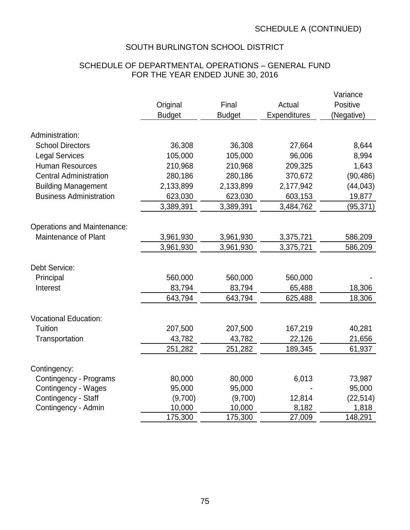## SCHEDULE OF DEPARTMENTAL OPERATIONS – GENERAL FUND FOR THE YEAR ENDED JUNE 30, 2016

|                                    |               |               |              | Variance   |
|------------------------------------|---------------|---------------|--------------|------------|
|                                    | Original      | Final         | Actual       | Positive   |
|                                    | <b>Budget</b> | <b>Budget</b> | Expenditures | (Negative) |
| Administration:                    |               |               |              |            |
| <b>School Directors</b>            | 36,308        | 36,308        | 27,664       | 8,644      |
| <b>Legal Services</b>              | 105,000       | 105,000       | 96,006       | 8,994      |
| <b>Human Resources</b>             | 210,968       | 210,968       | 209,325      | 1,643      |
| <b>Central Administration</b>      | 280,186       | 280,186       | 370,672      | (90, 486)  |
| <b>Building Management</b>         | 2,133,899     | 2,133,899     | 2,177,942    | (44, 043)  |
| <b>Business Administration</b>     | 623,030       | 623,030       | 603,153      | 19,877     |
|                                    | 3,389,391     | 3,389,391     | 3,484,762    | (95,371)   |
|                                    |               |               |              |            |
| <b>Operations and Maintenance:</b> |               |               |              |            |
| Maintenance of Plant               | 3,961,930     | 3,961,930     | 3,375,721    | 586,209    |
|                                    | 3,961,930     | 3,961,930     | 3,375,721    | 586,209    |
| Debt Service:                      |               |               |              |            |
| Principal                          | 560,000       | 560,000       | 560,000      |            |
| Interest                           | 83,794        | 83,794        | 65,488       | 18,306     |
|                                    | 643,794       | 643,794       | 625,488      | 18,306     |
|                                    |               |               |              |            |
| <b>Vocational Education:</b>       |               |               |              |            |
| Tuition                            | 207,500       | 207,500       | 167,219      | 40,281     |
| Transportation                     | 43,782        | 43,782        | 22,126       | 21,656     |
|                                    | 251,282       | 251,282       | 189,345      | 61,937     |
| Contingency:                       |               |               |              |            |
| Contingency - Programs             | 80,000        | 80,000        | 6,013        | 73,987     |
| Contingency - Wages                | 95,000        | 95,000        |              | 95,000     |
| Contingency - Staff                | (9,700)       | (9,700)       | 12,814       | (22, 514)  |
| Contingency - Admin                | 10,000        | 10,000        | 8,182        | 1,818      |
|                                    | 175,300       | 175,300       | 27,009       | 148,291    |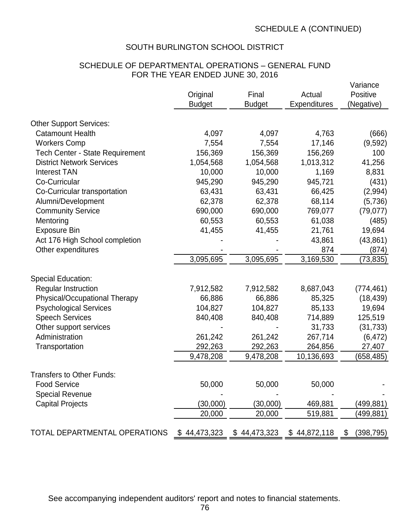## SCHEDULE OF DEPARTMENTAL OPERATIONS – GENERAL FUND FOR THE YEAR ENDED JUNE 30, 2016

|                                        |               |               |                     | Variance         |
|----------------------------------------|---------------|---------------|---------------------|------------------|
|                                        | Original      | Final         | Actual              | Positive         |
|                                        | <b>Budget</b> | <b>Budget</b> | <b>Expenditures</b> | (Negative)       |
| <b>Other Support Services:</b>         |               |               |                     |                  |
| <b>Catamount Health</b>                | 4,097         | 4,097         | 4,763               | (666)            |
| <b>Workers Comp</b>                    | 7,554         | 7,554         | 17,146              | (9,592)          |
| <b>Tech Center - State Requirement</b> | 156,369       | 156,369       | 156,269             | 100              |
| <b>District Network Services</b>       | 1,054,568     | 1,054,568     | 1,013,312           | 41,256           |
| <b>Interest TAN</b>                    | 10,000        | 10,000        | 1,169               | 8,831            |
| Co-Curricular                          | 945,290       | 945,290       | 945,721             | (431)            |
| Co-Curricular transportation           | 63,431        | 63,431        | 66,425              | (2,994)          |
| Alumni/Development                     | 62,378        | 62,378        | 68,114              | (5,736)          |
| <b>Community Service</b>               | 690,000       | 690,000       | 769,077             | (79, 077)        |
| Mentoring                              | 60,553        | 60,553        | 61,038              | (485)            |
| <b>Exposure Bin</b>                    | 41,455        | 41,455        | 21,761              | 19,694           |
| Act 176 High School completion         |               |               | 43,861              | (43, 861)        |
| Other expenditures                     |               |               | 874                 | (874)            |
|                                        | 3,095,695     | 3,095,695     | 3,169,530           | (73, 835)        |
|                                        |               |               |                     |                  |
| <b>Special Education:</b>              |               |               |                     |                  |
| <b>Regular Instruction</b>             | 7,912,582     | 7,912,582     | 8,687,043           | (774, 461)       |
| Physical/Occupational Therapy          | 66,886        | 66,886        | 85,325              | (18, 439)        |
| <b>Psychological Services</b>          | 104,827       | 104,827       | 85,133              | 19,694           |
| <b>Speech Services</b>                 | 840,408       | 840,408       | 714,889             | 125,519          |
| Other support services                 |               |               | 31,733              | (31, 733)        |
| Administration                         | 261,242       | 261,242       | 267,714             | (6, 472)         |
| Transportation                         | 292,263       | 292,263       | 264,856             | 27,407           |
|                                        | 9,478,208     | 9,478,208     | 10,136,693          | (658,485)        |
| <b>Transfers to Other Funds:</b>       |               |               |                     |                  |
| <b>Food Service</b>                    | 50,000        | 50,000        | 50,000              |                  |
| <b>Special Revenue</b>                 |               |               |                     |                  |
| <b>Capital Projects</b>                | (30,000)      | (30,000)      | 469,881             | (499,881)        |
|                                        | 20,000        | 20,000        | 519,881             | (499,881)        |
| TOTAL DEPARTMENTAL OPERATIONS          | \$44,473,323  | \$44,473,323  | \$44,872,118        | (398, 795)<br>\$ |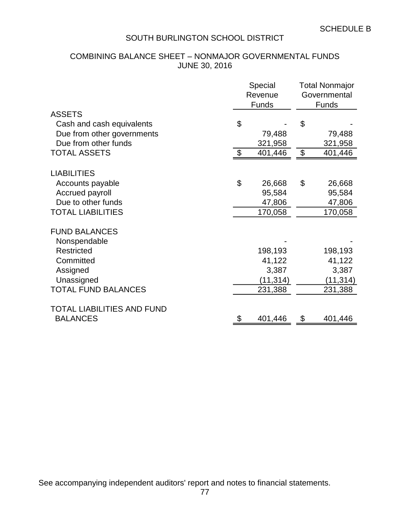## COMBINING BALANCE SHEET – NONMAJOR GOVERNMENTAL FUNDS JUNE 30, 2016

| <b>ASSETS</b><br>\$<br>\$<br>Cash and cash equivalents<br>Due from other governments<br>79,488<br>79,488<br>Due from other funds<br>321,958<br>$\boldsymbol{\mathsf{S}}$<br>$\boldsymbol{\mathsf{\$}}$<br><b>TOTAL ASSETS</b><br>401,446<br><b>LIABILITIES</b><br>\$<br>\$<br>26,668<br>Accounts payable<br>Accrued payroll<br>95,584<br>Due to other funds<br>47,806<br><b>TOTAL LIABILITIES</b><br>170,058<br><b>FUND BALANCES</b><br>Nonspendable<br><b>Restricted</b><br>198,193<br>198,193<br>Committed<br>41,122<br>Assigned<br>3,387<br>Unassigned<br>(11, 314)<br><b>TOTAL FUND BALANCES</b><br>231,388<br>TOTAL LIABILITIES AND FUND<br><b>BALANCES</b><br>401,446<br>\$<br>\$ |  | Special<br>Revenue<br><b>Funds</b> | <b>Total Nonmajor</b><br>Governmental<br><b>Funds</b> |           |  |  |
|-----------------------------------------------------------------------------------------------------------------------------------------------------------------------------------------------------------------------------------------------------------------------------------------------------------------------------------------------------------------------------------------------------------------------------------------------------------------------------------------------------------------------------------------------------------------------------------------------------------------------------------------------------------------------------------------|--|------------------------------------|-------------------------------------------------------|-----------|--|--|
|                                                                                                                                                                                                                                                                                                                                                                                                                                                                                                                                                                                                                                                                                         |  |                                    |                                                       |           |  |  |
|                                                                                                                                                                                                                                                                                                                                                                                                                                                                                                                                                                                                                                                                                         |  |                                    |                                                       |           |  |  |
|                                                                                                                                                                                                                                                                                                                                                                                                                                                                                                                                                                                                                                                                                         |  |                                    |                                                       | 321,958   |  |  |
|                                                                                                                                                                                                                                                                                                                                                                                                                                                                                                                                                                                                                                                                                         |  |                                    |                                                       | 401,446   |  |  |
|                                                                                                                                                                                                                                                                                                                                                                                                                                                                                                                                                                                                                                                                                         |  |                                    |                                                       |           |  |  |
|                                                                                                                                                                                                                                                                                                                                                                                                                                                                                                                                                                                                                                                                                         |  |                                    |                                                       | 26,668    |  |  |
|                                                                                                                                                                                                                                                                                                                                                                                                                                                                                                                                                                                                                                                                                         |  |                                    |                                                       | 95,584    |  |  |
|                                                                                                                                                                                                                                                                                                                                                                                                                                                                                                                                                                                                                                                                                         |  |                                    |                                                       | 47,806    |  |  |
|                                                                                                                                                                                                                                                                                                                                                                                                                                                                                                                                                                                                                                                                                         |  |                                    |                                                       | 170,058   |  |  |
|                                                                                                                                                                                                                                                                                                                                                                                                                                                                                                                                                                                                                                                                                         |  |                                    |                                                       |           |  |  |
|                                                                                                                                                                                                                                                                                                                                                                                                                                                                                                                                                                                                                                                                                         |  |                                    |                                                       |           |  |  |
|                                                                                                                                                                                                                                                                                                                                                                                                                                                                                                                                                                                                                                                                                         |  |                                    |                                                       | 41,122    |  |  |
|                                                                                                                                                                                                                                                                                                                                                                                                                                                                                                                                                                                                                                                                                         |  |                                    |                                                       | 3,387     |  |  |
|                                                                                                                                                                                                                                                                                                                                                                                                                                                                                                                                                                                                                                                                                         |  |                                    |                                                       | (11, 314) |  |  |
|                                                                                                                                                                                                                                                                                                                                                                                                                                                                                                                                                                                                                                                                                         |  |                                    |                                                       | 231,388   |  |  |
|                                                                                                                                                                                                                                                                                                                                                                                                                                                                                                                                                                                                                                                                                         |  |                                    |                                                       |           |  |  |
|                                                                                                                                                                                                                                                                                                                                                                                                                                                                                                                                                                                                                                                                                         |  |                                    |                                                       | 401,446   |  |  |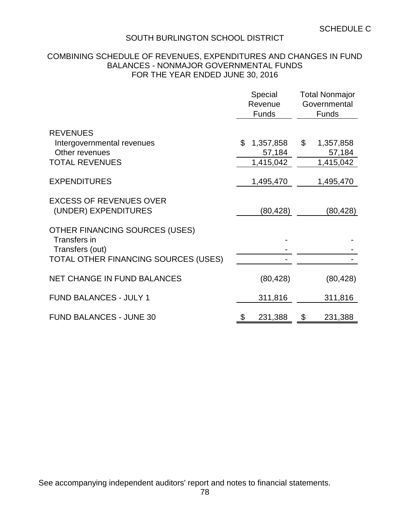### COMBINING SCHEDULE OF REVENUES, EXPENDITURES AND CHANGES IN FUND BALANCES - NONMAJOR GOVERNMENTAL FUNDS FOR THE YEAR ENDED JUNE 30, 2016

|                                                                                                           | Special<br>Revenue<br><b>Funds</b>     | <b>Total Nonmajor</b><br>Governmental<br><b>Funds</b> |
|-----------------------------------------------------------------------------------------------------------|----------------------------------------|-------------------------------------------------------|
| <b>REVENUES</b><br>Intergovernmental revenues<br>Other revenues<br><b>TOTAL REVENUES</b>                  | 1,357,858<br>\$<br>57,184<br>1,415,042 | $\mathfrak{S}$<br>1,357,858<br>57,184<br>1,415,042    |
| <b>EXPENDITURES</b>                                                                                       | 1,495,470                              | 1,495,470                                             |
| <b>EXCESS OF REVENUES OVER</b><br>(UNDER) EXPENDITURES                                                    | (80, 428)                              | (80, 428)                                             |
| OTHER FINANCING SOURCES (USES)<br>Transfers in<br>Transfers (out)<br>TOTAL OTHER FINANCING SOURCES (USES) |                                        |                                                       |
| <b>NET CHANGE IN FUND BALANCES</b>                                                                        | (80, 428)                              | (80, 428)                                             |
| <b>FUND BALANCES - JULY 1</b>                                                                             | 311,816                                | 311,816                                               |
| <b>FUND BALANCES - JUNE 30</b>                                                                            | 231,388                                | 231,388                                               |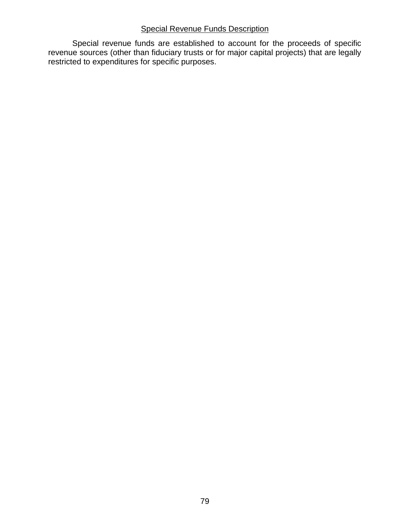### Special Revenue Funds Description

Special revenue funds are established to account for the proceeds of specific revenue sources (other than fiduciary trusts or for major capital projects) that are legally restricted to expenditures for specific purposes.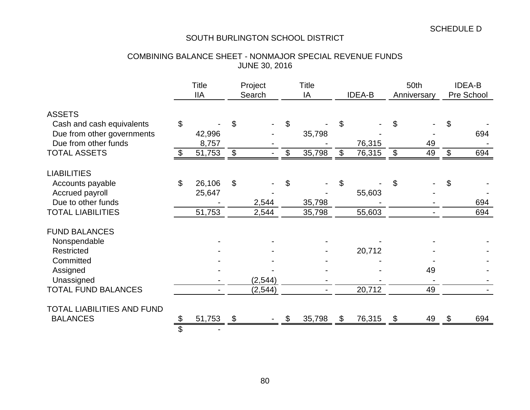|                                            |    | <b>Title</b><br><b>IIA</b> | Project<br>Search          |          | <b>Title</b><br>IA |                  | <b>IDEA-B</b>              |        | 50th<br>Anniversary        |    | <b>IDEA-B</b><br>Pre School |     |
|--------------------------------------------|----|----------------------------|----------------------------|----------|--------------------|------------------|----------------------------|--------|----------------------------|----|-----------------------------|-----|
|                                            |    |                            |                            |          |                    |                  |                            |        |                            |    |                             |     |
| <b>ASSETS</b><br>Cash and cash equivalents | \$ |                            | \$                         |          | \$                 |                  | \$                         |        | \$                         |    | \$                          |     |
| Due from other governments                 |    | 42,996                     |                            |          |                    | 35,798           |                            |        |                            |    |                             | 694 |
| Due from other funds                       |    | 8,757                      |                            |          |                    |                  |                            | 76,315 |                            | 49 |                             |     |
| <b>TOTAL ASSETS</b>                        |    | 51,753                     | $\boldsymbol{\mathsf{\$}}$ |          | \$                 | 35,798           | $\boldsymbol{\mathsf{\$}}$ | 76,315 | $\boldsymbol{\mathsf{\$}}$ | 49 | $\boldsymbol{\mathcal{L}}$  | 694 |
|                                            |    |                            |                            |          |                    |                  |                            |        |                            |    |                             |     |
| <b>LIABILITIES</b>                         |    |                            |                            |          |                    |                  |                            |        |                            |    |                             |     |
| Accounts payable                           | \$ | 26,106                     | $\mathfrak{S}$             |          |                    |                  | \$                         |        | \$                         |    | S                           |     |
| Accrued payroll<br>Due to other funds      |    | 25,647                     |                            | 2,544    |                    |                  |                            | 55,603 |                            |    |                             | 694 |
| <b>TOTAL LIABILITIES</b>                   |    | 51,753                     |                            | 2,544    |                    | 35,798<br>35,798 |                            | 55,603 |                            |    |                             | 694 |
|                                            |    |                            |                            |          |                    |                  |                            |        |                            |    |                             |     |
| <b>FUND BALANCES</b>                       |    |                            |                            |          |                    |                  |                            |        |                            |    |                             |     |
| Nonspendable                               |    |                            |                            |          |                    |                  |                            |        |                            |    |                             |     |
| Restricted                                 |    |                            |                            |          |                    |                  |                            | 20,712 |                            |    |                             |     |
| Committed                                  |    |                            |                            |          |                    |                  |                            |        |                            |    |                             |     |
| Assigned                                   |    |                            |                            |          |                    |                  |                            |        |                            | 49 |                             |     |
| Unassigned                                 |    |                            |                            | (2, 544) |                    |                  |                            |        |                            |    |                             |     |
| <b>TOTAL FUND BALANCES</b>                 |    |                            |                            | (2, 544) |                    |                  |                            | 20,712 |                            | 49 |                             |     |
| <b>TOTAL LIABILITIES AND FUND</b>          |    |                            |                            |          |                    |                  |                            |        |                            |    |                             |     |
| <b>BALANCES</b>                            | Ъ  | 51,753                     | \$                         |          |                    | 35,798           | \$                         | 76,315 | \$                         | 49 |                             | 694 |
|                                            | \$ |                            |                            |          |                    |                  |                            |        |                            |    |                             |     |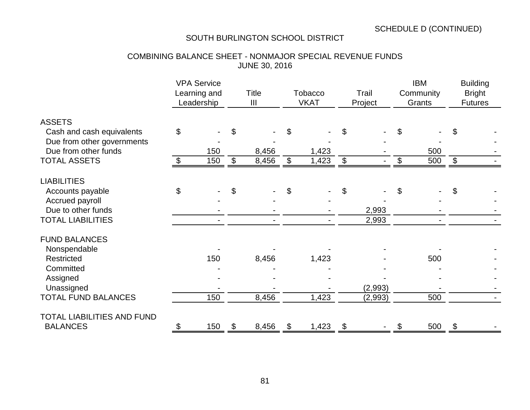## SOUTH BURLINGTON SCHOOL DISTRICT

|                                                                                                                                | <b>VPA Service</b><br>Learning and<br>Leadership |            | <b>Title</b><br>III       |                | Tobacco<br><b>VKAT</b>    |                | Trail<br>Project          |                    | <b>IBM</b><br>Community<br>Grants |            | <b>Building</b><br><b>Bright</b><br><b>Futures</b> |  |
|--------------------------------------------------------------------------------------------------------------------------------|--------------------------------------------------|------------|---------------------------|----------------|---------------------------|----------------|---------------------------|--------------------|-----------------------------------|------------|----------------------------------------------------|--|
| <b>ASSETS</b><br>Cash and cash equivalents<br>Due from other governments<br>Due from other funds                               | \$                                               |            |                           |                |                           |                | S                         |                    | \$                                | 500        | \$                                                 |  |
| <b>TOTAL ASSETS</b>                                                                                                            | $\boldsymbol{\mathcal{S}}$                       | 150<br>150 | $\boldsymbol{\mathsf{S}}$ | 8,456<br>8,456 | $\boldsymbol{\mathsf{S}}$ | 1,423<br>1,423 | $\boldsymbol{\mathsf{S}}$ |                    | \$                                | 500        | $\boldsymbol{\mathsf{\$}}$                         |  |
| <b>LIABILITIES</b><br>Accounts payable<br>Accrued payroll<br>Due to other funds<br><b>TOTAL LIABILITIES</b>                    | \$                                               |            |                           |                |                           |                |                           | 2,993<br>2,993     |                                   |            | \$                                                 |  |
| <b>FUND BALANCES</b><br>Nonspendable<br><b>Restricted</b><br>Committed<br>Assigned<br>Unassigned<br><b>TOTAL FUND BALANCES</b> |                                                  | 150<br>150 |                           | 8,456<br>8,456 |                           | 1,423<br>1,423 |                           | (2,993)<br>(2,993) |                                   | 500<br>500 |                                                    |  |
| <b>TOTAL LIABILITIES AND FUND</b><br><b>BALANCES</b>                                                                           | S                                                | 150        | \$                        | 8,456          | \$                        | 1,423          |                           |                    |                                   | 500        | \$                                                 |  |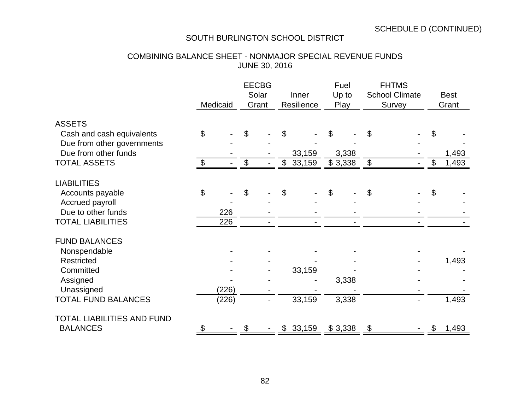## SOUTH BURLINGTON SCHOOL DISTRICT

|                                                    |                           | Medicaid |    | <b>EECBG</b><br>Solar<br>Grant |               | Inner<br>Resilience |         | Fuel<br>Up to<br>Play |                       | <b>FHTMS</b><br><b>School Climate</b><br>Survey |    | <b>Best</b><br>Grant |
|----------------------------------------------------|---------------------------|----------|----|--------------------------------|---------------|---------------------|---------|-----------------------|-----------------------|-------------------------------------------------|----|----------------------|
| <b>ASSETS</b>                                      |                           |          |    |                                |               |                     |         |                       |                       |                                                 |    |                      |
| Cash and cash equivalents                          | \$                        |          | \$ |                                | \$            |                     | \$      |                       | \$                    |                                                 |    |                      |
| Due from other governments<br>Due from other funds |                           |          |    |                                |               | 33,159              |         | 3,338                 |                       |                                                 |    | 1,493                |
| <b>TOTAL ASSETS</b>                                | $\boldsymbol{\mathsf{S}}$ |          | \$ |                                | \$            | 33,159              | \$3,338 |                       | $\boldsymbol{\theta}$ |                                                 | \$ | 1,493                |
| <b>LIABILITIES</b>                                 |                           |          |    |                                |               |                     |         |                       |                       |                                                 |    |                      |
| Accounts payable<br>Accrued payroll                | \$                        |          | \$ |                                | \$            |                     | \$      |                       | \$                    |                                                 | \$ |                      |
| Due to other funds                                 |                           | 226      |    |                                |               |                     |         |                       |                       |                                                 |    |                      |
| <b>TOTAL LIABILITIES</b>                           |                           | 226      |    |                                |               |                     |         |                       |                       |                                                 |    |                      |
| <b>FUND BALANCES</b>                               |                           |          |    |                                |               |                     |         |                       |                       |                                                 |    |                      |
| Nonspendable                                       |                           |          |    |                                |               |                     |         |                       |                       |                                                 |    |                      |
| Restricted                                         |                           |          |    |                                |               |                     |         |                       |                       |                                                 |    | 1,493                |
| Committed                                          |                           |          |    |                                |               | 33,159              |         |                       |                       |                                                 |    |                      |
| Assigned                                           |                           |          |    |                                |               |                     |         | 3,338                 |                       |                                                 |    |                      |
| Unassigned                                         |                           | (226)    |    |                                |               |                     |         |                       |                       |                                                 |    |                      |
| <b>TOTAL FUND BALANCES</b>                         |                           | (226)    |    |                                |               | 33,159              |         | 3,338                 |                       |                                                 |    | 1,493                |
| TOTAL LIABILITIES AND FUND                         |                           |          |    |                                |               |                     |         |                       |                       |                                                 |    |                      |
| <b>BALANCES</b>                                    | \$                        |          | \$ |                                | $\frac{2}{3}$ | 33,159              | \$3,338 |                       | \$                    |                                                 | \$ | 1,493                |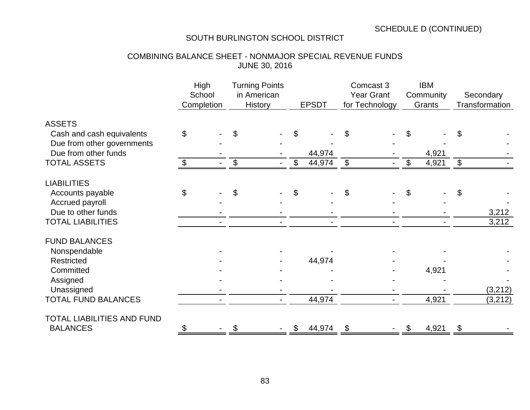## SOUTH BURLINGTON SCHOOL DISTRICT

|                                                    |               | High<br>School<br>Completion |    | <b>Turning Points</b><br>in American<br>History | <b>EPSDT</b> | Comcast 3<br><b>Year Grant</b><br>for Technology |                | <b>IBM</b><br>Community<br>Grants |                            | Secondary<br>Transformation |
|----------------------------------------------------|---------------|------------------------------|----|-------------------------------------------------|--------------|--------------------------------------------------|----------------|-----------------------------------|----------------------------|-----------------------------|
| <b>ASSETS</b>                                      |               |                              |    |                                                 |              |                                                  |                |                                   |                            |                             |
| Cash and cash equivalents                          | \$            |                              |    |                                                 |              |                                                  |                |                                   |                            |                             |
| Due from other governments<br>Due from other funds |               |                              |    |                                                 | 44,974       |                                                  |                | 4,921                             |                            |                             |
| <b>TOTAL ASSETS</b>                                | $\mathcal{L}$ |                              | \$ |                                                 | \$<br>44,974 | \$                                               | $\mathfrak{L}$ | 4,921                             | $\boldsymbol{\mathsf{\$}}$ |                             |
| <b>LIABILITIES</b>                                 |               |                              |    |                                                 |              |                                                  |                |                                   |                            |                             |
| Accounts payable                                   | \$            |                              | \$ |                                                 | \$           | \$                                               | \$             |                                   |                            |                             |
| Accrued payroll<br>Due to other funds              |               |                              |    |                                                 |              |                                                  |                |                                   |                            | 3,212                       |
| <b>TOTAL LIABILITIES</b>                           |               |                              |    |                                                 |              |                                                  |                |                                   |                            | 3,212                       |
| <b>FUND BALANCES</b>                               |               |                              |    |                                                 |              |                                                  |                |                                   |                            |                             |
| Nonspendable                                       |               |                              |    |                                                 |              |                                                  |                |                                   |                            |                             |
| Restricted                                         |               |                              |    |                                                 | 44,974       |                                                  |                |                                   |                            |                             |
| Committed                                          |               |                              |    |                                                 |              |                                                  |                | 4,921                             |                            |                             |
| Assigned<br>Unassigned                             |               |                              |    |                                                 |              |                                                  |                |                                   |                            | (3,212)                     |
| <b>TOTAL FUND BALANCES</b>                         |               |                              |    |                                                 | 44,974       |                                                  |                | 4,921                             |                            | (3,212)                     |
| TOTAL LIABILITIES AND FUND<br><b>BALANCES</b>      |               |                              | S  |                                                 | \$<br>44,974 | \$                                               |                | 4,921                             | $\mathfrak{F}$             |                             |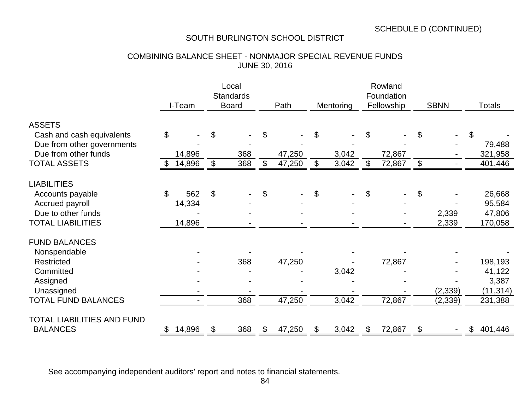## SOUTH BURLINGTON SCHOOL DISTRICT

### COMBINING BALANCE SHEET - NONMAJOR SPECIAL REVENUE FUNDS JUNE 30, 2016

|                            |                | I-Team |                | Local<br><b>Standards</b><br><b>Board</b> | Path         |                | Mentoring |                           | Rowland<br>Foundation<br>Fellowship |                           | <b>SBNN</b>    |                | <b>Totals</b> |
|----------------------------|----------------|--------|----------------|-------------------------------------------|--------------|----------------|-----------|---------------------------|-------------------------------------|---------------------------|----------------|----------------|---------------|
| <b>ASSETS</b>              |                |        |                |                                           |              |                |           |                           |                                     |                           |                |                |               |
| Cash and cash equivalents  | \$             |        | \$             |                                           | \$           | \$             |           | \$                        |                                     | \$                        |                |                |               |
| Due from other governments |                |        |                |                                           |              |                |           |                           |                                     |                           |                |                | 79,488        |
| Due from other funds       |                | 14,896 |                | 368                                       | 47,250       |                | 3,042     |                           | 72,867                              |                           |                |                | 321,958       |
| <b>TOTAL ASSETS</b>        | $\mathfrak{S}$ | 14,896 | $\mathfrak{L}$ | 368                                       | \$<br>47,250 | $\mathfrak{L}$ | 3,042     | $\boldsymbol{\mathsf{S}}$ | 72,867                              | $\boldsymbol{\mathsf{S}}$ | $\blacksquare$ |                | 401,446       |
| <b>LIABILITIES</b>         |                |        |                |                                           |              |                |           |                           |                                     |                           |                |                |               |
| Accounts payable           | $\mathfrak{L}$ | 562    | $\mathfrak{L}$ |                                           | \$           | \$             |           | \$                        |                                     | \$                        |                |                | 26,668        |
| Accrued payroll            |                | 14,334 |                |                                           |              |                |           |                           |                                     |                           |                |                | 95,584        |
| Due to other funds         |                |        |                |                                           |              |                |           |                           |                                     |                           | 2,339          |                | 47,806        |
| <b>TOTAL LIABILITIES</b>   |                | 14,896 |                |                                           |              |                |           |                           |                                     |                           | 2,339          |                | 170,058       |
| <b>FUND BALANCES</b>       |                |        |                |                                           |              |                |           |                           |                                     |                           |                |                |               |
| Nonspendable               |                |        |                |                                           |              |                |           |                           |                                     |                           |                |                |               |
| <b>Restricted</b>          |                |        |                | 368                                       | 47,250       |                |           |                           | 72,867                              |                           |                |                | 198,193       |
| Committed                  |                |        |                |                                           |              |                | 3,042     |                           |                                     |                           |                |                | 41,122        |
| Assigned                   |                |        |                |                                           |              |                |           |                           |                                     |                           |                |                | 3,387         |
| Unassigned                 |                |        |                |                                           |              |                |           |                           |                                     |                           | (2, 339)       |                | (11, 314)     |
| <b>TOTAL FUND BALANCES</b> |                |        |                | 368                                       | 47,250       |                | 3,042     |                           | 72,867                              |                           | (2, 339)       |                | 231,388       |
| TOTAL LIABILITIES AND FUND |                |        |                |                                           |              |                |           |                           |                                     |                           |                |                |               |
| <b>BALANCES</b>            | \$             | 14,896 |                | 368                                       | \$<br>47,250 | \$             | 3,042     | \$                        | 72,867                              | \$                        |                | $\mathfrak{F}$ | 401,446       |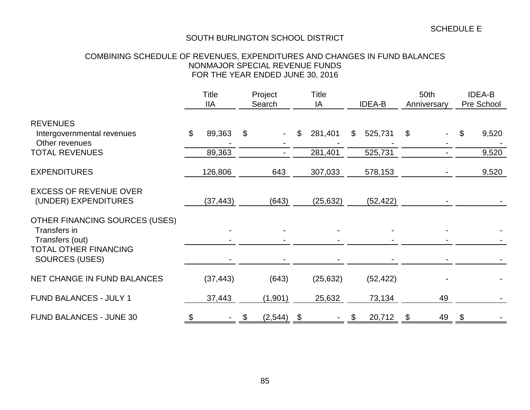|                                                                   | <b>Title</b><br><b>IIA</b> | Project<br>Search | <b>Title</b><br>IA | <b>IDEA-B</b>  |           | 50th<br>Anniversary |                          | <b>IDEA-B</b><br>Pre School |       |
|-------------------------------------------------------------------|----------------------------|-------------------|--------------------|----------------|-----------|---------------------|--------------------------|-----------------------------|-------|
| <b>REVENUES</b><br>Intergovernmental revenues<br>Other revenues   | \$<br>89,363               | \$                | \$<br>281,401      | $\mathfrak{S}$ | 525,731   | \$                  | $\overline{\phantom{0}}$ | \$                          | 9,520 |
| <b>TOTAL REVENUES</b>                                             | 89,363                     |                   | 281,401            |                | 525,731   |                     |                          |                             | 9,520 |
| <b>EXPENDITURES</b>                                               | 126,806                    | 643               | 307,033            |                | 578,153   |                     |                          |                             | 9,520 |
| <b>EXCESS OF REVENUE OVER</b><br>(UNDER) EXPENDITURES             | (37, 443)                  | (643)             | (25, 632)          |                | (52, 422) |                     |                          |                             |       |
| OTHER FINANCING SOURCES (USES)<br>Transfers in<br>Transfers (out) |                            |                   |                    |                |           |                     |                          |                             |       |
| <b>TOTAL OTHER FINANCING</b><br><b>SOURCES (USES)</b>             |                            |                   |                    |                |           |                     |                          |                             |       |
| <b>NET CHANGE IN FUND BALANCES</b>                                | (37, 443)                  | (643)             | (25, 632)          |                | (52, 422) |                     |                          |                             |       |
| <b>FUND BALANCES - JULY 1</b>                                     | 37,443                     | (1,901)           | 25,632             |                | 73,134    |                     | 49                       |                             |       |
| FUND BALANCES - JUNE 30                                           | \$                         | \$<br>(2, 544)    | \$                 | \$             | 20,712    | \$                  | 49                       | \$                          |       |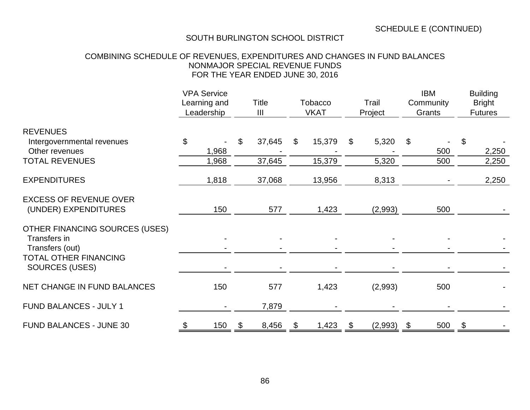|                                                                   | <b>VPA Service</b><br>Learning and<br>Leadership | <b>Title</b><br>$\mathbf{III}$ | Tobacco<br><b>VKAT</b> | Trail<br>Project   | <b>IBM</b><br>Community<br>Grants | <b>Building</b><br><b>Bright</b><br><b>Futures</b> |
|-------------------------------------------------------------------|--------------------------------------------------|--------------------------------|------------------------|--------------------|-----------------------------------|----------------------------------------------------|
| <b>REVENUES</b><br>Intergovernmental revenues<br>Other revenues   | \$<br>1,968                                      | 37,645<br>\$                   | \$<br>15,379           | \$<br>5,320        | \$<br>500                         | \$<br>2,250                                        |
| <b>TOTAL REVENUES</b>                                             | 1,968                                            | 37,645                         | 15,379                 | 5,320              | 500                               | 2,250                                              |
| <b>EXPENDITURES</b>                                               | 1,818                                            | 37,068                         | 13,956                 | 8,313              |                                   | 2,250                                              |
| <b>EXCESS OF REVENUE OVER</b><br>(UNDER) EXPENDITURES             | 150                                              | 577                            | 1,423                  | (2,993)            | 500                               |                                                    |
| OTHER FINANCING SOURCES (USES)<br>Transfers in<br>Transfers (out) |                                                  |                                |                        |                    |                                   |                                                    |
| <b>TOTAL OTHER FINANCING</b><br><b>SOURCES (USES)</b>             |                                                  |                                |                        |                    |                                   |                                                    |
| NET CHANGE IN FUND BALANCES                                       | 150                                              | 577                            | 1,423                  | (2,993)            | 500                               |                                                    |
| FUND BALANCES - JULY 1                                            |                                                  | 7,879                          |                        |                    |                                   |                                                    |
| <b>FUND BALANCES - JUNE 30</b>                                    | 150                                              | 8,456<br>\$                    | 1,423<br>\$            | $(2,993)$ \$<br>\$ | 500                               | $\boldsymbol{\theta}$                              |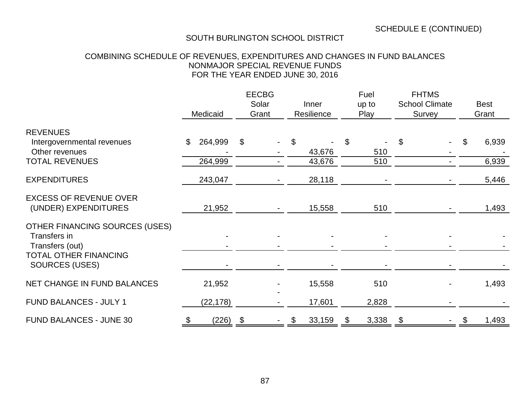|                                                                                                   | Medicaid                 | <b>EECBG</b><br>Solar<br>Grant | Inner<br>Resilience    | Fuel<br>up to<br>Play | <b>FHTMS</b><br><b>School Climate</b><br>Survey | <b>Best</b><br>Grant |
|---------------------------------------------------------------------------------------------------|--------------------------|--------------------------------|------------------------|-----------------------|-------------------------------------------------|----------------------|
| <b>REVENUES</b><br>Intergovernmental revenues<br>Other revenues<br><b>TOTAL REVENUES</b>          | \$<br>264,999<br>264,999 | $\mathcal{L}$                  | \$<br>43,676<br>43,676 | \$<br>510<br>510      | \$                                              | 6,939<br>\$<br>6,939 |
| <b>EXPENDITURES</b>                                                                               | 243,047                  |                                | 28,118                 |                       |                                                 | 5,446                |
| <b>EXCESS OF REVENUE OVER</b><br>(UNDER) EXPENDITURES                                             | 21,952                   |                                | 15,558                 | 510                   |                                                 | 1,493                |
| OTHER FINANCING SOURCES (USES)<br>Transfers in<br>Transfers (out)<br><b>TOTAL OTHER FINANCING</b> |                          |                                |                        |                       |                                                 |                      |
| <b>SOURCES (USES)</b><br><b>NET CHANGE IN FUND BALANCES</b>                                       | 21,952                   |                                | 15,558                 | 510                   |                                                 | 1,493                |
| <b>FUND BALANCES - JULY 1</b>                                                                     | (22, 178)                |                                | 17,601                 | 2,828                 |                                                 |                      |
| <b>FUND BALANCES - JUNE 30</b>                                                                    | (226)                    | \$                             | 33,159<br>\$           | 3,338                 | \$                                              | 1,493                |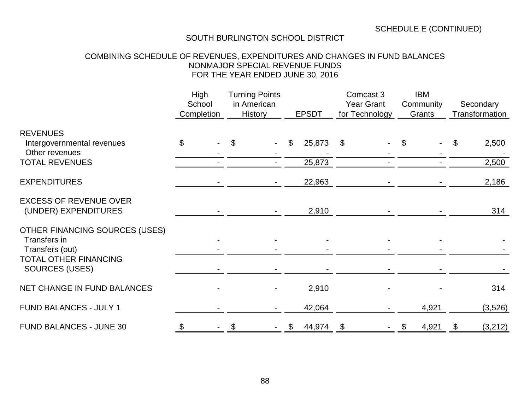|                                                                                            | High<br>School<br>Completion |                | <b>Turning Points</b><br>in American<br>History |                          | <b>EPSDT</b> | Comcast 3<br><b>Year Grant</b><br>for Technology | <b>IBM</b><br>Community<br>Grants |                | Secondary<br>Transformation |
|--------------------------------------------------------------------------------------------|------------------------------|----------------|-------------------------------------------------|--------------------------|--------------|--------------------------------------------------|-----------------------------------|----------------|-----------------------------|
| <b>REVENUES</b><br>Intergovernmental revenues<br>Other revenues                            | \$                           | $\blacksquare$ | \$                                              | \$<br>$\sim$             | 25,873       | \$                                               | \$                                | $\mathfrak{S}$ | 2,500                       |
| <b>TOTAL REVENUES</b>                                                                      |                              | $\blacksquare$ |                                                 | $\overline{\phantom{a}}$ | 25,873       |                                                  |                                   |                | 2,500                       |
| <b>EXPENDITURES</b>                                                                        |                              |                |                                                 |                          | 22,963       |                                                  |                                   |                | 2,186                       |
| <b>EXCESS OF REVENUE OVER</b><br>(UNDER) EXPENDITURES                                      |                              |                |                                                 |                          | 2,910        |                                                  |                                   |                | 314                         |
| OTHER FINANCING SOURCES (USES)<br>Transfers in<br>Transfers (out)<br>TOTAL OTHER FINANCING |                              |                |                                                 |                          |              |                                                  |                                   |                |                             |
| <b>SOURCES (USES)</b>                                                                      |                              |                |                                                 |                          |              |                                                  |                                   |                |                             |
| NET CHANGE IN FUND BALANCES                                                                |                              |                |                                                 |                          | 2,910        |                                                  |                                   |                | 314                         |
| <b>FUND BALANCES - JULY 1</b>                                                              |                              |                |                                                 |                          | 42,064       |                                                  | 4,921                             |                | (3, 526)                    |
| FUND BALANCES - JUNE 30                                                                    | \$.                          |                |                                                 | \$                       | 44,974       | \$                                               | 4,921<br>\$                       | \$             | (3,212)                     |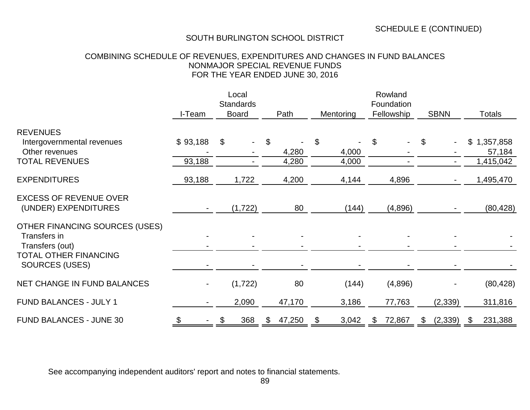#### COMBINING SCHEDULE OF REVENUES, EXPENDITURES AND CHANGES IN FUND BALANCES NONMAJOR SPECIAL REVENUE FUNDS FOR THE YEAR ENDED JUNE 30, 2016

|                                                                                                                            | I-Team             | Local<br><b>Standards</b><br><b>Board</b> | Path                 | Mentoring            | Rowland<br>Foundation<br>Fellowship | <b>SBNN</b>    | <b>Totals</b>                          |
|----------------------------------------------------------------------------------------------------------------------------|--------------------|-------------------------------------------|----------------------|----------------------|-------------------------------------|----------------|----------------------------------------|
| <b>REVENUES</b><br>Intergovernmental revenues<br>Other revenues<br><b>TOTAL REVENUES</b>                                   | \$93,188<br>93,188 | \$                                        | \$<br>4,280<br>4,280 | \$<br>4,000<br>4,000 | \$<br>$\overline{\phantom{a}}$      | \$             | \$<br>1,357,858<br>57,184<br>1,415,042 |
| <b>EXPENDITURES</b>                                                                                                        | 93,188             | 1,722                                     | 4,200                | 4,144                | 4,896                               |                | 1,495,470                              |
| <b>EXCESS OF REVENUE OVER</b><br>(UNDER) EXPENDITURES                                                                      |                    | (1, 722)                                  | 80                   | (144)                | (4,896)                             |                | (80, 428)                              |
| OTHER FINANCING SOURCES (USES)<br>Transfers in<br>Transfers (out)<br><b>TOTAL OTHER FINANCING</b><br><b>SOURCES (USES)</b> |                    |                                           |                      |                      |                                     |                |                                        |
| <b>NET CHANGE IN FUND BALANCES</b>                                                                                         |                    | (1, 722)                                  | 80                   | (144)                | (4,896)                             |                | (80, 428)                              |
| <b>FUND BALANCES - JULY 1</b>                                                                                              |                    | 2,090                                     | 47,170               | 3,186                | 77,763                              | (2, 339)       | 311,816                                |
| <b>FUND BALANCES - JUNE 30</b>                                                                                             | $\frac{1}{2}$      | 368<br>\$                                 | 47,250               | 3,042<br>\$          | 72,867<br>\$                        | (2, 339)<br>\$ | 231,388<br>\$                          |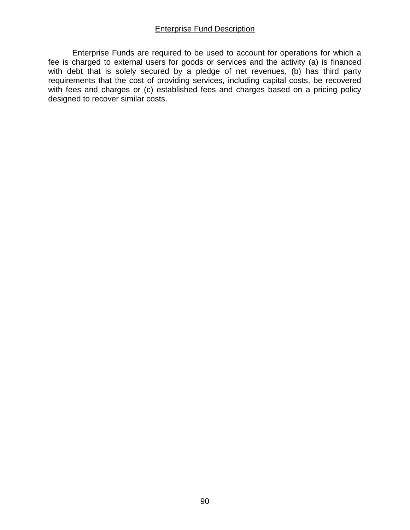### Enterprise Fund Description

Enterprise Funds are required to be used to account for operations for which a fee is charged to external users for goods or services and the activity (a) is financed with debt that is solely secured by a pledge of net revenues, (b) has third party requirements that the cost of providing services, including capital costs, be recovered with fees and charges or (c) established fees and charges based on a pricing policy designed to recover similar costs.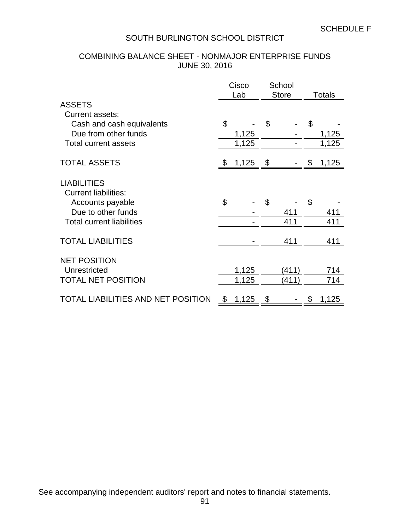## COMBINING BALANCE SHEET - NONMAJOR ENTERPRISE FUNDS JUNE 30, 2016

|                                                   | Cisco |       | School |              |               |
|---------------------------------------------------|-------|-------|--------|--------------|---------------|
| <b>ASSETS</b>                                     |       | Lab   |        | <b>Store</b> | <b>Totals</b> |
| <b>Current assets:</b>                            |       |       |        |              |               |
| Cash and cash equivalents                         | \$    |       | \$     |              | \$            |
| Due from other funds                              |       | 1,125 |        |              | 1,125         |
| <b>Total current assets</b>                       |       | 1,125 |        |              | 1,125         |
| <b>TOTAL ASSETS</b>                               | S     | 1,125 | \$     |              | \$<br>1,125   |
| <b>LIABILITIES</b><br><b>Current liabilities:</b> |       |       |        |              |               |
| Accounts payable<br>Due to other funds            | \$    |       | \$     | 411          | \$<br>411     |
| <b>Total current liabilities</b>                  |       |       |        | 411          | 411           |
| <b>TOTAL LIABILITIES</b>                          |       |       |        | 411          | 411           |
| <b>NET POSITION</b>                               |       |       |        |              |               |
| Unrestricted                                      |       | 1,125 |        | (411)        | 714           |
| <b>TOTAL NET POSITION</b>                         |       | 1,125 |        | (411)        | 714           |
| <b>TOTAL LIABILITIES AND NET POSITION</b>         | \$    | 1,125 | \$     |              | 1,125         |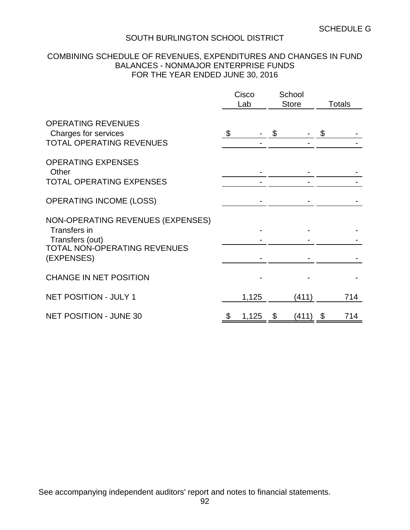### COMBINING SCHEDULE OF REVENUES, EXPENDITURES AND CHANGES IN FUND BALANCES - NONMAJOR ENTERPRISE FUNDS FOR THE YEAR ENDED JUNE 30, 2016

|                                                                                                                           |                | Cisco<br>Lab |            | School<br><b>Store</b> | <b>Totals</b> |     |
|---------------------------------------------------------------------------------------------------------------------------|----------------|--------------|------------|------------------------|---------------|-----|
| <b>OPERATING REVENUES</b><br>Charges for services<br><b>TOTAL OPERATING REVENUES</b>                                      | $\mathfrak{F}$ |              | $\sqrt{3}$ |                        | - \$          |     |
| <b>OPERATING EXPENSES</b><br>Other<br><b>TOTAL OPERATING EXPENSES</b>                                                     |                |              |            |                        |               |     |
| <b>OPERATING INCOME (LOSS)</b>                                                                                            |                |              |            |                        |               |     |
| NON-OPERATING REVENUES (EXPENSES)<br>Transfers in<br>Transfers (out)<br><b>TOTAL NON-OPERATING REVENUES</b><br>(EXPENSES) |                |              |            |                        |               |     |
| <b>CHANGE IN NET POSITION</b>                                                                                             |                |              |            |                        |               |     |
| <b>NET POSITION - JULY 1</b>                                                                                              |                | 1,125        |            | (411)                  |               | 714 |
| <b>NET POSITION - JUNE 30</b>                                                                                             |                | 1,125        | \$         | (411)                  | \$            | 714 |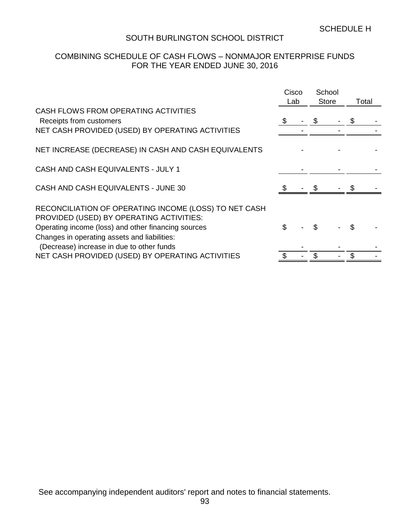## COMBINING SCHEDULE OF CASH FLOWS – NONMAJOR ENTERPRISE FUNDS FOR THE YEAR ENDED JUNE 30, 2016

|                                                                                                                                                                                                                                                       | Cisco<br>Lab | School<br><b>Store</b> | Total |  |
|-------------------------------------------------------------------------------------------------------------------------------------------------------------------------------------------------------------------------------------------------------|--------------|------------------------|-------|--|
| CASH FLOWS FROM OPERATING ACTIVITIES<br>Receipts from customers<br>NET CASH PROVIDED (USED) BY OPERATING ACTIVITIES                                                                                                                                   | \$           |                        |       |  |
| NET INCREASE (DECREASE) IN CASH AND CASH EQUIVALENTS                                                                                                                                                                                                  |              |                        |       |  |
| CASH AND CASH EQUIVALENTS - JULY 1                                                                                                                                                                                                                    |              |                        |       |  |
| CASH AND CASH EQUIVALENTS - JUNE 30                                                                                                                                                                                                                   |              |                        |       |  |
| RECONCILIATION OF OPERATING INCOME (LOSS) TO NET CASH<br>PROVIDED (USED) BY OPERATING ACTIVITIES:<br>Operating income (loss) and other financing sources<br>Changes in operating assets and liabilities:<br>(Decrease) increase in due to other funds | \$           | \$                     |       |  |
| NET CASH PROVIDED (USED) BY OPERATING ACTIVITIES                                                                                                                                                                                                      |              |                        |       |  |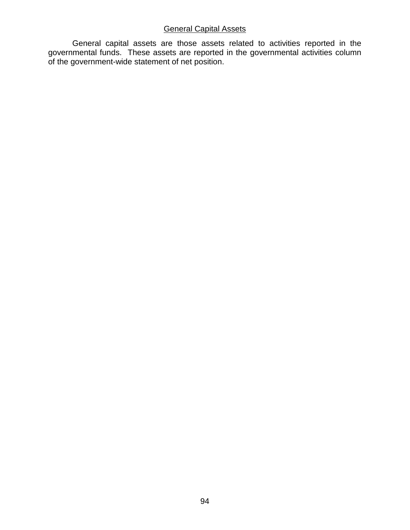### General Capital Assets

General capital assets are those assets related to activities reported in the governmental funds. These assets are reported in the governmental activities column of the government-wide statement of net position.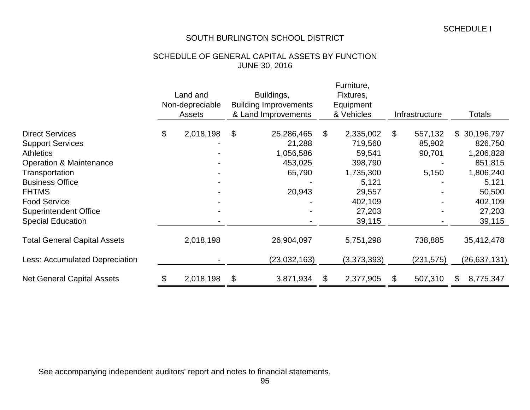### SCHEDULE OF GENERAL CAPITAL ASSETS BY FUNCTION JUNE 30, 2016

|                                     | Land and<br>Non-depreciable<br><b>Assets</b> | Buildings,<br><b>Building Improvements</b><br>& Land Improvements | Furniture,<br>Fixtures,<br>Equipment<br>& Vehicles |                | Infrastructure |     | <b>Totals</b>  |
|-------------------------------------|----------------------------------------------|-------------------------------------------------------------------|----------------------------------------------------|----------------|----------------|-----|----------------|
| <b>Direct Services</b>              | \$<br>2,018,198                              | \$<br>25,286,465                                                  | \$<br>2,335,002                                    | $\mathfrak{L}$ | 557,132        |     | \$30,196,797   |
| <b>Support Services</b>             |                                              | 21,288                                                            | 719,560                                            |                | 85,902         |     | 826,750        |
| <b>Athletics</b>                    |                                              | 1,056,586                                                         | 59,541                                             |                | 90,701         |     | 1,206,828      |
| <b>Operation &amp; Maintenance</b>  |                                              | 453,025                                                           | 398,790                                            |                |                |     | 851,815        |
| Transportation                      |                                              | 65,790                                                            | 1,735,300                                          |                | 5,150          |     | 1,806,240      |
| <b>Business Office</b>              |                                              |                                                                   | 5,121                                              |                |                |     | 5,121          |
| <b>FHTMS</b>                        |                                              | 20,943                                                            | 29,557                                             |                |                |     | 50,500         |
| <b>Food Service</b>                 |                                              |                                                                   | 402,109                                            |                |                |     | 402,109        |
| <b>Superintendent Office</b>        |                                              |                                                                   | 27,203                                             |                |                |     | 27,203         |
| <b>Special Education</b>            |                                              |                                                                   | 39,115                                             |                |                |     | 39,115         |
| <b>Total General Capital Assets</b> | 2,018,198                                    | 26,904,097                                                        | 5,751,298                                          |                | 738,885        |     | 35,412,478     |
| Less: Accumulated Depreciation      |                                              | (23,032,163)                                                      | (3,373,393)                                        |                | (231, 575)     |     | (26, 637, 131) |
| <b>Net General Capital Assets</b>   | 2,018,198                                    | \$<br>3,871,934                                                   | \$<br>2,377,905                                    | \$             | 507,310        | \$. | 8,775,347      |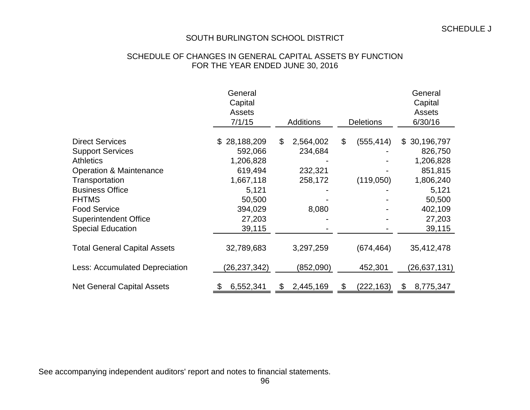#### SCHEDULE OF CHANGES IN GENERAL CAPITAL ASSETS BY FUNCTION FOR THE YEAR ENDED JUNE 30, 2016

|                                       | General<br>Capital<br>Assets |                             |                  | General<br>Capital<br><b>Assets</b> |
|---------------------------------------|------------------------------|-----------------------------|------------------|-------------------------------------|
|                                       | 7/1/15                       | <b>Additions</b>            | <b>Deletions</b> | 6/30/16                             |
| <b>Direct Services</b>                | 28,188,209<br>\$             | $\mathfrak{L}$<br>2,564,002 | \$<br>(555, 414) | \$ 30,196,797                       |
| <b>Support Services</b>               | 592,066                      | 234,684                     |                  | 826,750                             |
| <b>Athletics</b>                      | 1,206,828                    |                             |                  | 1,206,828                           |
| Operation & Maintenance               | 619,494                      | 232,321                     |                  | 851,815                             |
| Transportation                        | 1,667,118                    | 258,172                     | (119,050)        | 1,806,240                           |
| <b>Business Office</b>                | 5,121                        |                             |                  | 5,121                               |
| <b>FHTMS</b>                          | 50,500                       |                             |                  | 50,500                              |
| <b>Food Service</b>                   | 394,029                      | 8,080                       |                  | 402,109                             |
| <b>Superintendent Office</b>          | 27,203                       |                             |                  | 27,203                              |
| <b>Special Education</b>              | 39,115                       |                             |                  | 39,115                              |
| <b>Total General Capital Assets</b>   | 32,789,683                   | 3,297,259                   | (674, 464)       | 35,412,478                          |
| <b>Less: Accumulated Depreciation</b> | (26,237,342)                 | (852,090)                   | 452,301          | (26,637,131)                        |
| <b>Net General Capital Assets</b>     | 6,552,341                    | 2,445,169<br>\$             | (222,163)<br>\$  | 8,775,347<br>\$                     |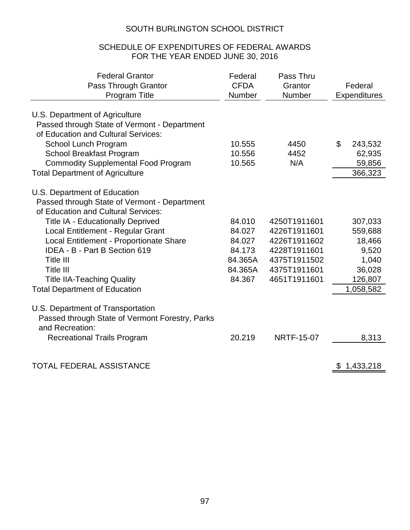## SCHEDULE OF EXPENDITURES OF FEDERAL AWARDS FOR THE YEAR ENDED JUNE 30, 2016

| <b>Federal Grantor</b><br>Pass Through Grantor<br><b>Program Title</b>                                                                                                                                                                                                                                                                                                                  | Federal<br><b>CFDA</b><br><b>Number</b>                              | Pass Thru<br>Grantor<br>Number                                                                               | Federal<br><b>Expenditures</b>                                                   |
|-----------------------------------------------------------------------------------------------------------------------------------------------------------------------------------------------------------------------------------------------------------------------------------------------------------------------------------------------------------------------------------------|----------------------------------------------------------------------|--------------------------------------------------------------------------------------------------------------|----------------------------------------------------------------------------------|
| U.S. Department of Agriculture<br>Passed through State of Vermont - Department<br>of Education and Cultural Services:<br>School Lunch Program<br><b>School Breakfast Program</b><br><b>Commodity Supplemental Food Program</b><br><b>Total Department of Agriculture</b>                                                                                                                | 10.555<br>10.556<br>10.565                                           | 4450<br>4452<br>N/A                                                                                          | \$<br>243,532<br>62,935<br>59,856<br>366,323                                     |
| U.S. Department of Education<br>Passed through State of Vermont - Department<br>of Education and Cultural Services:<br><b>Title IA - Educationally Deprived</b><br>Local Entitlement - Regular Grant<br>Local Entitlement - Proportionate Share<br>IDEA - B - Part B Section 619<br>Title III<br>Title III<br><b>Title IIA-Teaching Quality</b><br><b>Total Department of Education</b> | 84.010<br>84.027<br>84.027<br>84.173<br>84.365A<br>84.365A<br>84.367 | 4250T1911601<br>4226T1911601<br>4226T1911602<br>4228T1911601<br>4375T1911502<br>4375T1911601<br>4651T1911601 | 307,033<br>559,688<br>18,466<br>9,520<br>1,040<br>36,028<br>126,807<br>1,058,582 |
| U.S. Department of Transportation<br>Passed through State of Vermont Forestry, Parks<br>and Recreation:<br><b>Recreational Trails Program</b>                                                                                                                                                                                                                                           | 20.219                                                               | <b>NRTF-15-07</b>                                                                                            | 8,313                                                                            |
| TOTAL FEDERAL ASSISTANCE                                                                                                                                                                                                                                                                                                                                                                |                                                                      |                                                                                                              | 1,433,218<br>\$                                                                  |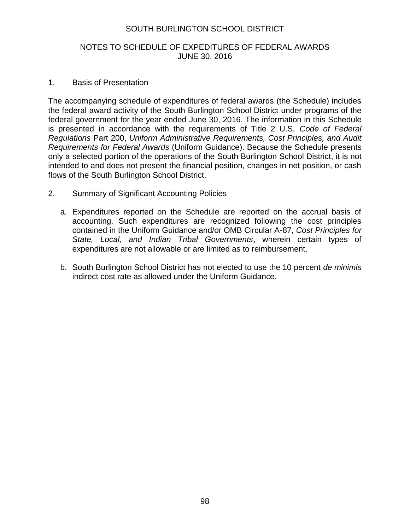#### NOTES TO SCHEDULE OF EXPEDITURES OF FEDERAL AWARDS JUNE 30, 2016

#### 1. Basis of Presentation

The accompanying schedule of expenditures of federal awards (the Schedule) includes the federal award activity of the South Burlington School District under programs of the federal government for the year ended June 30, 2016. The information in this Schedule is presented in accordance with the requirements of Title 2 U.S. *Code of Federal Regulations* Part 200, *Uniform Administrative Requirements, Cost Principles, and Audit Requirements for Federal Awards* (Uniform Guidance). Because the Schedule presents only a selected portion of the operations of the South Burlington School District, it is not intended to and does not present the financial position, changes in net position, or cash flows of the South Burlington School District.

- 2. Summary of Significant Accounting Policies
	- a. Expenditures reported on the Schedule are reported on the accrual basis of accounting. Such expenditures are recognized following the cost principles contained in the Uniform Guidance and/or OMB Circular A-87, *Cost Principles for State, Local, and Indian Tribal Governments*, wherein certain types of expenditures are not allowable or are limited as to reimbursement.
	- b. South Burlington School District has not elected to use the 10 percent *de minimis* indirect cost rate as allowed under the Uniform Guidance.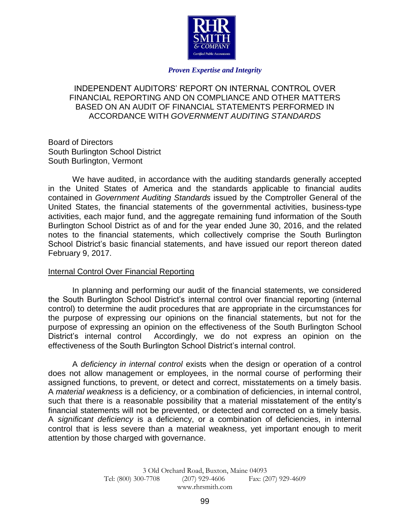

#### *Proven Expertise and Integrity*

### INDEPENDENT AUDITORS' REPORT ON INTERNAL CONTROL OVER FINANCIAL REPORTING AND ON COMPLIANCE AND OTHER MATTERS BASED ON AN AUDIT OF FINANCIAL STATEMENTS PERFORMED IN ACCORDANCE WITH *GOVERNMENT AUDITING STANDARDS*

Board of Directors South Burlington School District South Burlington, Vermont

We have audited, in accordance with the auditing standards generally accepted in the United States of America and the standards applicable to financial audits contained in *Government Auditing Standards* issued by the Comptroller General of the United States, the financial statements of the governmental activities, business-type activities, each major fund, and the aggregate remaining fund information of the South Burlington School District as of and for the year ended June 30, 2016, and the related notes to the financial statements, which collectively comprise the South Burlington School District's basic financial statements, and have issued our report thereon dated February 9, 2017.

#### Internal Control Over Financial Reporting

In planning and performing our audit of the financial statements, we considered the South Burlington School District's internal control over financial reporting (internal control) to determine the audit procedures that are appropriate in the circumstances for the purpose of expressing our opinions on the financial statements, but not for the purpose of expressing an opinion on the effectiveness of the South Burlington School District's internal control Accordingly, we do not express an opinion on the effectiveness of the South Burlington School District's internal control.

A *deficiency in internal control* exists when the design or operation of a control does not allow management or employees, in the normal course of performing their assigned functions, to prevent, or detect and correct, misstatements on a timely basis. A *material weakness* is a deficiency, or a combination of deficiencies, in internal control, such that there is a reasonable possibility that a material misstatement of the entity's financial statements will not be prevented, or detected and corrected on a timely basis. A *significant deficiency* is a deficiency, or a combination of deficiencies, in internal control that is less severe than a material weakness, yet important enough to merit attention by those charged with governance.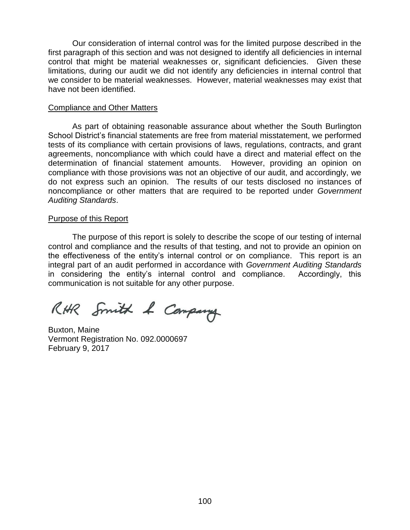Our consideration of internal control was for the limited purpose described in the first paragraph of this section and was not designed to identify all deficiencies in internal control that might be material weaknesses or, significant deficiencies. Given these limitations, during our audit we did not identify any deficiencies in internal control that we consider to be material weaknesses. However, material weaknesses may exist that have not been identified.

#### Compliance and Other Matters

As part of obtaining reasonable assurance about whether the South Burlington School District's financial statements are free from material misstatement, we performed tests of its compliance with certain provisions of laws, regulations, contracts, and grant agreements, noncompliance with which could have a direct and material effect on the determination of financial statement amounts. However, providing an opinion on compliance with those provisions was not an objective of our audit, and accordingly, we do not express such an opinion. The results of our tests disclosed no instances of noncompliance or other matters that are required to be reported under *Government Auditing Standards*.

#### Purpose of this Report

The purpose of this report is solely to describe the scope of our testing of internal control and compliance and the results of that testing, and not to provide an opinion on the effectiveness of the entity's internal control or on compliance. This report is an integral part of an audit performed in accordance with *Government Auditing Standards* in considering the entity's internal control and compliance. Accordingly, this communication is not suitable for any other purpose.

RHR Smith & Company

Buxton, Maine Vermont Registration No. 092.0000697 February 9, 2017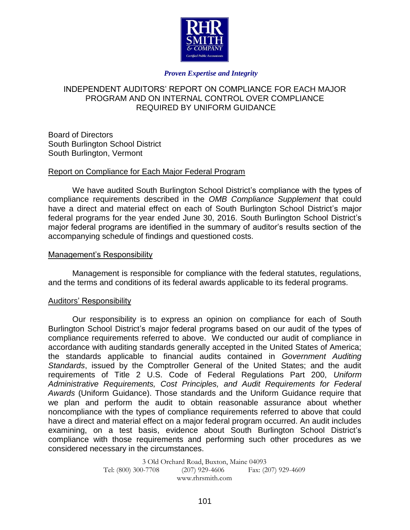

#### *Proven Expertise and Integrity*

#### INDEPENDENT AUDITORS' REPORT ON COMPLIANCE FOR EACH MAJOR PROGRAM AND ON INTERNAL CONTROL OVER COMPLIANCE REQUIRED BY UNIFORM GUIDANCE

Board of Directors South Burlington School District South Burlington, Vermont

#### Report on Compliance for Each Major Federal Program

We have audited South Burlington School District's compliance with the types of compliance requirements described in the *OMB Compliance Supplement* that could have a direct and material effect on each of South Burlington School District's major federal programs for the year ended June 30, 2016. South Burlington School District's major federal programs are identified in the summary of auditor's results section of the accompanying schedule of findings and questioned costs.

#### Management's Responsibility

Management is responsible for compliance with the federal statutes, regulations, and the terms and conditions of its federal awards applicable to its federal programs.

#### Auditors' Responsibility

Our responsibility is to express an opinion on compliance for each of South Burlington School District's major federal programs based on our audit of the types of compliance requirements referred to above. We conducted our audit of compliance in accordance with auditing standards generally accepted in the United States of America; the standards applicable to financial audits contained in *Government Auditing Standards*, issued by the Comptroller General of the United States; and the audit requirements of Title 2 U.S. Code of Federal Regulations Part 200, *Uniform Administrative Requirements, Cost Principles, and Audit Requirements for Federal Awards* (Uniform Guidance). Those standards and the Uniform Guidance require that we plan and perform the audit to obtain reasonable assurance about whether noncompliance with the types of compliance requirements referred to above that could have a direct and material effect on a major federal program occurred. An audit includes examining, on a test basis, evidence about South Burlington School District's compliance with those requirements and performing such other procedures as we considered necessary in the circumstances.

> 3 Old Orchard Road, Buxton, Maine 04093 Tel: (800) 300-7708 (207) 929-4606 Fax: (207) 929-4609 www.rhrsmith.com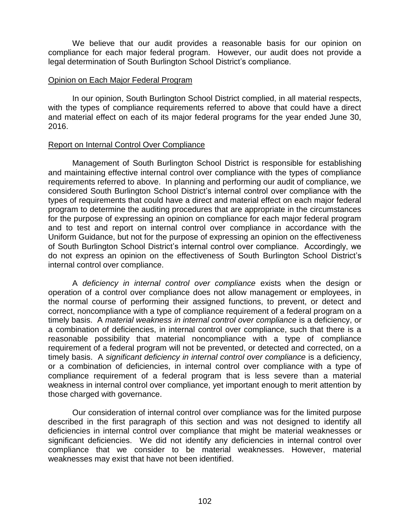We believe that our audit provides a reasonable basis for our opinion on compliance for each major federal program. However, our audit does not provide a legal determination of South Burlington School District's compliance.

#### Opinion on Each Major Federal Program

In our opinion, South Burlington School District complied, in all material respects, with the types of compliance requirements referred to above that could have a direct and material effect on each of its major federal programs for the year ended June 30, 2016.

#### Report on Internal Control Over Compliance

Management of South Burlington School District is responsible for establishing and maintaining effective internal control over compliance with the types of compliance requirements referred to above. In planning and performing our audit of compliance, we considered South Burlington School District's internal control over compliance with the types of requirements that could have a direct and material effect on each major federal program to determine the auditing procedures that are appropriate in the circumstances for the purpose of expressing an opinion on compliance for each major federal program and to test and report on internal control over compliance in accordance with the Uniform Guidance, but not for the purpose of expressing an opinion on the effectiveness of South Burlington School District's internal control over compliance. Accordingly, we do not express an opinion on the effectiveness of South Burlington School District's internal control over compliance.

A *deficiency in internal control over compliance* exists when the design or operation of a control over compliance does not allow management or employees, in the normal course of performing their assigned functions, to prevent, or detect and correct, noncompliance with a type of compliance requirement of a federal program on a timely basis. A *material weakness in internal control over compliance* is a deficiency, or a combination of deficiencies, in internal control over compliance, such that there is a reasonable possibility that material noncompliance with a type of compliance requirement of a federal program will not be prevented, or detected and corrected, on a timely basis. A *significant deficiency in internal control over compliance* is a deficiency, or a combination of deficiencies, in internal control over compliance with a type of compliance requirement of a federal program that is less severe than a material weakness in internal control over compliance, yet important enough to merit attention by those charged with governance.

Our consideration of internal control over compliance was for the limited purpose described in the first paragraph of this section and was not designed to identify all deficiencies in internal control over compliance that might be material weaknesses or significant deficiencies. We did not identify any deficiencies in internal control over compliance that we consider to be material weaknesses. However, material weaknesses may exist that have not been identified.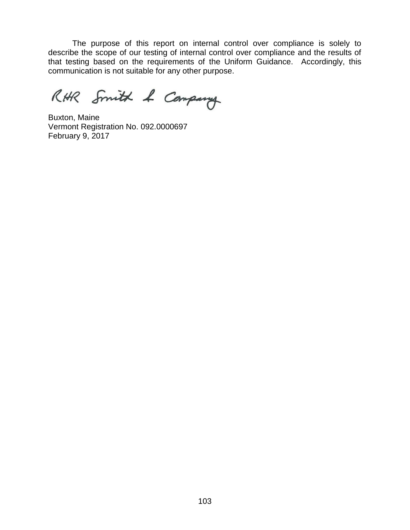The purpose of this report on internal control over compliance is solely to describe the scope of our testing of internal control over compliance and the results of that testing based on the requirements of the Uniform Guidance. Accordingly, this communication is not suitable for any other purpose.

RHR Smith & Company

Buxton, Maine Vermont Registration No. 092.0000697 February 9, 2017